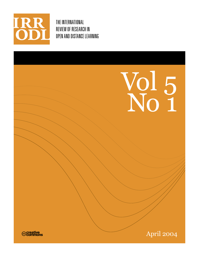

THE INTERNATIONAL REVIEW OF RESEARCH IN OPEN AND DISTANCE LEARNING





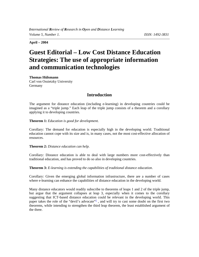#### **April – 2004**

# **Guest Editorial – Low Cost Distance Education Strategies: The use of appropriate information and communication technologies**

**Thomas Hülsmann** Carl von Ossietzky University Germany

# **Introduction**

The argument for distance education (including e-learning) in developing countries could be imagined as a "triple jump." Each leap of the triple jump consists of a theorem and a corollary applying it to developing countries.

#### **Theorem 1:** *Education is good for development.*

Corollary: The demand for education is especially high in the developing world. Traditional education cannot cope with its size and is, in many cases, not the most cost-effective allocation of resources.

**Theorem 2:** *Distance education can help.*

Corollary: Distance education is able to deal with large numbers more cost-effectively than traditional education, and has proved to do so also in developing countries.

**Theorem 3:** *E-learning is extending the capabilities of traditional distance education*.

Corollary: Given the emerging global information infrastructure, there are a number of cases where e-learning can enhance the capabilities of distance education in the developing world.

Many distance educators would readily subscribe to theorems of leaps 1 and 2 of the triple jump, but argue that the argument collapses at leap 3, especially when it comes to the corollary suggesting that ICT-based distance education could be relevant in the developing world. This paper takes the role of the "devil's advocate"<sup>1</sup>, and will try to cast some doubt on the first two theorems, while intending to strengthen the third leap theorem, the least established argument of the three.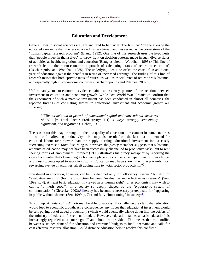#### **Education and Development**

General laws in social sciences are rare and tend to be trivial. The law that "on the average the educated earn more than the less educated" is less trivial, and has served as the cornerstone of the "human capital research program" (Blaug, 1992). One line of this research uses the hypothesis that "people invest in themselves" to throw light on decision patterns made in such diverse fields of activities as health, migration, and education (Blaug as cited in Woodhall, 1995).<sup>[2](http://www.irrodl.org/index.php/irrodl/article/viewArticle/175/257#2)</sup> This line of research led to the micro-economic approach of calculating "rates of return to education" (Psacharopulos and Woodhall, 1985). The underlying idea is to offset the costs of an additional year of education against the benefits in terms of increased earnings. The finding of this line of research insists that both "private rates of return" as well as "social rates of return" are substantial and especially high in low-income countries (Psacharoupoulos and Patrinos, 2002).

Unfortunately, macro-economic evidence paints a less rosy picture of the relation between investment in education and economic growth. While Post-World War II statistics confirm that the experiment of such a massive investment has been conducted in almost all countries, the reported findings of correlating growth in educational investment and economic growth are sobering.

"[T]*he association of growth of educational capital and conventional measures of TFP* [= Total Factor Productivity; TH] *is large, strongly statistically significant, and negative"* (Prichett, 1999).

The reason for this may be sought in the low quality of educational investment in some countries – too low for affecting productivity – but may also result from the fact that the demand for educated labour rose slower than the supply, turning educational investment into a costly "screening exercise." Most disturbing is, however, the *piracy* metaphor suggests that substantial amounts of education may not have been successfully channelled to productive tasks, but to rent seeking forms of employment. Pritchett (1990) illustrates his piracy metaphor by reporting the case of a country that offered degree holders a place in a civil service department of their choice, and most students opted to work in customs. Education may have shown them the privately most rewarding avenue of activities, albeit adding little to "total factor productivity."<sup>3</sup>

Investment in education, however, can be justified not only for "efficiency reasons," but also for "evaluative reasons" (for the distinction between "evaluative and effectiveness reasons" (Sen, 1999, p. 4). At least basic education is viewed as a "human right" (or as economists may wish to call it "a merit good"). In a society so deeply shaped by the "typographic system of communication" (Giesecke, 2002), $\frac{4}{3}$  $\frac{4}{3}$  $\frac{4}{3}$  literacy has become a necessary prerequisite for "appearing in public without shame" (Sen, 1999, p. 71) and fully "functioning" in society.<sup>[5](http://www.irrodl.org/index.php/irrodl/article/viewArticle/175/257#5)</sup>

To sum up: An *advocatus diaboli* may be able to successfully challenge the claim that education would lead to economic growth. As a consequence, any hopes that educational investment would be self-paying out of added productivity (which would eventually trickle down into the coffers of the ministry of education) seem unfounded. However, education (at least basic education) is increasingly regarded as a "merit good" and should be provided. This means that the conflict between sustained demand for education and restrained budgets to fund it remains and calls for cost-effective resource allocation. Could distance education help to resolve this conflict?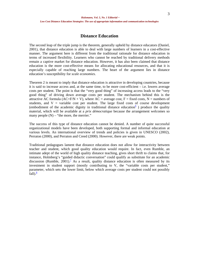### **Distance Education**

The second leap of the triple jump is the theorem, generally upheld by distance educators (Daniel, 2001), that distance education is able to deal with large numbers of learners in a cost-effective manner. The argument here is different from the traditional rationale for distance education in terms of increased flexibility. Learners who cannot be reached by traditional delivery methods remain a captive market for distance education. However, it has also been claimed that distance education is the more cost-effective means for allocating educational resources, and that it is especially capable of reaching large numbers. The heart of the argument lies in distance education's susceptibility for *scale economies*.

Theorem 2 is meant to imply that distance education is attractive in developing countries, because it is said to increase access and, at the same time, to be more cost-efficient – i.e. lowers average costs per student. The point is that the "very good thing" of increasing access leads to the "very good thing" of driving down average costs per student. The mechanism behind this is the attractive AC formula (AC=F/N + V), where AC = average cost,  $F =$  fixed costs, N = numbers of students, and  $V =$  variable cost per student. The large fixed costs of course development (embodiment of the academic dignity in traditional distance education  $6$ ) produce the quality material, which will be available at a *prix démocratique* because the arrangement welcomes so many people  $(N)$  – "the more, the merrier."

The success of this type of distance education cannot be denied. A number of quite successful organizational models have been developed, both supporting formal and informal education at various levels. An international overview of trends and policies is given in UNESCO (2002), Perraton (2000), and Perraton and Creed (2000). However, there are weak points.

Traditional pedagogues lament that distance education does not allow for interactivity between teacher and student, which good quality education would require. In fact, even Rumble, an intimate adept of the world of high quality distance teaching, gives short thrift to claims that, for instance, Holmberg's "guided didactic conversation" could qualify as substitute for an academic discussion (Rumble, 2001).<sup>[7](http://www.irrodl.org/index.php/irrodl/article/viewArticle/175/257#7)</sup> As a result, quality distance education is often measured by its investment in student support (mostly contributing to V, the "variable costs per student," parameter, which sets the lower limit, below which average costs per student could not possibly  $fall).$ <sup>[8](http://www.irrodl.org/index.php/irrodl/article/viewArticle/175/257#8)</sup>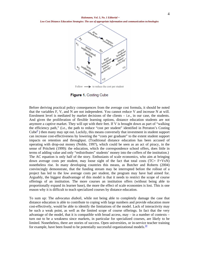*Low Cost Distance Education Strategies: The use of appropriate information and communication technologies* 



Figure 1. Costing Cube

Before deriving practical policy consequences from the average cost formula, it should be noted that the variables F, V, and N are not independent. You cannot reduce V and increase N at will. Enrolment level is mediated by market decisions of the clients – i.e., in our case, the students. And given the proliferation of flexible learning options, distance education students are not anymore a captive market. They will opt with their feet. If V is brought down as part of "walking the efficiency path," (i.e., the path to reduce "cost per student" identified in Perraton's Costing Cube $\frac{9}{2}$ ) then many may opt out. Luckily, this means conversely that investment in student support can increase cost-effectiveness by lowering the "costs per graduate" to the extent student support impacts on retention and throughput. (Traditional distance education has been accused of operating with drop-out money (Noble, 1997), which could be seen as an act of piracy, in the sense of Pritchett (1999): the education, which the correspondence school offers, does little in terms of adding value and only "redistributes" students' money into the coffers of the institution.) The AC equation is only half of the story. Enthusiasts of scale economics, who aim at bringing down average costs per student, may loose sight of the fact that total costs ( $TC = F+VxN$ ) nonetheless rise. In many developing countries this means, as Butcher and Roberts (2004) convincingly demonstrate, that the funding stream may be interrupted before the rollout of a project has led to the low average costs per student, the program may have had aimed for. Arguably, the biggest disadvantage of this model is that it needs to restrict the scope of course offerings of an institution. The more courses an institution offers (without being able to proportionally expand its learner base), the more the effect of scale economies is lost. This is one reason why it is difficult to teach specialized courses by distance education.

To sum up: The *advocatus diaboli*, while not being able to completely damage the case that distance education is able to contribute to coping with large numbers and provide education more cost-effectively, would be able to identify the limitations of the model. Lack of interactivity may be such a weak point, as well as the limited scope of course offerings. In fact that the very advantage of the model, that it is compatible with broad access, may – in a number of contexts – turn out to be a weakness since markets, in particular for specialized courses, are likely to be limited. Nonetheless, there are stories of success. Open universities, or in-service teacher training for example, have been found to be potentially successful organizational models.<sup>10</sup>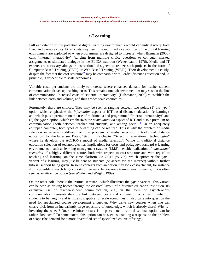#### **e-Learning**

Full exploitation of the potential of digital learning environments would certainly drive-up both fixed and variable costs. Fixed costs may rise if the multimedia capabilities of the digital learning environment are exploited or when programmes are designed to increase, what Hülsmann (2000) calls "internal interactivity" (ranging from multiple choice questions to computer marked assignments or simulated dialogue in the ELIZA tradition (Weizenbaum, 1976). Media and IT experts are necessary alongside instructional designers to realize such projects in the form of Computer Based Training (CBTs) or Web-Based Training (WBTs). Their development is costly, despite the fact that the cost-structure<sup>11</sup> may be compatible with Fordist distance education and, in principle, is susceptible to scale economies.

Variable costs per students are likely to increase where enhanced demand for teacher student communication drives up teaching costs. This remains true whatever medium may sustain the line of communication. Increased costs of "external interactivity" (Hülsmannn, 2000) re-establish the link between costs and volume, and thus erodes scale economies.

Fortunately, there are choices. They may be seen as ranging between two poles: (1) the *type-i* option which emphasizes the *information* aspect of ICT-based distance education (e-learning), and which puts a premium on the use of multimedia and programmed "internal interactivity;" and (2) the *type-c* option, which emphasizes the *communication* aspect of ICT and puts a premium on communication (both between teacher and students, and among peers).<sup>12</sup> On an adequately equipped computer, both types of e-learning can be realized. This is why the problem of media selection in e-learning differs from the problem of media selection in traditional distance education (for the latter see Bates, 1995, in his chapter "Selecting [educational] technologies" where he develops the ACTIONS model of media selection). While in traditional distance education selection of technologies has implications for costs and pedagogy, standard e-learning environments – such as learning management systems (LMS) – enable realization of *educational scenarios* of a highly different nature, both with respect to cost-structure and with regard to teaching and learning, on the same platform. So CBTs (WBTs), which epitomize the *type-i* variant of e-learning, may just be sent to students (or access via the Internet) without further tutorial support being given. In some contexts such an option may look cost-efficient, for instance if it is possible to reach large cohorts of learners. In corporate training environments, this is often seen as an attractive option (see Whalen and Wright, 1999).

On the other pole, there is the "virtual seminar," which illustrates the *type-c* variant. This variant can be seen as driving horses through the classical layout of a distance education institution. Its extensive use of teacher-student communication, e.g., in the form of asynchronous communication, re-establishes the link between costs and volume of activities (number of students to be taught) and is little susceptible for scale economies. It also calls into question the need for specialized course development altogether. Why write new courses when one can cherry-pick from an increasingly large repository of knowledge, which is already there? Why reinventing the wheel? Once the infrastructure is in place, such a virtual seminar option can be rather "low cost." To some extent, this option can be seen as enabling a response to the problem of scope (the demand for a more diversified set of specialized course offerings).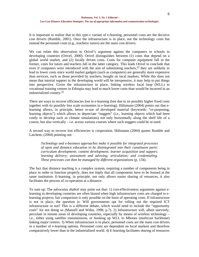It is important to realize that in this *type-c* variant of e-learning, personnel costs are the decisive cost drivers (Rumble, 2001). Once the infrastructure is in place, not the technology costs but instead the personnel costs (e.g., teachers/ tutors) are the main cost drivers.

We can relate this observation to Orivel's argument against the computers in schools in developing countries (Orivel, 2000). Orivel distinguishes between (1) costs that depend on a global world market, and (2) locally driven costs. Costs for computer equipment fall in the former, costs for tutors and teachers fall in the latter category. This leads Orivel to conclude that even if computers were introduced with the aim of substituting teachers,  $\frac{13}{12}$  they are unlikely to lead to lower costs since world market gadgets (such as computers) are generally more expensive than services, such as those provided by teachers, bought on local markets. While this does not mean that tutorial support in the developing world will be inexpensive, it may help to put things into perspective. Given the infrastructure in place, linking wireless local loop (WLL) to vocational training centres in Ethiopia may lead to much lower costs than would be incurred in an industrialized country. $\frac{14}{1}$ 

There are ways to recover efficiencies lost in e-learning (lost due to its possibly higher fixed costs together with its possibly less scale economies in e-learning). Hülsmann (2004) points out that elearning allows, in principle, better re-use of developed material (keywords: "re-purposing, learning objects") which allows to depreciate "nuggets" (i.e., learning objects which had been costly to develop such as climate simulations) not only horizontally along the shelf life of a course, but also vertically  $-$  i.e. across various courses where such nuggets could be re-used.

A second way to recover lost efficiencies is cooperation. Hülsmann (2004) quotes Rumble and Latchem, (2004) pointing out:

*Technology and e-business approaches make it possible for integrated processes of open and distance education to be disintegrated into their constituent parts: curriculum development; content development; learner acquisition and support; learning delivery; assessment and advising; articulation; and credentialing. These processes can then be managed by different organizations* (p. 134).

The fact that distance teaching is a complex system, requiring a number of components being in place in order to function properly, does not imply that all components have to be housed at the same institution. E-learning, in principle, not only allows easier sharing of resources, it also facilitates the process of co-operation at a distance.

To sum up: The *advocatus diaboli* may point out that: 1) cost-effectiveness arguments against elearning in developing countries are often biased when high infrastructure costs are charged to elearning projects; fair comparison is only possible on the basis of operating costs. If infrastructure is not in place, the question is: Will governments opt for rolling out the required ICT infrastructure or not? This is a different debate, which would need to include the "opportunity costs" for not doing so (Mansell and Wehn, 1998, p.7). 2) Infrastructure will, albeit unevenly, percolate in remote areas of developing countries, especially by means of wireless technology – i.e., either using satellite transmissions, or hooking up WLL to Mbones (multicast backbone) linking major centres. 3) When infrastructure is in place, personnel costs are the main cost drivers in a number of e-learning options. Personnel costs are dependent on local markets and therefore comparatively lower than in the industrialized world. 4) E-learning facilitates sharing of resources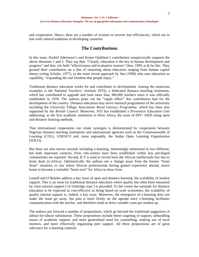and cooperation. Hence, there are a number of avenues to recover lost efficiencies, which are in line with cultural traditions in developing countries.

## **The Contributions**

In this issue, Rashid Aderinoye's and Kester Ojokheta's contribution unequivocally supports the above theorems 1 and 2. They say that: "Clearly, education is the key to human development and progress" and they cite both "effectiveness and evaluative reasons" (Sen, 1999, p.4) for this. They ground their contribution on a line of reasoning about education ranging from human capital theory (citing Schultz, 1977), to the more recent approach by Sen (1999) who sees education as capability, "expanding the real freedom that people enjoy."

Traditional distance education works for and contributes to development. Among the numerous examples is the *National Teachers' Institute* (NTI), a dedicated distance teaching institution, which has contributed to upgrade and train more than 300,000 teachers since it was officially established in 1978. The authors point out the "ripple effect" this contribution had for the development of the country. Distance education may serve outreach programmes of the university including the *University Village Association Rural Literacy Programme*, which has been also supported by the *British Council*. Moreover, NTI has established a *Preventive Education Unit* addressing, as the first academic institution in West Africa, the issue of HIV/ AIDS using open and distance learning methods.

That international cooperation can create synergies is demonstrated by cooperation between Nigerian distance teaching institutions and international agencies such as the Commonwealth of Learning (COL), UNESCO and, more regionally, the Sudan Open Learning Organization (SOLO).

But there are also moves towards including e-learning, interestingly mentioned in two different, but both important contexts. First, tele-centres have been established within less privileged communities are reported. Second, ICT is used to recruit back the African intellectuals lost due to brain drain (e-Africa). Optimistically the authors see a change away from the former "brain drain" situation, to one where African professionals having gained experience abroad, return home to become a veritable "brain trust" for Africa to draw from.

Lentell and O'Rourke address a key issue of open and distance learning: the scalability of student support. This is an issue for traditional distance education where quality has often been measured by close tutorial support ('of Oxbridge type') is provided. To the extent the rationale for distance education to be expected as cost-effective as being based on scale economies, the scalability of quality tutorial support is, indeed, a key issue. Moreover, the emergence of e-learning does not make the issue go away, but puts it more firmly on the agenda since e-learning facilitates communication with the teacher, and therefore tends to drive variable costs per student up.

The authors put forward a number of propositions, which go beyond the traditional suggestion of labour-for-labour substitution. These propositions include better targeting of support, unbundling issues of academic support, and more generalized need for counselling, making use of local mentors, and more effectively organizing peer support. All these propositions are of great relevance for e-learning contexts.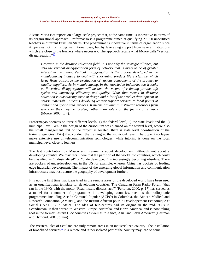Alvana Maria Bof reports on a large-scale project that, at the same time, is innovative in terms of its organizational approach. Proformação is a programme aimed at qualifying 27,000 uncertified teachers in different Brazilian States. The programme is innovative in terms of organization since it operates not from a big institutional base, but by leveraging support from several institutions which are close to the learners where necessary. The approach recalls what Moore calls "vertical disaggregation." $\frac{15}{15}$ 

*However, in the distance education field, it is not only the strategic alliance, but also the vertical disaggregation form of network that is likely to be of greater interest in the future. Vertical disaggregation is the process developed in the manufacturing industry to deal with shortening product life cycles, by which large firms outsource the production of various components of the product to smaller suppliers. As in manufacturing, in the knowledge industries too it looks as if vertical disaggregation will become the means of reducing product life cycles and improving efficiency and quality. What that means in distance education is outsourcing some of design and a lot of the product development of course materials. It means devolving learner support services to local points of contact and specialized services. It means drawing in instructor resources from wherever they may be located, rather than solely on the faculty on campus* (Moore, 2003, p. 4).

Proformação operates on three different levels: 1) the federal level; 2) the state level; and the 3) municipal level. While the design of the curriculum was planned on the federal level, where also the small management unit of the project is located, there is state level coordination of the training agencies (TAs) that conduct the training at the municipal level. The upper two layers make extensive use of telecommunication technologies, while tutoring is done on the local municipal level close to learners.

The last contribution by Mason and Rennie is about development, although not about a developing country. We may recall here that the partition of the world into countries, which could be classified as "industrialized" or "underdeveloped," is increasingly becoming obsolete. There are pockets of underdevelopment in the US for example, whereas China has pockets of leading edge industrial development. The impact of the emerging global information and communication infrastructure may restructure the geography of development further.

It is not the first time that ideas tried in the remote areas of the developed world have been used as an organizational template for developing countries. The Canadian Farm Radio Forum "that ran in the 1940s with the motto "Read, listen, discuss, act"" (Perraton, 2000, p. 17) has served as a model for a number of programmes in developing countries, such as the radiophonic programmes including Acción Comunal Popular (ACPO) in Columbia, the African Medical and Research Foundation (AMREF), and the Institut Africain pour le Developpement Economique et Social (INADES) in Africa. The idea of tele-centres had its origins in the mid-1980s in Scandinavia. It then spread to Western Europe, Australia, and North America, and is now taking root in the former Eastern Bloc countries as well as in Africa, Asia, and Latin America" (Oestman and Dymond, 2001, p. viii).

The Western Isles of Scotland are truly remote areas in an industrialized country. The installation of broadband services<sup>16</sup> in a remote and rather isolated part of the country may lead to some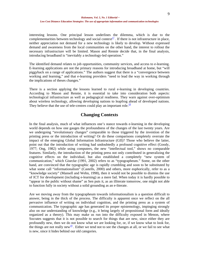interesting lessons. One principal lesson underlines the dilemma, which is due to the complementarities between technology and social context<sup>17</sup>. If there is not infrastructure in place, neither appreciation not demand for a new technology is likely to develop. Without expressed demand and awareness from the local communities on the other hand, the interest to rollout the necessary infrastructure will be limited. Mason and Rennie decide that, in the final analysis, introducing broadband is "inevitably a technology-led operation."

The identified demand relates to job opportunities, community services, and access to e-learning. E-learning applications are not the primary reasons for introducing broadband at home, but "will piggyback on a range of applications." The authors suggest that there is a "convergence between working and learning," and that e-learning providers "need to lead the way in working through the implications of theses changes."

There is a section applying the lessons learned to rural e-learning in developing countries. According to Mason and Rennie, it is essential to take into consideration both aspects: technological infrastructure as well as pedagogical readiness. They warn against over-optimism about wireless technology, allowing developing nations to leapfrog ahead of developed nations. They believe that the use of tele-centres could play an important role.<sup>18</sup>

# **Changing Contexts**

In the final analysis, much of what influences one's stance towards e-learning in the developing world depends on how one gauges the profoundness of the changes of the last twenty years. Are we undergoing "revolutionary changes" comparable to those triggered by the invention of the printing press or the introduction of writing? Or do these comparisons completely overrate the impact of the emerging Global Information Infrastructure (GII)? Those who believe the latter, point out that the introduction of writing had undoubtedly a profound cognitive effect (Goody, 1977; Ong, 1982) while using computers, the new "intellectual tool," shows no comparable features. Similarly, the introduction of the printing press not only contributed in generalizing the cognitive effects on the individual, but also established a completely "new system of communication," which Gisecke (1991, 2002) refers to as "typographeum." Some, on the other hand, are convinced that the typographic age is rapidly crumbling and soon to be substituted by what some call "informationalism" (Castells, 2000) and others, more euphorically, refer to as a "knowledge society" (Mansell and Wehn, 1998), then it would not be possible to dismiss the use of ICT for development (including e-learning) as a mere fad. When today it is hardly possible to "appear in the public without shame" as Sen puts it, as an illiterate tomorrow, one might not able to function fully in society without a solid grounding as an e-literate.

Are we moving away from the typographeum towards informationalism is a question difficult to answer, being in the thick of the process. The difficulty is apparent once we reflect on the all pervasive influence of writing on individual cognition, and the printing press as a system of communication. The typographic age has generated its proper epistemology, impinging strongly also on our understanding of knowledge (e.g., it being largely of propositional form and ideally organized as a theory). This may make us run into the difficulty exposed in Menon, where Socrates suggests that it is not possible to search for things that are new, since either they are profoundly new, then we do not know what we are looking for, or, if we know what to look for, the things are not really new<sup>19</sup>. Either we tend not to see the changes at all, or we fail to see what is new, since it hides behind our old categories.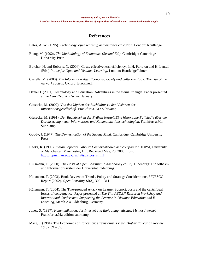## **References**

Bates, A. W. (1995). *Technology, open learning and distance education*. London: Routledge.

- Blaug, M. (1992). *The Methodology of Economics (Second Ed.).* Cambridge: Cambridge University Press.
- Butcher, N. and Roberts, N. (2004). Costs, effectiveness, efficiency. In H. Perraton and H. Lentell (Eds.) *Policy for Open and Distance Learning*. London: RoutledgeFalmer.
- Castells, M. (2000). *The Information Age: Economy, society and culture Vol. I: The rise of the network society.* Oxford: Blackwell.
- Daniel J. (2001). Technology and Education: Adventures in the eternal triangle. Paper presented at the *LearnTec, Karlsruhe,* January.
- Giesecke, M. (2002). *Von den Mythen der Buchkultur zu den Visionen der Informationsgesellschaft*. Frankfurt a. M.: Suhrkamp.
- Giesecke, M. (1991). *Der Buchdruck in der Frühen Neuzeit Eine historische Fallstudie über die Durchsetzung neuer Informations und Kommunikationstechnologien*. Frankfurt a.M.: Suhrkamp.
- Goody, J. (1977). *The Domestication of the Savage Mind.* Cambridge: Cambridge University Press.
- Heeks, R. (1999). *Indian Software Labour: Cost breakdown and comparison*. IDPM, University of Manchester: Manchester, UK. Retrieved May, 28, 2003, from: <http://idpm.man.ac.uk/rsc/is/isi/isicost.shtml>
- Hülsmann, T. (2000). *The Costs of Open Learning: a handbook (Vol. 2).* Oldenburg: Bibliotheksund Informationssystem der Universität Oldenburg.
- Hülsmann, T. (2003). Book Review of Trends, Policy and Strategy Considerations, UNESCO Report (2002). *Open Learning 18*(3), 303 – 311.
- Hülsmann, T. (2004). The Two-pronged Attack on Learner Support: costs and the centrifugal forces of convergence. Paper presented at *The Third EDEN Research Workshop and International Conference: Supporting the Learner in Distance Education and E-Learning*, March 2-4, Oldenburg, Germany.
- Jones, S. (1997). *Kommunikation, das Internet und Elekromagnetismus, Mythos Internet.* Frankfurt a.M.: edition suhrkamp.
- Mace, J. (1984). The Economics of Education: a revisionist's view. *Higher Education Review,*   $16(3)$ ,  $39 - 55$ .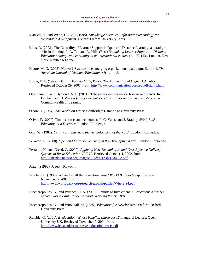- Mansell, R., and Wehn, U. (Ed.). (1998). *Knowledge Societies: information technology for sustainable development*. Oxford: Oxford University Press.
- Mills, R. (2003). The Centrality of Learner Support in Open and Distance Learning: a paradigm shift in thinking. In A. Tait and R. Mills (Eds.) *Rethinking Learner Support in Distance Education: change and continuity in an international context* (p. 102-113). London, New York: RoutledgeFalmer.
- Moore, M. G. (2003). Network Systems: the emerging organizational paradigm. Editorial. *The American Journal of Distance Education, 17*(1), 1 – 5.
- Noble, D. F. (1997). *Digital Diploma Mills, Part I: The Automation of Higher Education*. Retrieved October 29, 2001, from: <http://www.communication.ucsd.edu/dl/ddm1.html>
- Oestmann, S., and Dymond, A. C. (2001). Telecenters experiences, lessons and trends. In C. Latchem and D. Walker (Eds.) *Telecentres: Case studies and key issues*. Vancouver: Commonwealth of Learning.
- Olson, D. (1994). *The World on Paper*. Cambridge: Cambridge University Press.
- Orivel, F. (2000). Finance, costs and economics. In C. Yates, and J. Bradley (Eds.) *Basic Education at a Distance*. London: Routledge.
- Ong, W. (1982). *Orality and Literacy: the technologizing of the word*. London: Routledge.
- Perraton, H. (2000). *Open and Distance Learning in the Developing World*. London: Routledge.
- Perraton, H., and Creed, C. (2000). *Applying New Technologies and Cost-Effective Delivery Systems in Basic Education*. *IRFOL*. Retrieved October 4, 2002, from: <http://unesdoc.unesco.org/images/0012/001234/123482e.pdf>
- Platon. (1992). *Menon*. Rowohlt.
- Pritchett, L. (1999). Where has all the Education Gone? *World Bank webpage.* Retrieved November 5, 2003, from: [http://www.worldbank.org/research/growth/pdfiles/Where\\_r4.pdf](http://www.worldbank.org/research/growth/pdfiles/Where_r4.pdf)
- Psacharopoulos, G., and Patrinos, H. A. (2002). Returns to Investment in Education: A further update. *World Bank Policy Research Working Paper*, *2881*.
- Psacharopoulos, G., and Woodhall, M. (1985). *Education for Development*. Oxford: Oxford University Press.
- Rumble, G. (2001). *E-education: Whose benefits, whose costs?* Inaugural Lecture, Open University UK. Retrieved November 7, 2004 from: [http://www.iec.ac.uk/resources/e\\_education\\_costs.pdf](http://www.iec.ac.uk/resources/e_education_costs.pdf)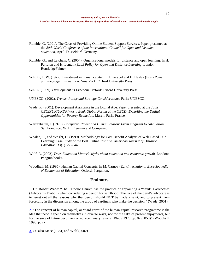- Rumble, G. (2001). The Costs of Providing Online Student Support Services. Paper presented at the *20th World Conference of the International Council for Open and Distance education*, April. Düsseldorf, Germany.
- Rumble, G., and Latchem, C. (2004). Organisational models for distance and open learning. In H. Perraton and H. Lentell (Eds.) *Policy for Open and Distance Learning*. London: RoutledgeFalmer.
- Schultz, T. W. (1977). Investment in human capital. In J. Karabel and H. Hasley (Eds.) *Power and Ideology in Education.* New York: Oxford University Press.
- Sen, A. (1999). *Development as Freedom*. Oxford: Oxford University Press.
- UNESCO. (2002). *Trends, Policy and Strategy Considerations*. Paris: UNESCO.
- Wade, R. (2001). Development Assistance in the Digital Age. Paper presented at the *Joint OECD/UN/UNDP/World Bank Global Forum at the OECD: Exploiting the Digital Opportunities for Poverty Reduction*, March. Paris, France.
- Weizenbaum, J. (1976). *Computer, Power and Human Reason: From judgment to calculation*. San Francisco: W. H. Freeman and Company.
- Whalen, T., and Wright, D. (1999). Methodology for Cost-Benefit Analysis of Web-Based Tele-Learning: Case Study of the Bell. Online Institute. *American Journal of Distance Education, 13*(1). 22 – 44.
- Wolf, A. (2002). *Does Education Matter? Myths about education and economic growth.* London: Penguin books.
- Woodhall, M. (1995). Human Capital Concepts. In M. Carnoy (Ed.) *International Encyclopaedia of Economics of Education.* Oxford: Pergamon.

#### **Endnotes**

[1.](http://www.irrodl.org/index.php/irrodl/article/viewArticle/175/257#1b) Cf. Robert Wade: "The Catholic Church has the practice of appointing a "devil"'s advocate" (Advocatus Diaboli) when considering a person for sainthood. The role of the devil's advocate is to ferret out all the reasons why that person should NOT be made a saint, and to present them forcefully in the discussion among the group of cardinals who make the decision." (Wade, 2001)

[2.](http://www.irrodl.org/index.php/irrodl/article/viewArticle/175/257#2b) "The concept of human capital, or "hard core" of the human-capital research programme is the idea that people spend on themselves in diverse ways, not for the sake of present enjoyments, but for the sake of future pecuniary or non-pecuniary returns (Blaug 1976 pp. 829, 850)" (Woodhall, 1995, p. 27)

[3.](http://www.irrodl.org/index.php/irrodl/article/viewArticle/175/257#3b) Cf. also Mace (1984) and Wolf (2002)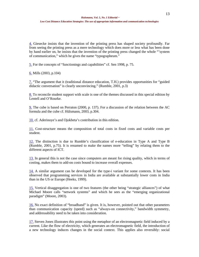[4.](http://www.irrodl.org/index.php/irrodl/article/viewArticle/175/257#4b) Giesecke insists that the invention of the printing press has shaped society profoundly. Far from seeing the printing press as a mere technology which does more or less what has been done by hand earlier on, he insists that the invention of the printing press changed the whole "'system of communication," which he gives the name "typographeum."

[5.](http://www.irrodl.org/index.php/irrodl/article/viewArticle/175/257#5b) For the concepts of "functionings and capabilities" cf. Sen 1998, p. 75.

[6.](http://www.irrodl.org/index.php/irrodl/article/viewArticle/175/257#6b) Mills (2003, p.104)

[7.](http://www.irrodl.org/index.php/irrodl/article/viewArticle/175/257#7b) "The argument that it (traditional distance education, T.H.) provides opportunities for "guided didactic conversation" is clearly unconvincing." (Rumble, 2001, p.3)

[8.](http://www.irrodl.org/index.php/irrodl/article/viewArticle/175/257#8b) To reconcile student support with scale is one of the themes discussed in this special edition by Lentell and O'Rourke.

[9.](http://www.irrodl.org/index.php/irrodl/article/viewArticle/175/257#9b) The cube is based on Perraton (2000, p. 137). For a discussion of the relation between the AC formula and the cube cf. Hülsmann, 2003, p.304.

[10.](http://www.irrodl.org/index.php/irrodl/article/viewArticle/175/257#10b) cf. Aderinoye's and Ojokheta's contribution in this edition.

[11.](http://www.irrodl.org/index.php/irrodl/article/viewArticle/175/257#11b) Cost-structure means the composition of total costs in fixed costs and variable costs per student.

[12.](http://www.irrodl.org/index.php/irrodl/article/viewArticle/175/257#12b) The distinction is due to Rumble's classification of e-education in Type A and Type B (Rumble, 2001, p.75). It is renamed to make the names more "telling" by relating them to the different aspects of ICT.

[13.](http://www.irrodl.org/index.php/irrodl/article/viewArticle/175/257#13b) In general this is not the case since computers are meant for rising quality, which in terms of costing, makes them to add-on costs bound to increase overall expenses.

[14.](http://www.irrodl.org/index.php/irrodl/article/viewArticle/175/257#14b) A similar argument can be developed for the type-i variant for some contexts. It has been observed that programming services in India are available at substantially lower costs in India than in the US or Europe (Heeks, 1999).

[15.](http://www.irrodl.org/index.php/irrodl/article/viewArticle/175/257#15b) Vertical disaggregation is one of two features (the other being "strategic alliances") of what Michael Moore calls "network systems" and which he sees as the "emerging organizational paradigm" (Moore, 2003).

[16.](http://www.irrodl.org/index.php/irrodl/article/viewArticle/175/257#16b) No exact definition of "broadband" is given. It is, however, pointed out that other parameters than communication capacity (speed) such as "always-on connectivity," bandwidth symmetry, and addressability need to be taken into consideration.

[17.](http://www.irrodl.org/index.php/irrodl/article/viewArticle/175/257#17b) Steven Jones illustrates this point using the metaphor of an electromagnetic field induced by a current. Like the flow of electricity, which generates an electromagnetic field, the introduction of a new technology induces changes in the social context. This applies also reversibly: social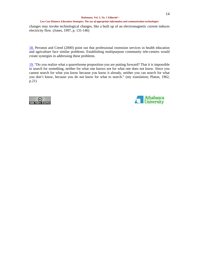#### *Hulsmann, Vol. 5, No. 1 Editorial ~*

#### *Low Cost Distance Education Strategies: The use of appropriate information and communication technologies*

changes may invoke technological changes, like a built up of an electromagnetic current induces electricity flow. (Jones, 1997, p. 131-146)

[18.](http://www.irrodl.org/index.php/irrodl/article/viewArticle/175/257#18b) Perraton and Creed (2000) point out that professional extension services in health education and agriculture face similar problems. Establishing multipurpose community tele-centres would create synergies in addressing these problems.

[19.](http://www.irrodl.org/index.php/irrodl/article/viewArticle/175/257#19b) "Do you realize what a quarrelsome proposition you are putting forward? That it is impossible to search for something, neither for what one knows not for what one does not know. Since you cannot search for what you know because you know it already, neither you can search for what you don't know, because you do not know for what to search." (my translation; Platon, 1962, p.21)



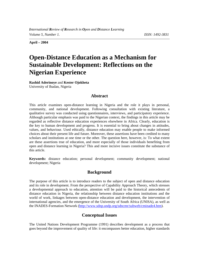**April – 2004** 

# **Open-Distance Education as a Mechanism for Sustainable Development: Reflections on the Nigerian Experience**

#### **Rashid Aderinoye** and **Kester Ojokheta**

University of Ibadan, Nigeria

# **Abstract**

This article examines open-distance learning in Nigeria and the role it plays in personal, community, and national development. Following consultation with existing literature, a qualitative survey was conducted using questionnaires, interviews, and participatory experience. Although particular emphasis was paid to the Nigerian context, the findings in this article may be regarded as reflective distance education experiences elsewhere in Africa. Clearly, education is the key to human development and progress. It is essential to bring about changes in attitudes, values, and behaviour. Used ethically, distance education may enable people to make informed choices about their present life and future. Moreover, these assertions have been credited to many scholars and institutions at one time or the other. The question here, however, is: To what extent are these assertions true of education, and more especially of those individuals benefiting from open and distance learning in Nigeria? This and more incisive issues constitute the substance of this article.

**Keywords:** distance education; personal development; community development; national development; Nigeria

## **Background**

The purpose of this article is to introduce readers to the subject of open and distance education and its role in development. From the perspective of Capability Approach Theory, which stresses a developmental approach to education, attention will be paid to the historical antecedents of distance education in Nigeria, the relationship between distance education institutions and the world of work, linkages between open-distance education and development, the intervention of international agencies, and the emergence of the University of South Africa (UNISA), as well as the INADES-Formation Network (<http://www.sdnp.undp.org/sdncmr/subweb/cminade4.htm>).

## **Conceptual Issues**

The United Nations Development Programme (1991) describes development as a process that goes beyond the improvement of quality of life: it encompasses better education, higher standards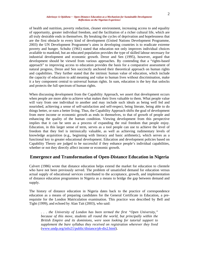of health and nutrition, poverty reduction, cleaner environment, increasing access to and equality of opportunity, greater individual freedom, and the facilitation of a richer cultural life, which are all truly desirable ends in themselves. By breaking the cycles of deprivation and hopelessness that are the first obstacle to every kind of development (United Nations Development Programme, 2003) the UN Development Programme's aims in developing countries is to eradicate extreme poverty and hunger. Schultz (1961) stated that education not only improves individual choices available to mankind, but an educated population provides the type of skilled labour necessary for industrial development and economic growth. Dreze and Sen (1995), however, argued that development should be viewed from various approaches. By contending that a "rights-based approach" to improving access to education provides the basis for a comparative assessment of natural progress, Dreze and Sen succinctly anchored their theoretical approach on human rights and capabilities. They further stated that the intrinsic human value of education, which include the capacity of education to add meaning and value to human lives without discrimination, make it a key component central to universal human rights. In sum, education is the key that unlocks and protects the full spectrum of human rights.

When discussing development from the Capability Approach, we assert that development occurs when people are more able to achieve what makes their lives valuable to them. What people value will vary from one individual to another and may include such ideals as being well fed and nourished, achieving a sense of self-satisfaction and self-respect, being literate, being able to do things better, or earn a better living. Thus, the Capability Approach shifts the goal of development from mere income or economic growth as ends in themselves, to that of growth of people and enhancing the quality of the human condition. Viewing development from this perspective implies that it can be seen as a process of expanding the real freedom that people enjoy. Education, in this larger sense of term, serves as a tool people can use to achieve the level of freedom that they feel is intrinsically valuable, as well as achieving rudimentary levels of knowledge acquisition (e.g., beginning with literacy and basic arithmetic), which serves as a functional key to greater educational development. Education and development policies based on Capability Theory are judged to be successful if they enhance people's individual capabilities, whether or not they directly affect income or economic growth.

#### **Emergence and Transformation of Open-Distance Education in Nigeria**

Calvert (1986) wrote that distance education helps extend the market for education to clientele who have not been previously served. The problem of unsatisfied demand for education versus actual supply of educational services contributed to the acceptance, growth, and implementation of distance education programmes in Nigeria as a means to bridge the gap between demand and supply.

The history of distance education in Nigeria dates back to the practice of correspondence education as a means of preparing candidates for the General Certificate in Education, a prerequisite for the London Matriculation examination. This practice was described by Bell and Tight (1999), and echoed by Alan Tait (2003), who said:

*. . . the University of London has been termed the first "Open University," because of this move, students all round the world, but principally within the British Empire and its dominions, were soon looking for tutorial support to supplement the bare syllabus they received on registration wherever they lived* ([www.undp.org/info21/public/distance/pb-dis2.html\)](http://www.irrodl.org/index.php/irrodl/article/viewArticle/v5.1/www.undp.org/info21/public/distance/pb-dis2.html).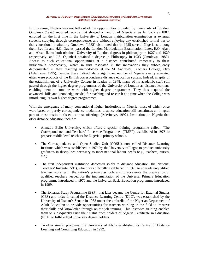In this sense, Nigeria was not left out of the opportunities provided by University of London. Omolewa (1976) reported records that showed a handful of Nigerians, as far back as 1887, enrolled for the first time in the University of London matriculation examination as external students studying through correspondence, and without enjoying any established formal ties to that educational institution. Omolewa (1982) also noted that in 1925 several Nigerians, among them Eyo-Ita and H.O. Davies, passed the London Matriculation Examination. Later, E.O. Ajayi and Alvan Ikoku both obtained University of London degrees in philosophy in 1927 and 1929 respectively, and J.S. Ogunlesi obtained a degree in Philosophy in 1933 (Omolewa, 1982). Access to such educational opportunities at a distance contributed immensely to these individual's productivity, which in turn resonated in the innovations they subsequently demonstrated in their teaching methodology at the St Andrew's Teachers College, Oyo (Aderinoye, 1995). Besides these individuals, a significant number of Nigeria's early educated elites were products of the British correspondence distance education system. Indeed, in spite of the establishment of a University College in Ibadan in 1948, many of its academic staff still passed through the higher degree programmes of the University of London as distance learners, enabling them to combine work with higher degree programmes. They thus acquired the advanced skills and knowledge needed for teaching and research at a time when the College was introducing its own higher degree programmes.

With the emergence of many conventional higher institutions in Nigeria, most of which once were based on purely correspondence modalities, distance education still constitutes an integral part of these institution's educational offerings (Aderinoye, 1992). Institutions in Nigeria that offer distance education include:

- Ahmadu Bello University, which offers a special training programme called: "The Correspondence and Teachers' In-service Programmes (TISEP), established in 1976 to prepare middle level teachers for Nigeria's primary schools.
- The Correspondence and Open Studies Unit (COSU), now called Distance Learning Institute, which was established in 1974 by the University of Lagos to produce university graduates in disciplines necessary to meet national labour needs (e.g., teachers, nurses, etc.)
- The first independent institution dedicated solely to distance education, the National Teachers' Institute (NTI), which was officially established in 1978 to upgrade unqualified teachers working in the nation's primary schools and to accelerate the preparation of qualified teachers needed for the implementation of the Universal Primary Education programme introduced in 1976 and the Universal Basic Education programme introduced in 1999.
- The External Study Programme (ESP), that later became the Centre for External Studies (CES) and today is called the Distance Learning Centre (DLC), was established by the University of Ibadan's Senate in 1988 under the umbrella of the Nigerian Department of Adult Education to provide opportunities for teachers working in the field to improve their skills and knowledge through on-the-job training. This inservice training enabled them to subsequently raise their status from holders of Nigeria Certificate in Education (NCE) to full-fledged university degree holders.
- To offer similar programs, the University of Abuja established its Centre for Distance Learning and Continuing Education in 1992.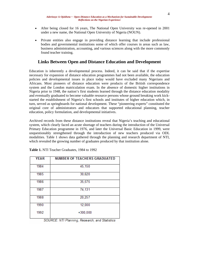- After being closed for 16 years, The National Open University was re-opened in 2001 under a new name, the National Open University of Nigeria (NOUN).
- Private entities also engage in providing distance learning that include professional bodies and governmental institutions some of which offer courses in areas such as law, business administration, accounting, and various sciences along with the more commonly found teacher training.

# **Links Between Open and Distance Education and Development**

Education is inherently a developmental process. Indeed, it can be said that if the expertise necessary for expansion of distance education programmes had not been available, the education policies and developmental issues in place today would have excluded many Nigerians and Africans. Most pioneers of distance education were products of the British correspondence system and the London matriculation exam. In the absence of domestic higher institutions in Nigeria prior to 1948, the nation's first students learned through the distance education modality and eventually graduated to become valuable resource persons whose ground breaking work kickstarted the establishment of Nigeria's first schools and institutes of higher education which, in turn, served as springboards for national development. These "pioneering experts" constituted the original core of administrators and educators that supported educational planning, teacher education, policy formulation, and developmental initiatives.

Archived records from these distance institutions reveal that Nigeria's teaching and educational system, which clearly faced an acute shortage of teachers during the introduction of the Universal Primary Education programme in 1976, and later the Universal Basic Education in 1999, were unquestionably strengthened through the introduction of new teachers produced via ODL modalities. Table 1 shows data gathered through the planning and research department of NTI, which revealed the growing number of graduates produced by that institution alone.

| <b>YEAR</b> | <b>NUMBER OF TEACHERS GRADUATED</b> |
|-------------|-------------------------------------|
| 1984        | 45,150                              |
| 1985        | 30,620                              |
| 1986        | 35,575                              |
| 1987        | 74,131                              |
| 1988        | 20,257                              |
| 1990        | 12,000                              |
| 1992        | $+300,000$                          |

**Table 1.** NTI Teacher Graduates, 1984 to 1992

SOURCE: NTI Planning, Research, and Statistics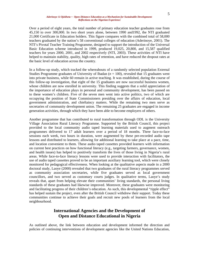Over a period of eight years, the total number of primary education teacher graduates rose from 45,150 to over 300,000. In two short years alone, between 1990 and1992, the NTI graduated 21,000 Certificate in Education holders. This figure compares with the combined total of 58,000 teachers graduated by the nation's 58 conventional colleges of education (Aderinoye, 2001). The NTI's Pivotal Teacher Training Programme, designed to support the introduction of the Universal Basic Education scheme introduced in 1999, produced 19,025, 20,800, and 15,587 qualified teachers for years 2000, 2001, and 2002 respectively (NTI, 2003). These activities of NTI have helped to maintain stability, quality, high rates of retention, and have reduced the dropout rates at the basic level of education across the country.

In a follow-up study, which tracked the whereabouts of a randomly selected population External Studies Programme graduates of University of Ibadan ( $n = 100$ ), revealed that 15 graduates went into private business, while 60 remain in active teaching. It was established, during the course of this follow-up investigation, that eight of the 15 graduates are now successful business women, whose children are now enrolled in university. This finding suggests that a solid appreciation of the importance of education plays in personal and community development, has been passed on to these women's children. Five of the seven men went into active politics, two of which are occupying the position of State Commissioners presiding over the affairs of education, local government administration, and chieftaincy matters. While the remaining two men serve as secretaries of community development union. The remaining 25 graduates are engaged in income generation activities, through which they have been able to become employers of others.

Another programme that has contributed to rural transformation through ODL is the University Village Association Rural Literacy Programme. Supported by the British Council, this project provided to the local community audio taped learning materials used to augment outreach programmes delivered to 17 adult learners over a period of 18 months. Three face-to-face sessions each week, two hours in duration, were augmented by these pre-recorded audio tape lessons and distributed to learners, allowing for additional learning to take place at a pace, time, and location convenient to them. These audio taped cassettes provided learners with information on current best practices on how functional literacy (e.g., targeting farmers, governance, women, and health issues) has helped to positively transform the lives of those living in Nigeria's rural areas. While face-to-face literacy lessons were used to provide interaction with facilitators, the use of audio taped cassettes proved to be an important auxiliary learning tool, which were closely monitored for pedagogical effectiveness. When looking at the qualitative aspects made in a 2000 doctoral study, Laoye (2000) revealed that two graduates of the rural literacy programmes served as community association secretaries, while five graduates served as local government councillors, and two served as customary courts judges. In qualitative terms, Laoye's study reveals that, apart from helping elevate their communities' living standards, the personal living standards of these graduates had likewise improved. Moreover, these graduates were monitoring and facilitating progress of their children's education. As such, this developmental "ripple effect" has helped sustain the project, even after the British Council withdrew their support. Today these communities continue to achieve their goals and recruit new pools of learners from the local neighbourhood.

# **International Agencies and the Development of Open and Distance Educational in Nigeria**

As outlined above, the link between education and development informed the direction and policies of continuing interventions of development agencies like the United Nations Education,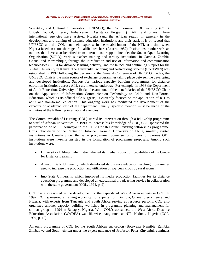Scientific, and Cultural Organization (UNESCO), the Commonwealth Of Learning (COL), British Council, Literacy Enhancement Assistance Program (LEAP), and others. These international agencies have assisted Nigeria (and the African region in general) in the development and training of distance education institutions and their staff. It is on record that UNESCO and the COL lent their expertise in the establishment of the NTI, at a time when Nigeria faced an acute shortage of qualified teachers (Ansere, 1982). Institutions in other African nations that have also benefited from international support include: the Sudan Open Learning Organisation (SOLO); various teacher training and tertiary institutions in Gambia, Zambia, Ghana, and Mozambique, through the introduction and use of information and communication technologies (ICTs) for distance learning delivery; and the launch and continuing support for the Virtual University in Kenya. The University Twinning and Networking Scheme (UNITWIN) was established in 1992 following the decision of the General Conference of UNESCO. Today, the UNESCO Chair is the main source of exchange programmes taking place between the developing and developed institutions. Support for various capacity building programmes for distance education institutions across Africa are likewise underway. For example, in 1998 the Department of Adult Education, University of Ibadan, became one of the beneficiaries of the UNESCO Chair on the Application of Information Communication Technology to Adult and Non-Formal Education, which as its official title suggests, is currently focused on the application of ICT to adult and non-formal education. This ongoing work has facilitated the development of the capacity of academic staff of the department. Finally, specific mention must be made of the activities of the following international agencies:

The Commonwealth of Learning (COL) started its intervention through a fellowship programme to staff of African universities. In 1990, to increase his knowledge of ODL, COL sponsored the participation of M. O. Akintayo to the COL/ British Council visiting fellowships programme. Chris Okwudishu of the Centre of Distance Learning, University of Abuja, similarly visited institutions in Canada under the same programme. Some senior officers of various ODL institutions were likewise assisted in the formulation of programme proposals. Among such institutions were:

- University of Abuja, which strengthened its media production capabilities of its Centre for Distance Learning
- Ahmadu Bello University, which developed its distance education teaching programmes used to increase the production and utilization of soy bean crops by rural women
- Imo State University, which improved its media production facilities for its distance education programme and developed an educational broadcasting service in collaboration with the state government (COL, 1994, p. 9).

COL has also assisted in the development of the capacity of West African experts in ODL. In 1992, COL sponsored a training workshop for experts from Gambia, Ghana, Sierra Leone, and Nigeria, with experts from Tanzania and South Africa serving as resource persons. COL also organized another capacity building workshop in programme planning and management for similar group in 1994 in Badagry, Nigeria. With COL's assistance, the West Africa Distance Education Association (WADEA) was likewise inaugurated at NTI, Kaduna, Nigeria (COL, 1994, p. 18).

An early programme of COL for the South African sub-region (Botswana, Namibia, Zambia, Zimbabwe and South Africa) under the expert guidance of Professor Peter Kinyanjui, continues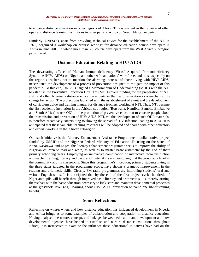to advance distance education in other regions of Africa. This is evident in the reliance of other open and distance learning institutions in other parts of Africa on South African experts.

Similarly, UNESCO, apart from providing technical advice for the establishment of the NTI in 1976, organized a workshop on "course writing" for distance education course developers in Abuja in June 2001, in which more than 300 course developers from the West Africa sub-region participated.

### **Distance Education Relating to HIV/ AIDS**

The devastating effects of Human Immunodeficiency Virus/ Acquired Immunodeficiency Syndrome (HIV/ AIDS) on Nigeria and other African nations' workforce, and most especially on the region's teachers, not to mention the alarming increase of those living with HIV/ AIDS, necessitated the development of a process of prevention designed to mitigate the impact of this pandemic. To this end, UNESCO signed a Memorandum of Understanding (MOU) with the NTI to establish the Preventive Education Unit. This MOU covers funding for the preparation of NTI staff and other Nigerians distance education experts in the use of education as a mechanism to change behaviour. The project was launched with the establishment of a unit and the development of curriculum guide and training manual for distance teachers working at NTI. Thus, NTI became the first academic institution in the African sub-region (Botswana, Namibia, Zambia, Zimbabwe and South Africa) to use ODL in the promotion of preventive education to educate people about the transmission and prevention of HIV/ AIDS. NTI, via the development of such ODL materials, is therefore proactively contributing to slowing the spread of HIV infection leading to AIDS. It is anticipated that these valuable teaching resources will be adopted and shared with other educators and experts working in the African sub-region.

One such initiative is the Literacy Enhancement Assistance Programme, a collaborative project funded by USAID and the Nigerian Federal Ministry of Education. Focusing on the states of Kano, Nasarawa, and Lagos, this literacy enhancement programme seeks to improve the ability of Nigerian children to read and write, as well as to master basic arithmetic by the end of their primary schooling years. Employing an innovative combination of interactive radio instruction and teacher training, literacy and basic arithmetic skills are being taught at the grassroots level in the community and its classrooms. Since this programme's inception, primary students living in the three states targeted in the programme scope, have shown a dramatic improvement in the reading and arithmetic skills. Clearly, FM radio programmes are improving students' oral and written English skills. It is anticipated that by the end of the first project cycle, hundreds of Nigerian pupils will benefit through improved basic literacy and arithmetic skills, thereby arming themselves with the basic education necessary to kick-start and maintain developmental processes at the grassroots level (e.g., learning about HIV/ AIDS prevention to name one life-sustaining benefit).

## **Some Reflections**

Reflecting on where, when, and how distance education has influenced development in Nigeria and Africa brings us to some examples of collaboration and cooperation in distance education. Having analysed the nature, concept, and linkages between education and development and how developmental agencies have helped to establish and nurture distance institutions throughout Africa, it is instructive to examine the influence these educational initiatives have had on the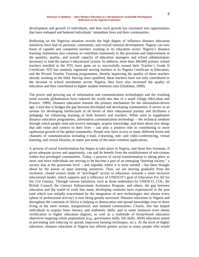development and growth of individuals, and how such growth has translated into opportunities that have reshaped and bettered individuals' immediate lives and their communities.

Reflecting on the Nigerian situation reveals the high degree of influence distance education initiatives have had on personal, community, and overall national development. Nigeria can now boast of capable and competent teachers working in its education sector. Nigeria's distance learning institutions also continue to contribute immensely to the provision and improvement in the quantity, quality, and overall capacity of education managers and school administrators necessary to lead the nation's educational system. In addition, more than 300,000 primary school teachers enrolled in the NTI, have gone on to successfully earned their Teacher's Grade II Certificate. NTI has similarly registered serving teachers in its Nigeria Certificate in Education, and the Pivotal Teacher Training programmes, thereby improving the quality of those teachers already working in the field. Having since qualified, these teachers have not only contributed to the increase in school enrolments across Nigeria, they have also increased the quality of education and thus contributed to higher student retention rates (Ojokheta, 2000).

The power and growing use of information and communication technologies and the resulting trend towards globalisation have reduced the world into that of a small village (McLuhan and Powers, 1989). Distance education remains the primary mechanism for the information-driven age, a tool that is bridges the gap between developed and developing communities. It serves as an avenue for developing intellectuals at all levels of their educational journey and facilitates a pedagogy for enhancing learning of both learners and teachers. When used to supplement distance education programmes, information communication technology – the technical medium through which people send and receive messages, acquire knowledge, and learn about new things that add value and context to their lives – can play a positive role in contributing to more egalitarian growth of the global community. People now have access to many different forms and channels of communication including e-mail, e-learning, tele- and video-conferencing, virtual learning, and virtual libraries, to name just some of the more common applications.

A process of social transformation has begun to take place in Nigeria, and those less fortunate, if given adequate access and opportunity, can and do benefit from the establishment of tele-centres within less privileged communities. Today, a process of social transformation is taking place as more and more individuals are striving to be become a part of an emerging "learning society," a society that at the grassroots level – and arguably where it is most needed – has been brought about by the power of open learning initiatives. Thus, we are moving gradually from the exclusive, closed system mode of "privileged" access to education, towards a more inclusive educational model, which supports and is reflective of UNESCO's goal of Education For All for the 21st Century. Through various initiatives, such as those undertaken by UNESCO, COL, the British Council, the Literacy Enhancement Assistance Program, and others, the gap between education and the world of work that many developing countries have experienced in the past (and which was initially exacerbated by the integration of new technologies into almost every sphere of professional activity) is now being greatly narrowed. Distance education in Nigeria and throughout the continent of Africa is helping to democratise and spread knowledge even to those living in the most remote, marginalized, and isolated communities. Clearly, this has helped individuals to acquire basic literacy and arithmetic skills, and in some instances even obtain certification in higher education degrees, as well as a multitude of broad-brush education objectives targeting whole populations (e.g., governance skills, life skills, AIDS education aimed at preventing and reducing its spread, improved farming techniques, etc.). At the level of higher education, distance education in Nigeria has offered greater access to many people who would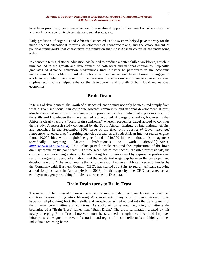have been previously been denied access to educational opportunities based on where they live and work, poor economic circumstances, social status, etc.

Early graduates of Nigeria's and Africa's distance education systems helped pave the way for the much needed educational reforms, development of economic plans, and the establishment of political frameworks that characterize the transition that most African countries are undergoing today.

In economic terms, distance education has helped to produce a better skilled workforce, which in turn has led to the growth and development of both local and national economies. Typically, graduates of distance education programmes find it easier to participate in the economic mainstream. Even older individuals, who after their retirement have chosen to engage in academic upgrading, have gone on to become small business owners/ managers, an educational ripple-effect that has helped enhance the development and growth of both local and national economies.

# **Brain Drain**

In terms of development, the worth of distance education must not only be measured simply from what a given individual can contribute towards community and national development. It must also be measured in terms of the changes or improvement such an individual enjoys as a result of the skills and knowledge they have learned and acquired. A dangerous reality, however, is that Africa is clearly facing a "brain drain syndrome," wherein academics travel abroad to continue their study. A research study conducted by the South African Institute of International Affairs, and published in the September 2003 issue of the *Electronic Journal of Governance and Innovation*, revealed that: "recruiting agencies abroad, on a South African Internet search engine, found 20,000 hits, while a global engine found 1,040,000 hits with thousands of agencies specifically targeting African Professionals to work abroad,"(e-Africa, *<http://www.wits.ac.za/saiia>*). This online journal article explored the implications of the brain drain syndrome on the continent: "At a time when Africa most needs its skilled professionals, the continent is experiencing a steady, de-habilitating brain drain caused by aggressive professional recruiting agencies, personal ambition, and the substantial wage gap between the developed and developing world." The good news is that an organisation known as "African Recruit," funded by the Commonwealth Business Council (CBC), has started Job Fairs to recruit Africans studying abroad for jobs back in Africa (Herbert, 2003). In this capacity, the CBC has acted as an employment agency searching for talents to reverse the Diaspora.

## **Brain Drain turns to Brain Trust**

The initial problem created by mass movement of intellectuals of African descent to developed countries, is now turning into a blessing. African experts, many of whom have returned home, have started ploughing back their skills and knowledge gained abroad into the development of their native communities and countries. As such, Africa is now beginning to witness the beginning of a "Brain Trust" rather than "Brain Drain." The cross fertilization created by this newly emerging Brain Trust, however, must be sustained through incentives and improved infrastructure designed to prevent frustration and regret of those intellectuals and highly trained individuals returning home.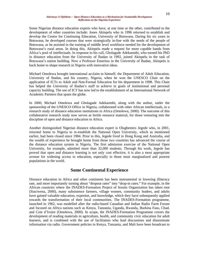Some Nigerian distance education experts who have, at one time or the other, contributed to the development of other countries include: Jones Akinpelu who in 1996 returned to establish and develop the Centre for Continuing Education, University of Botswana. During his six years in Botswana, he developed courses that were strategically in-line with the needs of the people of Botswana, as he assisted in the training of middle level workforce needed for the development of Botswana's rural areas. In doing this, Akinpelu made a request for more capable hands from Africa's pool of intellectuals. In response to his call, Gbolagade Adekanmbi, who earned his PhD in distance education from the University of Ibadan in 1992, joined Akinpelu in the task of Botswana's nation building. Now a Professor Emeritus in the University of Ibadan, Akinpelu is back home to shape research in Nigeria with innovative ideas.

Michael Omolewa brought international acclaim to himself, the Department of Adult Education, University of Ibadan, and his country, Nigeria, when he won the UNESCO Chair on the application of ICTs to Adult and Non-Formal Education for his department in 1998. This Chair has helped the University of Ibadan's staff to achieve in goals of institutional and personal capacity building. The use of ICT has now led to the establishment of an International Network of Academic Partners that spans the globe.

In 2000, Michael Omolewa and Gbolagade Adekanmbi, along with the author, under the sponsorship of the UNESCO Office in Nigeria, collaborated with other African intellectuals, in a research study of distance education institutions in Africa (Omolewa, 2000). The outcome of this collaborative research study now serves as fertile resource material, for those venturing into the discipline of open and distance education in Africa.

Another distinguished Nigerian distance education expert is Olugbemiro Jegede who, in 2001, returned home to Nigeria to re-establish the National Open University, which as mentioned earlier, had been closed since 1984. Prior to this, Jegede lived in Hong Kong and Australia, and the wealth of experience he brought home from those two countries has advanced the course of the distance education system in Nigeria. The first admission exercise of the National Open University, for example, admitted more than 32,000 students. Through his work, Jegede has proved that open and distance learning is not only cost effective, it is also a most appropriate avenue for widening access to education, especially to those most marginalized and poorest populations in the world.

# **Some Continental Experience**

Distance education in Africa and other continents has been instrumental in lowering illiteracy rate, and more importantly turning about "dropout rates" into "drop-in rates." For example, in the African countries where the INADES-Formation Project of Jesuits Organization has taken root (Siaciwena, 2000), many subsistence farmers, village women, community leaders, and adults have gained valuable education, expertise, and knowledge, which they have subsequently applied towards the transformation of their local communities. The INADES-Formation programme, launched in 1962, was modelled after the radio-based Canadian and Indian Radio Farm Forum and focused on Africa nations such as Kenya, Tanzania, Uganda, Rwanda, Burkina Faso, Chad, and Cote d'Ivoire (Omolewa, 2000). In scope, the INADES-Formation Programme covers the development of reading materials in agriculture, health, and community civic education for adult learners, and is combined with the use of facilitators who lead discussions and disseminate information via radio. Government policies in Kenya, Tanzania, and Mali have been broadcast to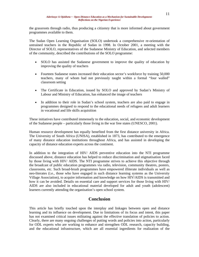the grassroots through radio, thus producing a citizenry that is more informed about government programmes available to them.

The Sudan Open Learning Organisation (SOLO) undertook a comprehensive re-orientation of untrained teachers in the Republic of Sudan in 1998. In October 2001, a meeting with the Director of SOLO, representatives of the Sudanese Ministry of Education, and selected members of the community, described the contributions of the SOLO programme:

- SOLO has assisted the Sudanese government to improve the quality of education by improving the quality of teachers
- Fourteen Sudanese states increased their education sector's workforce by training 50,000 teachers, many of whom had not previously taught within a formal "four walled" classroom setting
- The Certificate in Education, issued by SOLO and approved by Sudan's Ministry of Labour and Ministry of Education, has enhanced the image of teachers
- In addition to their role in Sudan's school system, teachers are also paid to engage in programmes designed to respond to the educational needs of refugees and adult learners in vocational and life skills acquisition

These initiatives have contributed immensely to the education, social, and economic development of the Sudanese people – particularly those living in the war free states (UNESCO, 2001).

Human resource development has equally benefited from the first distance university in Africa. The University of South Africa (UNISA), established in 1873, has contributed to the emergence of many distance education institutions throughout Africa, and has assisted in developing the capacity of distance education experts across the continent.

In addition to the integration of HIV/ AIDS preventive education into the NTI programme discussed above, distance education has helped to reduce discrimination and stigmatisation faced by those living with HIV/ AIDS. The NTI programme strives to achieve this objective through the broadcast of public education programmes via radio, television, community theatres, posters, classrooms, etc. Such broad-brush programmes have empowered illiterate individuals as well as neo-literates (i.e., those who have engaged in such distance learning systems as the University Village Association), to acquire information and knowledge on how HIV/AIDS is transmitted and how it can be avoided. Details on essential care and support services for those living with HIV/ AIDS are also included in educational material developed for adult and youth (adolescent) learners currently attending the organisation's open school system.

# **Conclusion**

This article has briefly touched upon the interplay and linkages between open and distance learning and its influence on development. Due to limitations of its focus and intent, this paper has not examined critical issues militating against the effective translation of policies to action. Clearly, there are many ongoing challenges of putting words and policies into action, particularly for ODL experts who are working to enhance and strengthen ODL research, capacity building, and the educational infrastructure, which are all essential ingredients for realization of the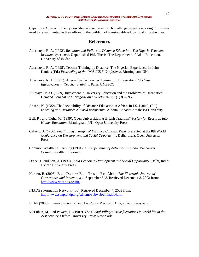Capability Approach Theory described above. Given such challenge, experts working in this area need to remain united in their efforts in the building of a sustainable educational infrastructure.

## **References**

- Aderinoye, R. A. (1992). *Retention and Failure in Distance Education: The Nigeria Teachers Institute experience*. Unpublished PhD Thesis. The Department of Adult Education, University of Ibadan.
- Aderinoye, R. A. (1995). Teacher Training by Distance: The Nigerian Experience. In John Daniels (Ed.) *Proceeding of the 1995 ICDE Conference*. Birmingham, UK.
- Aderinoye, R. A. (2001). Alternative To Teacher Training. In H. Perraton (Ed.) *Cost Effectiveness in Teacher Training.* Paris: UNESCO.
- Akintayo, M. O. (1989). Investment in University Education and the Problems of Unsatisfied Demand. *Journal of Andragogy and Development, 1*(1) 88 – 95.
- Ansere, N. (1982). The Inevitability of Distance Education in Africa. In J.S. Daniel, (Ed.) *Learning at a Distance: A World perspective.* Alberta, Canada: Athabasca University.
- Bell, R., and Tight, M. (1999). Open Universities: A British Tradition? *Society for Research into Higher Education*. Birmingham, UK: Open University Press.
- Calvert, B. (1986). *Facilitating Transfer of Distance Courses*. Paper presented at the 8th World *Conference on Development and Social Opportunity,* Delhi, India: Open University Press.
- Common Wealth Of Learning (1994). *A Compendium of Activities: Canada.* Vancouver: Commonwealth of Learning.
- Dreze, J., and Sen, A. (1995). *India Economic Development and Social Opportunity.* Delhi, India: Oxford University Press.
- Herbert, R. (2003). Brain Drain vs Brain Trust in East Africa. *The Electronic Journal of Governance and Innovation 1.* September 6/ 8. Retrieved December 3, 2003 from: <http://www.wits.ac.za/saiia>
- INADES Formation Network (n/d). Retrieved December 4, 2003 from: <http://www.sdnp.undp.org/sdncmr/subweb/cminade4.htm>
- LEAP (2003). *Literacy Enhancement Assistance Program: Mid-project assessment.*
- McLuhan, M., and Powers, B. (1989). *The Global Village: Transformations in world life in the 21st century*. Oxford University Press: New York.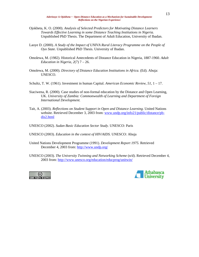- Ojokheta, K. O. (2000). *Analysis of Selected Predictors for Motivating Distance Learners Towards Effective Learning in some Distance Teaching Institutions in Nigeria.* Unpublished PhD Thesis. The Department of Adult Education, University of Ibadan.
- Laoye D. (2000). *A Study of the Impact of UNIVA Rural Literacy Programme on the People of Oyo State*. Unpublished PhD Thesis. University of Ibadan.
- Omolewa, M. (1982). Historical Antecedents of Distance Education in Nigeria, 1887-1960. *Adult Education in Nigeria, 2*(7) 7 – 26.
- Omolewa, M. (2000). *Directory of Distance Education Institutions in Africa.* (Ed). Abuja: UNESCO.
- Schultz, T. W. (1961). Investment in human Capital. *American Economic Review, 51*, 1 17.
- Siaciwena, R. (2000). Case studies of non-formal education by the Distance and Open Learning, UK. *University of Zambia: Commonwealth of Learning and Department of Foreign International Development.*
- Tait, A. (2003). *Reflections on Student Support in Open and Distance Learning*. United Nations website. Retrieved December 3, 2003 from: [www.undp.org/info21/public/distance/pb](http://www.undp.org/info21/public/distance/pb-dis2.html)[dis2.html](http://www.undp.org/info21/public/distance/pb-dis2.html)
- UNESCO (2002). *Sudan Basic Education Sector Study.* UNESCO: Paris
- UNESCO (2003). *Education in the context of HIV/AIDS.* UNESCO: Abuja
- United Nations Development Programme (1991). *Development Report 1975.* Retrieved December 4, 2003 from: <http://www.undp.org/>
- UNESCO (2003). *The University Twinning and Networking Scheme* (n/d). Retrieved December 4, 2003 from: <http://www.unesco.org/education/educprog/unitwin/>



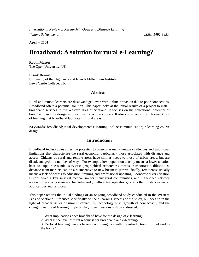#### **April – 2004**

# **Broadband: A solution for rural e-Learning?**

#### **Robin Mason**

The Open University, UK

#### **Frank Rennie**

University of the Highlands and Islands Millennium Institute Lews Castle College, UK

#### **Abstract**

Rural and remote learners are disadvantaged even with online provision due to poor connections. Broadband offers a potential solution. This paper looks at the initial results of a project to install broadband services in the Western Isles of Scotland. It focuses on the educational potential of broadband and the design implications for online courses. It also considers more informal kinds of learning that broadband facilitates in rural areas.

**Keywords**: broadband; rural development; e-learning; online communication; e-learning course design

## **Introduction**

Broadband technologies offer the potential to overcome many unique challenges and traditional limitations that characterize the rural economy, particularly those associated with distance and access. Citizens of rural and remote areas have similar needs to those of urban areas, but are disadvantaged in a number of ways. For example, low population density means a lower taxation base to support essential services; geographical remoteness means transportation difficulties; distance from markets can be a disincentive to new business growth; finally, remoteness usually means a lack of access to education, training and professional updating. Economic diversification is considered a key survival mechanism for many rural communities, and high-speed network access offers opportunities for tele-work, call-centre operations, and other distance-neutral applications and services.

This paper reports the initial findings of an ongoing broadband study conducted in the Western Isles of Scotland. It focuses specifically on the e-learning aspects of the study, but does so in the light of broader issues of rural sustainability, technology push, growth of connectivity and the changing nature of learning. In particular, three questions will be addressed:

1. What implications does broadband have for the design of e-learning?

2. What is the level of rural readiness for broadband and e-learning?

3. Do local learning centers have a continuing role with the introduction of broadband to the home?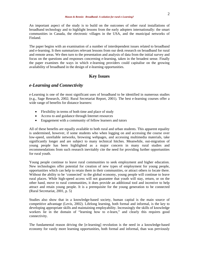An important aspect of the study is to build on the outcomes of other rural installations of broadband technology and to highlight lessons from the early adopters internationally: the smart communities in Canada, the electronic villages in the USA, and the municipal networks of Finland.

The paper begins with an examination of a number of interdependent issues related to broadband and e-learning. It then summarizes relevant lessons from our desk research on broadband for rural and remote areas. We then turn to the presentation and analysis of data from the initial survey and focus on the questions and responses concerning e-learning, taken in the broadest sense. Finally the paper examines the ways in which e-learning providers could capitalise on the growing availability of broadband in the design of e-learning opportunities.

# **Key Issues**

#### *e-Learning and Connectivity*

e-Learning is one of the most significant uses of broadband to be identified in numerous studies (e.g., Sage Research, 2002; Rural Secretariat Report, 2001). The best e-learning courses offer a wide range of benefits for distance learners:

- Flexibility in terms of both time and place of study
- Access to and guidance through Internet resources
- Engagement with a community of fellow learners and tutors

All of these benefits are equally available to both rural and urban students. This apparent equality is undermined, however, if some students who when logging on and accessing the course over low-speed, unreliable networks, browsing webpages, and accessing multimedia materials, take significantly longer and are subject to many technical hitches. Meanwhile, out-migration of young people has been highlighted as a major concern in many rural studies and recommendations from such research inevitably cite the need for providing further opportunities for rural youth.

Young people continue to leave rural communities to seek employment and higher education. New technologies offer potential for creation of new types of employment for young people, opportunities which can help to retain them in their communities, or attract others to locate there. Without the ability to be 'connected' to the global economy, young people will continue to leave rural places. While high-speed access will not guarantee that youth will stay, return, or on the other hand, move to rural communities, it does provide an additional tool and incentive to help attract and retain young people. It is a prerequisite for the young generation to be connected (Rural Secretariat, 2001, p. 5)

Studies also show that in a knowledge-based society, human capital is the main source of competitive advantage (Levis, 2002). Lifelong learning, both formal and informal, is the key to developing appropriate skills and maintaining employability. Increasingly the skills of knowledge workers lie in the domain of "learning how to e-learn," and clearly this requires good connectivity.

The fundamental reason driving the [e-learning] revolution is the need in a knowledge-based economy for vastly more learning opportunities, both formal and informal, than was previously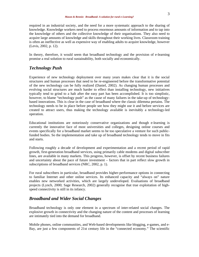required in an industrial society, and the need for a more systematic approach to the sharing of knowledge. Knowledge workers need to process enormous amounts of information and to tap into the knowledge of others and the collective knowledge of their organisations. They also need to acquire large amounts of knowledge and skills throughout their working lives. Classroom training is often an ineffective as well as expensive way of enabling adults to acquire knowledge, however (Levis, 2002, p. 12).

In theory, therefore, it would seem that broadband technology and the provision of e-learning promise a real solution to rural sustainability, both socially and economically.

### *Technology Push*

Experience of new technology deployment over many years makes clear that it is the social structures and human processes that need to be re-engineered before the transformative potential of the new technology can be fully realized (Daniel, 2002). As changing human processes and evolving social structures are much harder to effect than installing technology, new initiatives typically tend to grind to a halt after the easy part has been accomplished. It is too simplistic, however, to blame "technology push" as the cause of many failures in the take-up of technologybased innovations. This is clear in the case of broadband where the classic dilemma pertains. The technology needs to be in place before people see how they might use it and before services are created to attract users, thus making the technology available is inevitably a technology-led operation.

Educational institutions are notoriously conservative organizations and though e-learning is currently the innovative face of most universities and colleges, designing online courses and events specifically for a broadband market seems to be too speculative a venture for such publicfunded bodies. So the implementation and take up of broadband technology tends to move in fits and starts.

Following roughly a decade of development and experimentation and a recent period of rapid growth, first-generation broadband services, using primarily cable modems and digital subscriber lines, are available in many markets. This progress, however, is offset by recent business failures and uncertainty about the pace of future investment – factors that in part reflect slow growth in subscriptions of broadband services (NRC, 2002, p. 1).

For rural subscribers in particular, broadband provides higher-performance options in connecting to familiar Internet and other online services. Its enhanced capacity and "always on" nature enables new networked activities, which are largely undeveloped. Evaluations of broadband projects (Lynch, 2000; Sage Research, 2002) generally recognise that true exploitation of highspeed connectivity is still in its infancy.

#### *Broadband and Wider Social Changes*

Broadband technology is only one element in a spectrum of inter-related social changes. The explosive growth in connectivity and the changing nature of the content and processes of learning are intimately tied into the demand for broadband.

Mobile phones, online communities, and Web-based developments like blogging, e-games, and e-Bay, are just a few components of 21st century life in the "connected economy." The scientific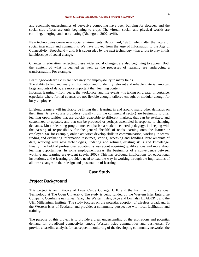and economic underpinnings of pervasive computing have been building for decades, and the social side effects are only beginning to erupt. The virtual, social, and physical worlds are colliding, merging, and coordinating (Rheingold, 2002, xviii).

New technologies create new social environments (Baudrillard, 1993), which alter the nature of social interaction and community. We have moved from the Age of Information to the Age of Connectivity. Broadband – until it is superseded by the next technology – has a role to play in this kaleidoscope of social change.

Changes in education, reflecting these wider social changes, are also beginning to appear. Both the content of what is learned as well as the processes of learning are undergoing a transformation. For example:

Learning-to-e-learn skills are necessary for employability in many fields

The ability to find and analyze information and to identify relevant and reliable material amongst large amounts of data, are more important than learning content

Informal learning – from peers, the workplace, and life events – is taking on greater importance, especially where formal courses are not flexible enough, tailored enough, or modular enough for busy employees

Lifelong learners will inevitably be fitting their learning in and around many other demands on their time. A few course providers (usually from the commercial sector) are beginning to offer learning opportunities that are quickly adaptable to different markets, that can be re-sized, and customized or updated, and that can be produced or perhaps assembled in response to changing demands. Most e-learning programmes emphasise a student-centered pedagogy, in keeping with the passing of responsibility for the general 'health' of one's learning onto the learner or employee. So, for example, online activities develop skills in communication, working in teams, finding and evaluating information resources, storing, accessing and handling large amounts of data, working with new technologies, updating and refining existing skills and knowledge. Finally, the field of professional updating is less about acquiring qualifications and more about learning opportunities. In some employment areas, the beginnings of a convergence between working and learning are evident (Levis, 2002). This has profound implications for educational institutions, and e-learning providers need to lead the way in working through the implications of all these changes in their design and presentation of learning.

## **Case Study**

#### *Project Background*

This project is an initiative of Lews Castle College, UHI, and the Institute of Educational Technology at The Open University. The study is being funded by the Western Isles Enterprise Company, Comhairle nan Eilean Siar, The Western Isles, Skye and Lochalsh LEADER+, and the UHI Millennium Institute. The study focuses on the potential adoption of wireless broadband in the Western Isles of Scotland, and provides a community perspective with local facilitation and training.

The purpose of this project is to provide a clear understanding of the aspirations and potential demand for broadband connectivity among Western Isles communities and businesses. To provide a baseline analysis for subsequent monitoring of the developing community networks, the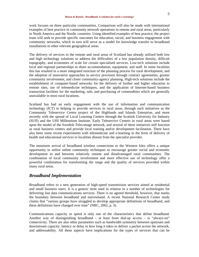work focuses on three particular communities. Comparison will also be made with international examples of best practice in community network operations in remote and rural areas, particularly in North America and the Nordic countries. Using identified examples of best practice, the project team will seek to provide specific outcomes for education, social, and business engagement with community networks, which in turn will serve as a model for knowledge transfer to broadband installations in other relevant geographical areas.

The delivery of services to the remote and rural areas of Scotland has already utilised both low and high technology solutions to address the difficulties of a low population density, difficult topography, and economies of scale for certain specialised services. Low-tech solutions include local and regional partnerships to share accommodation, equipment, and staff. In some localities this has resulted in a more integrated structure of the planning process for rural development, and the adoption of innovative approaches to service provision through contract agreements, greater community involvement, and closer community-agency planning. High-tech solutions include the establishment of computer-based networks for the delivery of further and higher education to remote sites, use of telemedicine techniques, and the application of Internet-based business transaction facilities for the marketing, sale, and purchasing of commodities which are generally unavailable in most rural locations.

Scotland has had an early engagement with the use of information and communication technology (ICT) in helping to provide services in rural areas, through such initiatives as the Community Teleservice Centre project of the Highlands and Islands Enterprise, and more recently with the spread of Local Learning Centers through the Scottish University for Industry (SUfI) and the UHI Millennium Institute. Early Teleservice Centers in rural areas were based upon the model of the Swedish Telecottage network, and several of these initiatives still function as rural business centers and provide local training and/or development facilitation. There have also been some recent experiments with telemedicine and e-learning in the form of delivery of health and educational services to localities distant from the specialist provider.

The imminent arrival of broadband wireless connections to the Western Isles offers a unique opportunity to utilise online community techniques to encourage greater social and economic development in and between relatively remote and disadvantaged rural communities. The combination of local community involvement and more effective use of technology offer a powerful combination for transforming the range and the quality of services provided within many rural areas.

### *Broadband Implementation*

Broadband refers to a new generation of high-speed transmission services aimed at residential and small business users. It is a generic term used in relation to a number of technologies for delivering fast data communications services. There is no agreed threshold, however, that marks the boundary between broadband and narrowband. A recent National Research Center study claims that "various groups have struggled to develop appropriate definitions of broadband, and these definitions have changed over time" (NRC, 2002, p. 3).

Communications capacity or speed is only one of the characteristics that define broadband. Another way of distinguishing broadband – at least from dial-up access – is "always-on" connectivity. There are also other parameters such as bandwidth symmetry between upstream and downstream capacity, latency or delay in how long it takes to deliver a packet across the network, and addressability. All these aspects have implications for the types of services that can be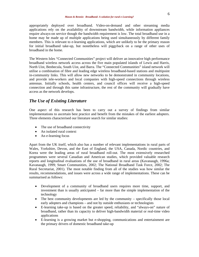appropriately deployed over broadband. Video-on-demand and other streaming media applications rely on the availability of downstream bandwidth, while information appliances require always-on service though the bandwidth requirement is low. The total broadband use in a home may be made up of multiple applications being used simultaneously by different family members. This is relevant to e-learning applications, which are unlikely to be the primary reason for initial broadband take-up, but nonetheless will piggyback on a range of other uses of broadband in the home.

The Western Isles "Connected Communities" project will deliver an innovative high performance broadband wireless network access across the five main populated islands of Lewis and Harris, North Uist, Benbecula, South Uist, and Barra. The "Connected Communities" island network will utilise a combination of fibre and leading edge wireless broadband-based stations and multipoint in-community links. This will allow new networks to be demonstrated in community locations, and provide tele-workers and local companies with high-speed connections through wireless antennas. Initially schools, health centers, and council offices will receive a high-speed connection and through this same infrastructure, the rest of the community will gradually have access as the network develops.

#### *The Use of Existing Literature*

One aspect of this research has been to carry out a survey of findings from similar implementations to ascertain best practice and benefit from the mistakes of the earliest adopters. Three elements characterised our literature search for similar studies:

- The use of broadband connectivity
- An isolated rural context
- An e-learning focus

Apart from the UK itself, which also has a number of relevant implementations in rural parts of Wales, Yorkshire, Devon, and the East of England, the USA, Canada, Nordic countries, and Korea were the leading areas of rural broadband roll-out. The most extensively researched programmes were several Canadian and American studies, which provided valuable research reports and longitudinal evaluations of the use of broadband in rural areas (Kavanaugh, 1996a; Kavanaugh, 1999; Smart Communities, 2002; The National Broadband Task Force, 2002; The Rural Secretariat, 2001). The most notable finding from all of the studies was how similar the results, recommendations, and issues were across a wide range of implementations. These can be summarised as follows:

- Development of a community of broadband users requires more time, support, and investment than is usually anticipated – far more than the simple implementation of the technology
- The best community developments are led by the community specifically those local early adopters and champions – and not by outside enthusiasts or technologists
- E-learning take-up is based on the greater speed, reliability, and "always-on" nature of broadband, rather than its capacity to deliver high-bandwidth material or real-time video applications
- E-learning is a growing market but e-shopping, communications and entertainment are the primary drivers of domestic broadband take-up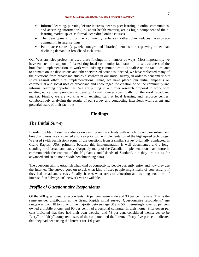- 7
- Informal learning, pursuing leisure interests, peer-to-peer learning in online communities, and accessing information (i.e., about health matters), are as big a component of the elearning market-space as formal, accredited online courses
- The development of online community enhances rather than reduces face-to-face community in rural settings
- Public access sites (e.g., tele-cottages and libraries) demonstrate a growing rather than declining demand in broadband-rich areas

Our Western Isles project has used these findings in a number of ways. Most importantly, we have enlisted the support of six existing local community facilitators to raise awareness of the broadband implementation, to work with existing communities to capitalise on the facilities, and to animate online discussions and other networked activities. Second, we have replicated many of the questions from broadband studies elsewhere in our initial survey, in order to benchmark our study against other rural implementations. Third, we have placed our initial emphasis on commercial and social uses of broadband and encouraged the creation of online community and informal learning opportunities. We are putting in a further research proposal to work with existing educational providers to develop formal courses specifically for the rural broadband market. Finally, we are working with existing staff at local learning and resource centres, collaboratively analysing the results of our survey and conducting interviews with current and potential users of their facilities.

# **Findings**

## *The Initial Survey*

In order to obtain baseline statistics on existing online activity with which to compare subsequent broadband uses, we conducted a survey prior to the implementation of the high-speed technology. We used (with permission) some of the questions from a similar survey originally conducted in Grand Rapids, USA, primarily because this implementation is well documented and a longstanding rural broadband study. (Arguably many of the Canadian implementations have more in common with the context of the Highlands and Islands of Scotland, but they are not as far advanced and so do not provide benchmarking data).

The questions aim to establish what kind of connectivity people currently enjoy and how they use the Internet. The survey goes on to ask what kind of uses people might make of connectivity if they had broadband access. Finally, it asks what areas of education and training would be of interest if an "always on" network were available.

# *Profile of Questionnaire Respondents*

Of the 200 questionnaire respondents, 66 per cent were male and 33 per cent female. This is the same gender distribution as the Grand Rapids initial survey. Questionnaire respondents' age range was from 18 to 70, with the majority between age 30 and 50. Interestingly, over 85 per cent owned a mobile phone, and 90 per cent had a personal computer in their home. Fifty-seven per cent indicated that they had their own website, and 78 per cent considered themselves to be "very" or "fairly" competent users of the computer and the Internet. Forty-five per cent indicated that they had been using the Internet for 4-6 years.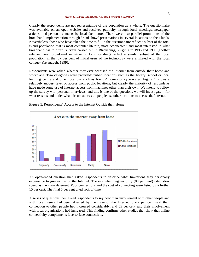Clearly the respondents are not representative of the population as a whole. The questionnaire was available on an open website and received publicity through local meetings, newspaper articles, and personal contacts by local facilitators. There were also parallel promotions of the broadband implementation through "road show" presentations in several locations on the islands. Nevertheless, those who have taken the time to fill in the questionnaire reflect a subset of the total island population that is most computer literate, most "connected" and most interested in what broadband has to offer. Surveys carried out in Blacksburg, Virginia in 1996 and 1999 (another relevant rural broadband initiative of long standing) reflect a similar subset of the local population, in that 87 per cent of initial users of the technology were affiliated with the local college (Kavanaugh, 1999).

Respondents were asked whether they ever accessed the Internet from outside their home and workplace. Two categories were provided: public locations such as the library, school or local learning centre and other locations such as friends' homes or cyber-cafes. Figure 1 shows a relatively modest level of access from public locations, but clearly the majority of respondents have made some use of Internet access from machines other than their own. We intend to follow up the survey with personal interviews, and this is one of the questions we will investigate – for what reasons and under what circumstances do people use other locations to access the Internet.



**Figure 1.** Respondents' Access to the Internet Outside their Home

An open-ended question then asked respondents to describe what limitations they personally experience to greater use of the Internet. The overwhelming majority (80 per cent) cited slow speed as the main deterrent. Poor connections and the cost of connecting were listed by a further 15 per cent. The final 5 per cent cited lack of time.

A series of questions then asked respondents to say how their involvement with other people and with local issues had been affected by their use of the Internet. Sixty per cent said their connection to other people had increased considerably, and 55 per cent said their involvement with local organisations had increased. This finding confirms other studies that show that online connectivity complements face-to-face connectivity.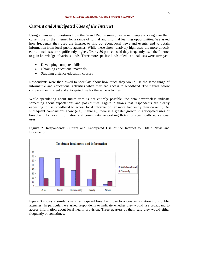#### *Current and Anticipated Uses of the Internet*

Using a number of questions from the Grand Rapids survey, we asked people to categorize their current use of the Internet for a range of formal and informal learning opportunities. We asked how frequently they used the Internet to find out about local news and events, and to obtain information from local public agencies. While these show relatively high uses, the more directly educational uses are significantly higher. Nearly 50 per cent said they frequently used the Internet to gain knowledge of various kinds. Three more specific kinds of educational uses were surveyed:

- Developing computer skills
- Obtaining educational materials
- Studying distance education courses

Respondents were then asked to speculate about how much they would use the same range of informative and educational activities when they had access to broadband. The figures below compare their current and anticipated use for the same activities.

While speculating about future uses is not entirely possible, the data nevertheless indicate something about expectations and possibilities. Figure 2 shows that respondents are clearly expecting to use broadband to access local information far more frequently than currently. As subsequent comparisons show (e.g., Figure 6), there is a greater growth in anticipated uses of broadband for local information and community networking thSan for specifically educational uses.





Figure 3 shows a similar rise in anticipated broadband use to access information from public agencies. In particular, we asked respondents to indicate whether they would use broadband to access information about local health provision. Three quarters of them said they would either frequently or sometimes.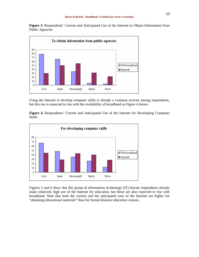**Figure 3.** Respondents' Current and Anticipated Use of the Internet to Obtain Information from Public Agencies



Using the Internet to develop computer skills is already a common activity among respondents, but this too is expected to rise with the availability of broadband as Figure 4 shows.

**Figure 4.** Respondents' Current and Anticipated Use of the Internet for Developing Computer Skills



Figures 5 and 6 show that this group of information technology (IT) literate respondents already make relatively high use of the Internet for education, but these are also expected to rise with broadband. Note that both the current and the anticipated uses of the Internet are higher for "obtaining educational materials" than for formal distance education courses.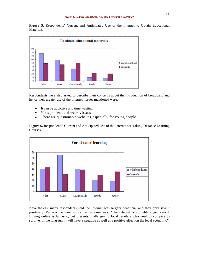**Figure 5.** Respondents' Current and Anticipated Use of the Internet to Obtain Educational Materials



Respondents were also asked to describe their concerns about the introduction of broadband and hence their greater use of the Internet. Issues mentioned were:

- It can be addictive and time wasting
- Virus problems and security issues
- There are questionable websites, especially for young people

**Figure 6.** Respondents' Current and Anticipated Use of the Internet for Taking Distance Learning Courses



Nevertheless, many respondents said the Internet was largely beneficial and they only saw it positively. Perhaps the most indicative response was: "The Internet is a double edged sword. Buying online is fantastic, but presents challenges to local retailers who need to compete to survive. In the long run, it will have a negative as well as a positive effect on the local economy."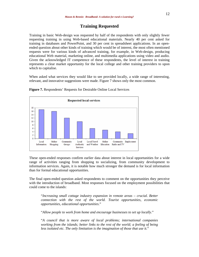## **Training Requested**

Training in basic Web-design was requested by half of the respondents with only slightly fewer requesting training in using Web-based educational materials. Nearly 40 per cent asked for training in databases and PowerPoint, and 30 per cent in spreadsheet applications. In an openended question about other kinds of training which would be of interest, the most often mentioned requests were for various kinds of advanced training, for example, in Web-design, producing educational Web material, marketing online, and multimedia applications using video and audio. Given the acknowledged IT competence of these respondents, the level of interest in training represents a clear market opportunity for the local college and other training providers to upon which to capitalise.

When asked what services they would like to see provided locally, a wide range of interesting, relevant, and innovative suggestions were made. Figure 7 shows only the most common.



**Figure 7.** Respondents' Requests for Desirable Online Local Services

These open-ended responses confirm earlier data about interest in local opportunities for a wide range of activities ranging from shopping to socializing, from community development to information services. Again, it is notable how much stronger the demand is for local information than for formal educational opportunities.

The final open-ended question asked respondents to comment on the opportunities they perceive with the introduction of broadband. Most responses focused on the employment possibilities that could come to the islands:

"*Increasing small cottage industry expansion in remote areas – crucial. Better connection with the rest of the world. Tourist opportunities, economic opportunities, educational opportunities*."

"*Allow people to work from home and encourage businesses to set up locally*."

"*A council that is more aware of local problems; international companies working from the islands; better links to the rest of the world; a feeling of being less isolated etc. The only limitation is the imagination of those that use it.*"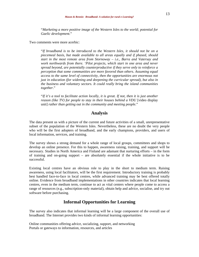"*Marketing a more positive image of the Western Isles to the world; potential for Gaelic development.*"

Two comments were more acerbic:

"*If broadband is to be introduced to the Western Isles, it should not be on a piecemeal basis, but made available to all areas equally and if phased, should start in the most remote area from Stornoway – i.e., Barra and Vatersay and work northwards from there. 'Pilot projects, which start in one area and never spread beyond, are potentially counterproductive if they serve only to reinforce a perception that some communities are more favored than others. Assuming equal access to the same level of connectivity, then the opportunities are enormous not just in education (for widening and deepening the curricular spread), but also in the business and voluntary sectors. It could really bring the island communities together*."

"*If it's a tool to facilitate action locally, it is great. If not, then it is just another reason (like TV) for people to stay in their houses behind a VDU* [video display unit] *rather than getting out in the community and meeting people.*"

## **Analysis**

The data present us with a picture of the current and future activities of a small, unrepresentative subset of the population of the Western Isles. Nevertheless, these are no doubt the very people who will be the first adopters of broadband, and the early champions, providers, and users of local information, services, and training.

The survey shows a strong demand for a whole range of local groups, committees and shops to develop an online presence. For this to happen, awareness raising, training, and support will be necessary. Studies in North America and Finland are adamant that nurturing efforts – in the form of training and on-going support – are absolutely essential if the whole initiative is to be successful.

Existing local centres have an obvious role to play in the short to medium term. Raising awareness, using local facilitators, will be the first requirement. Introductory training is probably best handled face-to-face in local centres, while advanced training may be best offered totally online. Evidence from broadband implementations in other countries indicates that local learning centres, even in the medium term, continue to act as vital centers where people come to access a range of resources (e.g., subscription-only material), obtain help and advice, socialise, and try out software before purchasing.

## **Informal Opportunities for Learning**

The survey also indicates that informal learning will be a large component of the overall use of broadband. The Internet provides two kinds of informal learning opportunities:

Online communities offering advice, socializing, support, and networking Portals or gateways to information, resources, and articles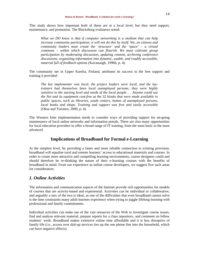This study shows how important both of these are at a local level, but they need support, maintenance, and promotion. The Blacksburg evaluators noted:

*What we DO know is that if computer networking is a medium that can help increase community participation, it will not do this by itself. We, as citizens and community leaders must create the 'structure' and the 'space' – a virtual commons – within which discussion can flourish. We must cultivate group participation by moderating discussion, updating content, archiving conference discussions, organizing information into dynamic, usable, and readily accessible, material full of feedback options* (Kavanaugh, 1996b, p. 4).

The community net in Upper Karelia, Finland, attributes its success to the free support and training it provided:

*The key implementer was local, the project leaders were local, and the laytrainers had themselves been local unemployed persons; they were highly sensitive to the starting level and needs of the local people. . . Anyone could use the Net and its equipment cost-free at the 32 kiosks that were made available in public spaces, such as libraries, youth centers, homes of unemployed persons, local banks and shops. Training and support was free and easily accessible* (Oksa and Turunen, 2000, p. 4).

The Western Isles implementation needs to consider ways of providing support for on-going maintenance of local online networks and information portals. There are also many opportunities for local education providers to offer a broad range of IT training, from the most basic to the most advanced.

## **Implications of Broadband for Formal e-Learning**

At the simplest level, by providing a faster and more reliable connection to existing provision, broadband will equalise rural and remote learners' access to educational materials and courses. In order to create more attractive and compelling learning environments, course designers could and should therefore be re-thinking the nature of their e-learning courses with the benefits of broadband in mind. From our experience as online course developers, we suggest five such areas for consideration.

## *1. Online Activities*

The information and communication aspects of the Internet provide rich opportunities for models of courses that are activity-based and experiential. Activities can be individual or collaborative, and arguably a mix of the two is ideal, as one of the difficulties that even broadband cannot solve is the time constraints many adult learners experience when trying to juggle lifelong learning with professional and family commitments.

Individual activities can make use of the vast resources of the Web to investigate course issues, find and analyse relevant material, prepare reports for a class repository, and comment on fellow students' work. Broadband makes extensive online time affordable and it is less disruptive of family life (i.e., access over dial-up services ties up the one phone line into the household, which can have negative effects).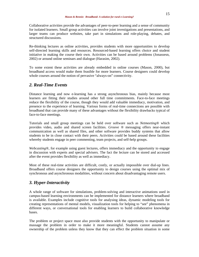Collaborative activities provide the advantages of peer-to-peer learning and a sense of community for isolated learners. Small group activities can involve joint investigations and presentations, and larger teams can produce websites, take part in simulations and role-playing, debates, and structured discussions.

Re-thinking lectures as online activities, provides students with more opportunities to develop self-directed learning skills and resources. Resourced-based learning offers choice and student initiative in making the course their own. Activities can be based around problems (Jonassesn, 2002) or around online seminars and dialogue (Harasim, 2002).

To some extent these activities are already embedded in online courses (Mason, 2000), but broadband access would make them feasible for more learners. Course designers could develop whole courses around the notion of pervasive "always-on" connectivity.

## *2. Real-Time Events*

Distance learning and now e-learning has a strong asynchronous bias, mainly because most learners are fitting their studies around other full time commitments. Face-to-face meetings reduce the flexibility of the course, though they would add valuable immediacy, motivation, and presence to the experience of learning. Various forms of real-time connections are possible with broadband that can provide many of these advantages without the flexibility drawbacks typical of face-to-face meetings.

Tutorials and small group meetings can be held over software such as *Netmeeting*® which provides video, audio and shared screen facilities. *Groove* ® messaging offers near-instant communication as well as shared files, and other software provides buddy systems that allow students to be in close contact with their peers. Activities could be based around these facilities whereby students engage in peer commenting, team projects, and self-help groups.

*Webcasting*®, for example using guest lectures, offers immediacy and the opportunity to engage in discussion with experts and special advisers. The fact the lecture can be stored and accessed after the event provides flexibility as well as immediacy.

Most of these real-time activities are difficult, costly, or actually impossible over dial-up lines. Broadband offers course designers the opportunity to design courses using the optimal mix of synchronous and asynchronous modalities, without concern about disadvantaging remote users.

# *3. Hyper-Interactivity*

A whole range of software for simulations, problem-solving and interactive animations used in campus-based learning environments can be implemented for distance learners where broadband is available. Examples include cognitive tools for analysing ideas, dynamic modeling tools for creating representations of mental models, visualization tools for helping to "see" phenomena in different ways, or conversational tools for enabling learners to build collaborative knowledge bases.

The problem or project space must also provide students with the opportunity to manipulate or massage the problem in order to make it more meaningful. Students cannot assume any ownership of the problem unless they know that they can effect the problem situation in some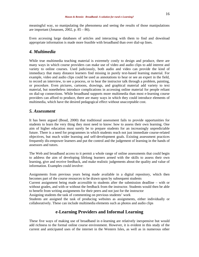meaningful way, so manipulating the phenomena and seeing the results of those manipulations are important (Jonassen, 2002, p.  $85 - 86$ ).

Even accessing large databases of articles and interacting with them to find and download appropriate information is made more feasible with broadband than over dial-up lines.

## *4. Multimedia*

While true multimedia teaching material is extremely costly to design and produce, there are many ways in which course providers can make use of video and audio clips to add interest and variety to online courses. Used judiciously, both audio and video can provide the kind of immediacy that many distance learners find missing in purely text-based learning material. For example, video and audio clips could be used as annotations to hear or see an expert in the field, to record an interview, to see a process, or to hear the instructor talk through a problem, painting, or procedure. Even pictures, cartoons, drawings, and graphical material add variety to text material, but nonetheless introduce complications in accessing online material for people reliant on dial-up connections. While broadband supports more multimedia than most e-learning course providers can afford to produce, there are many ways in which they could introduce elements of multimedia, which have the desired pedagogical effect without unacceptable cost.

# *5. Assessment*

It has been argued (Boud, 2000) that traditional assessment fails to provide opportunities for students to learn the very thing they most need to know: how to assess their own learning. One aim of higher education must surely be to prepare students for an increasingly unpredictable future. There is a need for programmes in which students reach not just immediate course-related objectives, but much wider learning and self-development goals. Existing assessment practices frequently dis-empower learners and put the control and the judgement of learning in the hands of assessors and tutors.

The Web and broadband access to it permit a whole range of online assessments that could begin to address the aim of developing lifelong learners armed with the skills to assess their own learning, give and receive feedback, and make realistic judgements about the quality and value of information. Examples could involve:

Assignments from previous years being made available in a digital repository, which then becomes part of the course resources to be drawn upon by subsequent students

Current assignment being made accessible to students after the submission deadline – with or without grades, and with or without the feedback from the instructor. Students would then be able to benefit from writing assignments for their peers and not just for the instructor

Assigning students the task of commenting on previous students' work

Students are assigned the task of producing websites as assignments, either individually or collaboratively. These can include multimedia elements such as photos and audio clips

# **e-Learning Providers and Informal Learning**

These five ways of making use of broadband in e-learning are relatively inexpensive but would add richness to the formal online course environment. However, it is evident in this study of the current and anticipated uses of the internet in the Western Isles, as well as in numerous other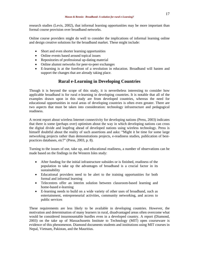research studies (Levis, 2002), that informal learning opportunities may be more important than formal course provision over broadband networks.

Online course providers might do well to consider the implications of informal learning online and design creative solutions for the broadband market. These might include:

- Short and even shorter learning opportunities
- Online events based around topical issues
- Repositories of professional up-dating material
- Online alumni networks for peer-to-peer exchanges
- E-learning is at the forefront of a revolution in education. Broadband will hasten and support the changes that are already taking place.

# **Rural e-Learning in Developing Countries**

Though it is beyond the scope of this study, it is nevertheless interesting to consider how applicable broadband is for rural e-learning in developing countries. It is notable that all of the examples drawn upon in this study are from developed countries, whereas the need for educational opportunities in rural areas of developing countries is often even greater. There are two aspects that must be taken into consideration: technology infrastructure and pedagogical readiness.

A recent report about wireless Internet connectivity for developing nations (Press, 2003) indicates that there is some (perhaps over) optimism about the way in which developing nations can cross the digital divide and leapfrog ahead of developed nations using wireless technology. Press is himself doubtful about the reality of such assertions and asks: "Might it be time for some large networking projects rather than demonstrations projects, e-readiness studies, publication of bestpractices databases, etc?" (Press, 2003, p. 8).

Turning to the issues of use, take up, and educational readiness, a number of observations can be made based on the findings in the Western Isles study:

- After funding for the initial infrastructure subsides or is finished, readiness of the population to take up the advantages of broadband is a crucial factor in its sustainability
- Educational providers need to be alert to the training opportunities for both formal and informal learning
- Telecentres offer an interim solution between classroom-based learning and home-based e-learning
- E-learning needs to build on a wide variety of other uses of broadband, such as entertainment, entrepreneurial activities, community networking, and access to public services

These requirements are less likely to be available in developing countries. However, the motivation and determination of many learners in rural, disadvantaged areas often overcome what would be considered insurmountable hurdles even in a developed country. A report (Diamond, 2003) on the take up of Massachusetts Institute to Technology (MIT) open courseware is evidence of this phenomenon. Diamond documents students and institutions using MIT courses in Nepal, Vietnam, Pakistan, and the Mauritius.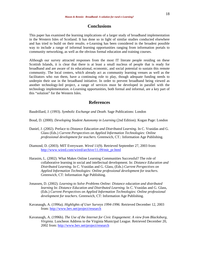## **Conclusions**

This paper has examined the learning implications of a larger study of broadband implementation in the Western Isles of Scotland. It has done so in light of similar studies conducted elsewhere and has tried to build on their results. e-Learning has been considered in the broadest possible way to include a range of informal learning opportunities ranging from information portals to community networking, as well as the obvious formal education and training courses.

Although our survey attracted responses from the most IT literate people residing on these Scottish Islands, it is clear that there is at least a small nucleus of people that is ready for broadband and are aware of its educational, economic, and social potential to sustain this remote community. The local centers, which already act as community learning venues as well as the facilitators who run them, have a continuing role to play, though adequate funding needs to underpin their use in the broadband initiative. In order to prevent broadband being viewed as another technology-led project, a range of services must be developed in parallel with the technology implementation. e-Learning opportunities, both formal and informal, are a key part of this "solution" for the Western Isles.

### **References**

Baudrillard, J. (1993). *Symbolic Exchange and Death*. Sage Publications: London

- Boud, D. (2000). *Developing Student Autonomy in Learning* (2nd Edition). Kogan Page: London
- Daniel, J. (2002). Preface to *Distance Education and Distributed Learning*. In C. Vrasidas and G. Glass (Eds.) *Current Perspectives on Applied Information Technologies: Online professional development for teachers.* Greenwich, CT.: Information Age Publishing.
- Diamond, D. (2003). MIT Everyware. *Wired* 11(9). Retrieved September 27, 2003 from: [http://www.wired.com/wired/archive/11.09/mit\\_pr.html](http://www.wired.com/wired/archive/11.09/mit_pr.html)
- Harasim, L. (2002). What Makes Online Learning Communities Successful? The role of collaborative learning in social and intellectual development. In: *Distance Education and Distributed Learning.* In C. Vrasidas and G. Glass, (Eds.) *Current Perspectives on Applied Information Technologies: Online professional development for teachers.*  Greenwich, CT: Information Age Publishing.
- Jonassen, D. (2002). *Learning to Solve Problems Online: Distance education and distributed learning* In: *Distance Education and Distributed Learning.* In C. Vrasidas and G. Glass, (Eds.) *Current Perspectives on Applied Information Technologies: Online professional development for teachers.* Greenwich, CT: Information Age Publishing.
- Kavanaugh, A. (1996a). *Highlights of User Surveys 1994-1996.* Retrieved December 12, 2003 from:<http://www.bev.net/project/research>
- Kavanaugh, A. (1996b). *The Use of the Internet for Civic Engagement: A view from Blacksburg, Virginia.* Luncheon Address to the Virginia Municipal League. Retrieved December 20, 2002 from: <http://www.bev.net/project/research>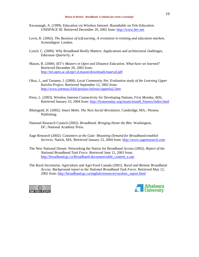- Kavanaugh, A. (1999). Education via Wireless Internet. *Roundtable on Tele-Education. UNISPACE III*. Retrieved December 20, 2002 from: [http://www.bev.net](http://www.bev.net/)
- Levis, K. (2002). *The Business of (e)Learning. A revolution in training and education markets*. Screendigest: London.
- Lynch, C. (2000). Why Broadband Really Matters: Applications and architectural challenges, *Educause Quarterly, 4.*
- Mason, R. (2000). *IET's Masters in Open and Distance Education. What have we learned?* Retrieved December 20, 2002 from: <http://iet.open.ac.uk/pp/r.d.mason/downloads/maeval.pdf>
- Oksa, J., and Turunen, J. (2000). *Local Community Net. Evaluation study of the Learning Upper Karelia Project.* Retrieved September 12, 2002 from: <http://www.joensuu.fi/ktl/projsoc/infosoc/upperka2.htm>
- Press, L. (2003). Wireless Internet Connectivity for Developing Nations, *First Monday*, 8(9). Retrieved January 23, 2004 from: [http://firstmonday.org/issues/issue8\\_9/press/index.html](http://firstmonday.org/issues/issue8_9/press/index.html)
- Rheingold, H. (2002). *Smart Mobs. The Next Social Revolution*. Cambridge, MA.: Perseus Publishing.
- National Research Council (2002). *Broadband. Bringing Home the Bits*. Washington, DC.:National Academy Press.
- Sage Research (2002). *Customers at the Gate: Mounting Demand for Broadband-enabled Services.* Natick, MA. Retrieved January 23, 2004 from: [http://www.sageresearch.com](http://www.sageresearch.com/)
- The New National Dream: Networking the Nation for Broadband Access (2002). *Report of the National Broadband Task Force.* Retrieved June 12, 2003 from: [http://broadband.gc.ca/Broadband-document/table\\_content\\_e.asp](http://broadband.gc.ca/Broadband-document/table_content_e.asp)
- The Rural Secretariat, Agriculture and Agri-Food Canada (2001). *Rural and Remote Broadband Access. Background report to the National Broadband Task Force.* Retrieved May 12, 2002 from: [http://broadband.gc.ca/english/resources/ruralsec\\_report.html](http://broadband.gc.ca/english/resources/ruralsec_report.html)



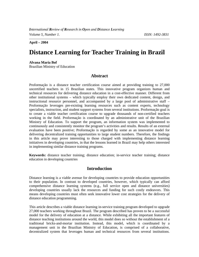#### **April – 2004**

# **Distance Learning for Teacher Training in Brazil**

**Alvana Maria Bof**

Brazilian Ministry of Education

## **Abstract**

Proformação is a distance teacher certification course aimed at providing training to 27,000 uncertified teachers in 15 Brazilian states. This innovative program organizes human and technical resources for delivering distance education in a cost-effective manner. Different from other institutional systems – which typically employ their own dedicated content, design, and instructional resource personnel, and accompanied by a large pool of administrative staff – Proformação leverages pre-existing learning resources such as content experts, technology specialists, instruction, and student support systems from several institutions. Proformação goal is to create a viable teacher certification course to upgrade thousands of non-certified teachers working in the field. Proformação is coordinated by an administrative unit of the Brazilian Ministry of Education. To support the program, an information system was implemented to continuously and consistently monitor the program's activities and results. Results of an external evaluation have been positive; Proformação is regarded by some as an innovative model for delivering decentralized training opportunities to large student numbers. Therefore, the findings in this article may prove interesting to those charged with implementing distance learning initiatives in developing countries, in that the lessons learned in Brazil may help others interested in implementing similar distance training programs.

**Keywords:** distance teacher training; distance education; in-service teacher training; distance education in developing countries

## **Introduction**

Distance learning is a viable avenue for developing countries to provide education opportunities to their population. In contrast to developed countries, however, which typically can afford comprehensive distance learning systems (e.g., full service open and distance universities) developing countries usually lack the resources and funding for such costly endeavors. This means developing countries must often seek innovative lower cost strategies for the delivery of distance education programming.

This article describes a viable distance learning in-service training program developed to upgrade 27,000 teachers working throughout Brazil. The program described has proven to be a successful model for the delivery of education at a distance. While exhibiting all the important features of distance teaching institutions around the world, this model does so without the establishment of a traditional bricks-and-mortar institution. Instead, this model, which is coordinated by a management unit in the Brazilian Ministry of Education, is comprised of a collaborative, decentralized system that leverages human and technical resources from several institutions.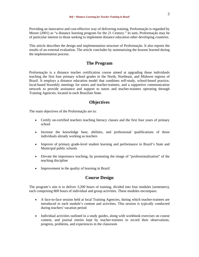Providing an innovative and cost-effective way of delivering training, Proformação is regarded by Moore (2001) as "a distance learning program for the 21 Century." In sum, Proformação may be of particular interest to those seeking to implement distance education other developing countries.

This article describes the design and implementation structure of Proformação. It also reports the results of an external evaluation. The article concludes by summarizing the lessons learned during the implementation process.

## **The Program**

Proformação is a distance teacher certification course aimed at upgrading those individuals teaching the first four primary school grades in the North, Northeast, and Midwest regions of Brazil. It employs a distance education model that combines self-study, school-based practice, local-based biweekly meetings for tutors and teacher-trainees, and a supportive communication network to provide assistance and support to tutors and teacher-trainees operating through Training Agencies, located in each Brazilian State.

## **Objectives**

The main objectives of the Proformação are to:

- Certify un-certified teachers teaching literacy classes and the first four years of primary school
- Increase the knowledge base, abilities, and professional qualifications of those individuals already working as teachers
- Improve of primary grade-level student learning and performance in Brazil's State and Municipal public schools
- Elevate the importance teaching, by promoting the image of "professionalization" of the teaching discipline
- Improvement in the quality of learning in Brazil

## **Course Design**

The program's aim is to deliver 3,200 hours of training, divided into four modules (semesters), each comprising 800 hours of individual and group activities. These modules encompass:

- A face-to-face session held at local Training Agencies, during which teacher-trainees are introduced to each module's content and activities. This session is typically conducted during teachers' vacation period
- Individual activities outlined in a study guides, along with workbook exercises on course content, and journal entries kept by teacher-trainees to record their observations, progress, problems, and experiences in the classroom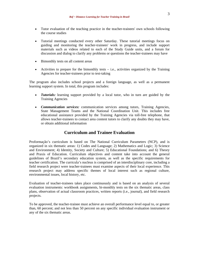- Tutor evaluation of the teaching practice in the teacher-trainees' own schools following the course studies
- Tutorial meetings conducted every other Saturday. These tutorial meetings focus on guiding and monitoring the teacher-trainees' work in progress, and include support materials such as videos related to each of the Study Guide units, and a forum for discussion and dialog to clarify any problems or questions the teacher-trainees may have
- Bimonthly tests on all content areas
- Activities to prepare for the bimonthly tests  $-$  i.e., activities organized by the Training Agencies for teacher-trainees prior to test-taking

The program also includes school projects and a foreign language, as well as a permanent learning support system. In total, this program includes:

- *Tutorials:* learning support provided by a local tutor, who in turn are guided by the Training Agencies
- *Communication services:* communication services among tutors, Training Agencies, State Management Teams and the National Coordination Unit. This includes free educational assistance provided by the Training Agencies via toll-free telephone, that allows teacher-trainees to contact area content tutors to clarify any doubts they may have, or obtain additional information

## **Curriculum and Trainee Evaluation**

Proformação's curriculum is based on The National Curriculum Parameters (NCP), and is organized in six thematic areas: 1) Codes and Language; 2) Mathematics and Logic; 3) Science and Environment; 4) Identity, Society and Culture; 5) Educational Foundations; and 6) Theory and Praxis of Education. Curriculum objectives and content take into account the general guidelines of Brazil's secondary education system, as well as the specific requirements for teacher certification. The curricula's nucleus is comprised of an interdisciplinary core, including a field research project were teacher-trainees must examine aspects of their local experience. This research project may address specific themes of local interest such as regional culture, environmental issues, local history, etc.

Evaluation of teacher-trainees takes place continuously and is based on an analysis of several evaluation instruments: workbook assignments, bi-monthly tests on the six thematic areas, class plans, observation of actual classroom practices, written reports (i.e., journal), and field research projects.

To be approved, the teacher-trainee must achieve an overall performance level equal to, or greater than, 60 percent; and not less than 50 percent on any specific individual evaluation instrument or any of the six thematic areas.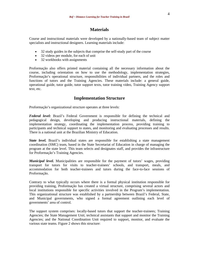## **Materials**

Course and instructional materials were developed by a nationally-based team of subject matter specialists and instructional designers. Learning materials include:

- 32 study guides in the subjects that comprise the self-study part of the course
- 32 videos per module, for each of unit
- 32 workbooks with assignments

Proformação also offers printed material containing all the necessary information about the course, including orientation on how to use the methodology, implementation strategies, Proformação's operational structure, responsibilities of individual partners, and the roles and functions of tutors and the Training Agencies. These materials include: a general guide, operational guide, tutor guide, tutor support texts, tutor training video, Training Agency support text, etc.

#### **Implementation Structure**

Proformação's organizational structure operates at three levels:

*Federal level:* Brazil's Federal Government is responsible for defining the technical and pedagogical design, developing and producing instructional materials, defining the implementation strategy, coordinating the implementation process, providing training to participants and technical support to states, and monitoring and evaluating processes and results. There is a national unit at the Brazilian Ministry of Education.

*State level.* Brazil's individual states are responsible for establishing a state management coordination (SMC) team, based in the State Secretariat of Education in charge of managing the program at the state level. This team selects and designates staff, and provides the infrastructure for Proformação's Training Agencies.

*Municipal level.* Municipalities are responsible for the payment of tutors' wages, providing transport for tutors for visits to teacher-trainees' schools, and transport, meals, and accommodation for both teacher-trainees and tutors during the face-to-face sessions of Proformação.

Contrary to what typically occurs where there is a formal physical institution responsible for providing training, Proformação has created a virtual structure, comprising several actors and local institutions responsible for specific activities involved in the Program's implementation. This organizational structure was established by a partnership between Brazil's Federal, State, and Municipal governments, who signed a formal agreement outlining each level of governments' area of control.

The support system comprises: locally-based tutors that support the teacher-trainees; Training Agencies; the State Management Unit; technical assistants that support and monitor the Training Agencies; and the National Coordination Unit required to support, monitor, and evaluate the various state teams. Figure 2 shows this structure: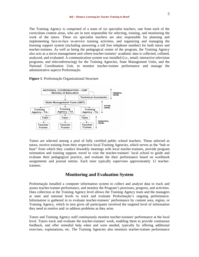The Training Agency is comprised of a team of six specialist teachers, one from each of the curriculum content areas, who are in turn responsible for selecting, training, and monitoring the work of the tutors. These six specialist teachers are also responsible for planning and implementing face-to-face in-service training activities, and organizing and managing the learning support system (including answering a toll free telephone number) for both tutors and teacher-trainees. As well as being the pedagogical center of the program, the Training Agency also acts as a micro management unit where teacher-trainees' academic data is collected, collated, analyzed, and evaluated. A communication system was installed (i.e., email; interactive television programs; and teleconferencing) for the Training Agencies, State Management Units, and the National Coordination Unit, to monitor teacher-trainee performance and manage the administrative aspects Proformação.

#### **Figure 1**. Proformação Organizational Structure



Tutors are selected among a pool of fully certified public school teachers. Those selected as tutors, receive training from their respective local Training Agencies, which serves as the "hub or base" from which they conduct biweekly meetings with local teacher-trainees, provide program orientation and training support, travel to visit the teacher-trainees' local school to guide and evaluate their pedagogical practice, and evaluate the their performance based on workbook assignments and journal entries. Each tutor typically supervises approximately 12 teachertrainees.

### **Monitoring and Evaluation System**

Proformação installed a computer information system to collect and analyze data to track and assess teacher-trainee performance, and monitor the Program's processes, progress, and activities. Data collection at the Training Agency level allows the Training Agency team and the managers at state and national levels to track and evaluate Proformação's ongoing performance. Information is gathered in to evaluate teacher-trainees' performance by content area, region, or Training Agency, which in turn gives all participants involved the targeted level of information they need to resolve and/ or address problems as they arise.

Tutors and Training Agency staff continuously monitor teacher-trainees' performance at the local level. Tutors track and evaluate the teacher-trainees' work, enabling them to provide continuous feedback, and offer remedial help when and were needed, typically by offering additional exercises, explanations, etc. The Training Agencies also monitors teacher-trainee performance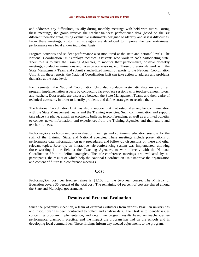and addresses any difficulties, usually during monthly meetings with held with tutors. During these meetings, the group reviews the teacher-trainees' performance data (based on the six different thematic areas) using evaluative instruments designed to identify and assess difficulties. From these meetings, customized strategies are developed to improve the teacher-trainees' performance on a local and/or individual basis.

Program activities and student performance also monitored at the state and national levels. The National Coordination Unit employs technical assistants who work in each participating state. Their role is to visit the Training Agencies, to monitor their performance, observe biweekly meetings, conduct examinations and face-to-face sessions, etc. These professionals work with the State Management Team and submit standardized monthly reports to the National Coordination Unit. From these reports, the National Coordination Unit can take action to address any problems that arise at the state level.

Each semester, the National Coordination Unit also conducts systematic data review on all program implementation aspects by conducting face-to-face sessions with teacher-trainees, tutors, and teachers. Data results are discussed between the State Management Teams and their cadre of technical assessors, in order to identify problems and define strategies to resolve them.

The National Coordination Unit has also a support unit that establishes regular communication with the State Management Teams and the Training Agencies. Such communication and support take place via phone, email, an electronic bulletin, teleconferencing, as well as a printed bulletin, to convey news, information, and experiences from the Training Agencies and their tutors and teacher-trainees.

Proformação also holds midterm evaluation meetings and continuing education sessions for the staff of the Training, State, and National agencies. These meetings include presentations of performance data, information on new procedures, and follow-up discussions on these and other relevant topics. Recently, an interactive tele-conferencing system was implemented, allowing those working in the field at the Teaching Agencies, to work directly with the National Coordination Unit to define strategies. The tele-conference meetings are evaluated by all participants, the results of which help the National Coordination Unit improve the organization and content of future tele-conference meetings.

### **Cost**

Proformação's cost per teacher-trainee is \$1,100 for the two-year course. The Ministry of Education covers 36 percent of the total cost. The remaining 64 percent of cost are shared among the State and Municipal governments.

## **Results and External Evaluation**

Since the program's inception, a team of external evaluators from various Brazilian universities and institutions<sup>[1](http://www.irrodl.org/index.php/irrodl/article/viewArticle/172/387#1)</sup> has been contracted to collect and analyze data. Their task is to identify issues concerning program implementation, and determine program results based on teacher-trainee performance, classroom practice, and the impact the program has had on the schools and in developing local communities. These findings inform any needed adjustments to the program.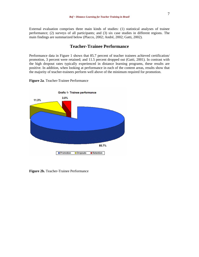External evaluation comprises three main kinds of studies: (1) statistical analyses of trainee performance; (2) surveys of all participants; and (3) six case studies in different regions. The main findings are summarized below (Placco, 2002; André, 2002; Gatti, 2002).

## **Teacher-Trainee Performance**

Performance data in Figure 1 shows that 85.7 percent of teacher trainees achieved certification/ promotion, 3 percent were retained; and 11.5 percent dropped out (Gatti, 2001). In contrast with the high dropout rates typically experienced in distance learning programs, these results are positive. In addition, when looking at performance in each of the content areas, results show that the majority of teacher-trainees perform well above of the minimum required for promotion.





**Figure 2b.** Teacher-Trainee Performance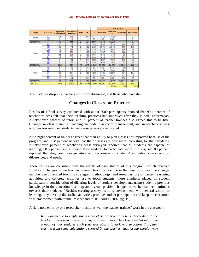|                 |                |                        |                               |            |       |           | Cursistas        |          |                 |                  |
|-----------------|----------------|------------------------|-------------------------------|------------|-------|-----------|------------------|----------|-----------------|------------------|
| Grupo           | <b>Estados</b> | Agéncias<br>Formadoras | Municípios<br><b>Aderidos</b> | <b>ATP</b> | PF    | <b>TR</b> | <b>Inseritos</b> | Promotio | <b>Dropouts</b> | <b>Retention</b> |
| Piloto          | MТ             | 11                     | 118                           | 1          | 66    | 117       | 1.170            | 1.120    |                 | Ō                |
|                 | MS             | 2                      | 28                            | ٠          | 12    | 33        | 203              | 203      |                 | ٥                |
| <b>SUBTOTAL</b> |                | 13                     | 146                           | 2          | 78    | 150       | 1.373            | 1.323    |                 | o                |
| Grupo I         | AC             | 8                      | 23                            | 2          | 78    | 153       | 1.845            | 1.634    | 174             | 37               |
|                 | CE             | 30                     | 74                            | 2          | 180   | 332       | 3.575            | 3.013    | 419             | 143              |
|                 | GO             | 16                     | 156                           | 2          | 102   | 219       | 2.244            | 1.853    | 346             | 45               |
|                 | PB             | 17                     | 102                           | ٩          | 108   | 149       | 1,537            | 1.358    | 148             | 31               |
|                 | PE             | 21                     | 106                           | 2          | 126   | 186       | 1.844            | 1.712    | 95              | 37               |
|                 | PI             | 19                     | 76                            | 2          | 120   | 240       | 2.414            | 2.179    | 163             | 72               |
|                 | RO             | ġ                      | 34                            | ٠          | 60    | 122       | 1.297            | 1.109    | 136             | 52               |
|                 | SE             | 8                      | 52                            | ٠          | 54    | 146       | 1.522            | 1.398    | 94              | 30               |
| <b>SUBTOTAL</b> |                | 128                    | 623                           | 13         | 828   | 1.547     | 16,278           | 14.256   | 1,575           | 447              |
| Grupo II        | <u>AL</u>      | 5                      | 35                            | 1          | 36    | 60        | 678              | 615      | 49              | 14               |
|                 | AM             | 6                      | 25                            | 2          | 42    | 131       | 1.274            | 1.003    | 195             | 76               |
|                 | BA             | 30                     | 174                           | 2          | 186   | 422       | 4,435            | 3,627    | 631             | 177              |
|                 | MA             | 12                     | 50                            | 1          | 78    | 207       | 2.431            | 1.935    | 423             | 73               |
|                 | тο             | 15                     | 54                            | ٩          | 90    | 79        | 903              | 660      | 216             | 27               |
| <b>SUBTOTAL</b> |                | 68                     | 338                           | 7          | 432   | 899       | 9.721            | 7,840    | 1.514           | 367              |
| <b>TOTAL</b>    |                | 209                    | 1.107                         | 22         | 1,338 | 2.596     | 27.372           | 23,419   | 3.088           | 815              |
|                 |                |                        |                               |            |       |           |                  | 85.6%    | 11.3%           | 3.0%             |

This includes dropouts, teachers who were dismissed, and those who have died.

#### **Changes in Classroom Practice**

Results of a final survey conducted with about 2000 participants, showed that 99.4 percent of teacher-trainees felt that their teaching practices had improved after they joined Proformação. Ninety-seven percent of tutors and 99 percent of teacher-trainees also agreed this to be true. Changes in class planning, teaching methods, classroom management, and in teacher-trainees' attitudes towards their students, were also positively registered.

Nine-night percent of trainees agreed that their ability to plan classes has improved because of the program, and 98.8 percent believe that their classes are now more interesting for their students. Ninety-seven percent of teacher-trainees' surveyed reported that all students are capable of learning; 98.5 percent are allowing their students to participate more in class; and 83 percent reported that they are more sensitive and responsive to students' individual characteristics, differences, and needs.

These results are consistent with the results of case studies of this program, which revealed significant changes in the teacher-trainees' teaching practice in the classroom. Positive changes include: use of refined teaching strategies, methodology, and resources; use of games, reasoning activities, and concrete activities use to teach students; more emphasis placed on student participation; consideration of differing levels of student development; using student's previous knowledge in the educational setting; and overall positive changes in teacher-trainee's attitudes towards their students. "Besides creating a cozy learning environment, with several stimuli to learning, they develop diversified activities, promote student participation and keep the classroom with environment with mutual respect and trust" (André, 2002, pg. 19).

A field note entry by one researcher illustrates well the teacher-trainees' work in the classroom:

*It is worthwhile to emphasize a math class observed on 06/11. According to the teacher, it was based on Proformação study guides. The class, divided into three groups of four students each (one was absent today), was to follow this plan: starting from some calculations showed by the teacher, each group should write*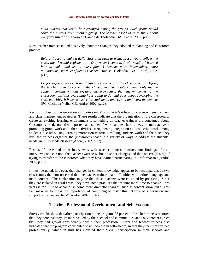*math quizzes that would be exchanged among the groups. Each group would solve the quizzes from another group. The teacher asked them to think about everyday situations* (Diário de Campo de Teolândia, BA; André, 2002, p.19).

Most teacher-trainees talked positively about the changes they adopted in planning and classroom practice:

*Before, I used to make a daily class plan back to front: first I would deliver the class, then I would register it. . . Only when I came to Proformação, I learned how to make and use a class plan. I became more independent, more autonomous, more confident* (Teacher Trainee, Teolândia, BA; André, 2002, p.12).

*Proformação is very rich and helps a lot teachers in the classroom . . . Before, the teacher used to come to the classroom and dictate content, only dictate content, content without explanation. Nowadays, the teacher comes to the classroom, explains everything he is going to do, and goes about developing the class activities. It became easier for students to understand and learn the content* (PC, Cacimba Velha, CE; André, 2002, p.12).

Results of classroom observation also points out Proformação's effects on classroom environment and class management strategies. These results indicate that the organization of the classroom to create an exciting learning environment is something all teacher-trainees are concerned about. Classrooms are decorated with posters and students' work, and teacher-trainees are more active in promoting group work and other activities, strengthening integration and collective work among students. "Besides using learning motivation materials, valuing students work and the place they live, the trainees organize the (classroom) space in a variety of ways to address the students' needs, in multi-grade classes" (André, 2002, p.17).

Results of these and other interview s with teacher-trainees reinforce our findings: "In all interviews, one can note the teacher awareness about his/ her changes and the concern (desire) of trying to transfer to the classroom what they have learned participating in Proformação "(André, 2002, p.12)

It must be noted, however, that changes in content knowledge appear to be less apparent. In two classrooms, the tutor observed that the teacher-trainees had difficulties with written language and math content. "The explanation may be that those teachers were educated by practicing. Since they are isolated in rural areas, they have some practices that require more time to change. Two years is too little to accomplish some more dramatic changes, such as content knowledge. This fact make us to stress the importance of continuing to foster this network of supervision and support of trainee teachers" (Andre, 2002, p. 32).

#### **Teacher Professional Development and Self-Esteem**

Survey results show that after participation in the program, 98 percent of teacher trainees reported that they perceive they are more valued by their school and communities, and 99.3 percent agreed that they had grown considerably within their profession. Tutors and teacher-trainees also indicated that the program contributed to an increase in self-esteem, in that they feel more valued professionally, which in turn has elevated their overall participation in their schools and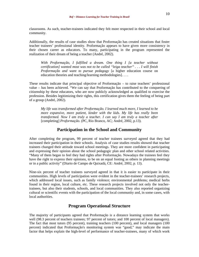classrooms. As such, teacher-trainees indicated they felt more respected in their school and local community.

Additionally, the results of case studies show that Proformação has created situations that foster teacher trainees' professional identity. Proformação appears to have given more consistency in their chosen career as educators. To many, participating in the program represented the realization of their dream of being a teacher (André, 2002).

*With Proformação, I fulfilled a dream. One thing I [a teacher without certification] wanted most was not to be called "leiga teacher" . . . I will finish Proformação and want to pursue pedagogy* [a higher education course on education theories and teaching/learning methodologies]. . . .

These results indicate that principal objective of Proformação – to raise teachers' professional value – has been achieved. "We can say that Proformação has contributed to the conquering of citizenship by these educators, who are now publicly acknowledged as qualified to exercise the profession. Besides legitimizing their rights, this certification gives them the feeling of being part of a group (André, 2002).

*My life was transformed after Proformação. I learned much more, I learned to be more expansive, more patient, kinder with the kids. My life has really been transformed. Now I am truly a teacher. I can say I am truly a teacher after*  [completing] *Proformação.* (PC, Rio Branco, AC; André, 2002, p.13).

# **Participation in the School and Community**

After completing the program, 99 percent of teacher trainees surveyed agreed that they had increased their participation in their schools. Analysis of case studies results showed that teacher trainees changed their attitude toward school meetings. They are more confident in participating and expressing their opinion about the school pedagogic plan and other school related activities. "Many of them began to feel they had rights after Proformação. Nowadays the trainees feel they have the right to express their opinions, to be on an equal footing as others in planning meetings or in a public activity" (Diario de Campo de Quixadá, CE: André, 2002, p. 13).

Nine-six percent of teacher trainees surveyed agreed in that it is easier to participate in their communities. High levels of participation were evident in the teacher-trainees' research projects, which addressed local issues, such as family violence; environmental problems; medical herbs found in their region, local culture, etc. These research projects involved not only the teachertrainees, but also their students, schools, and local communities. They also reported organizing cultural or scientific events with the participation of the local community and, in some cases, with local authorities.

# **Program Operational Structure**

The majority of participants agreed that Proformação is a distance learning system that works well (98.3 percent of teachers trainees; 97 percent of tutors; and 100 percent of local managers). The fact that most tutors (95 percent), training teachers (100 percent), and local managers (100 percent) indicated that Proformação's monitoring system was "good," may indicate the main factor that helps explain the high-level of performance of teacher-trainees, many of which work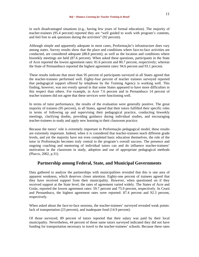in such disadvantaged situations (e.g., having few years of formal education). The majority of teacher-trainees (95.4 percent) reported they are "well guided to work with program's contents, and feel free to ask questions during the activities" (92 percent).

Although simple and apparently adequate in most cases, Proformação's infrastructure does vary among states. Survey results show that the place and conditions where face-to-face activities are conducted, are considered adequate (88.8 percent); as well as the location and conditions where biweekly meetings are held (87.6 percent). When asked these questions, participants in the State of Acre reported the lowest agreement rates: 81.6 percent and 80.7 percent, respectively; whereas the State of Permambuco reported the highest agreement rates: 94.6 percent and 93.1 percent.

These results indicate that more than 95 percent of participants surveyed in all States agreed that the teacher-trainees performed well. Eighty-four percent of teacher trainees surveyed reported that pedagogical support offered by telephone by the Training Agency is working well. This finding, however, was not evenly spread in that some States appeared to have more difficulties in this respect than others. For example, in Acre 7.6 percent and in Pernambuco 14 percent of teacher trainees did not agree that these services were functioning well.

In terms of tutor performance, the results of the evaluation were generally positive. The great majority of trainees (95 percent), in all States, agreed that their tutors fulfilled their specific roles in terms of following up and supervising their pedagogical practice, conducting biweekly meetings, clarifying doubts, providing guidance during individual studies, and encouraging teacher-trainees to study and apply new learning to their classroom practice.

Because the tutors' role is extremely important in Proformação pedagogical model, these results are extremely important. Indeed, when it is considered that teacher-trainees teach different grade levels, and yet the majority have not even completed basic education themselves, the role of the tutor in Proformação becomes truly central to the program's overall success. The presence and ongoing coaching and mentoring of individual tutors can and do influence teacher-trainees' motivation in the classroom in study, adoption and use of appropriate pedagogical methods (Placco, 2002, p.31).

## **Partnership among Federal, State, and Municipal Governments**

Data gathered to analyze the partnerships with municipalities revealed that this is one area of apparent weakness, which deserves closer attention. Eighty-one percent of trainees agreed that they have received support from their municipality. However, when questioned on if they received support at the State level, the rates of agreement varied widely. The States of Acre and Goiás, reported the lowest agreement rates: 59.7 percent and 75.9 percent, respectively. In Ceará and Pernambuco, the highest agreement rates were reported: 87.4 percent and 92.3 percent, respectively.

When asked about the face-to-face sessions, the teacher-trainees' surveyed revealed weak points: lack of transportation (23 percent), and inadequate food (14.9 percent).

Of those surveyed, 89 percent of tutors reported that their salary was paid by their local municipality. Nevertheless, 44 percent of those same tutors surveyed indicated they did not have funding for transportation necessary to travel to the teacher-trainees' schools. Because these rates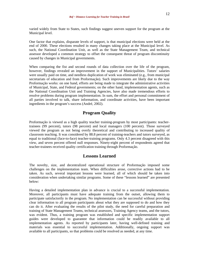varied widely from State to States, such findings suggest uneven support for the program at the Municipal level.

One factor that explains, disparate levels of support, is that municipal elections were held at the end of 2000. These elections resulted in many changes taking place at the Municipal level. As such, the National Coordination Unit, as well as the State Management Team, and technical assessor developed a common strategy to offset the consequent threat of program discontinuity caused by changes in Municipal governments.

When comparing the fist and second rounds of data collection over the life of the program, however, findings revealed an improvement in the support of Municipalities. Tutors' salaries were usually paid on time, and needless duplication of work was eliminated (e.g., from municipal secretariats of education and from Proformação). Such improvements are likely due to the way Proformação works: on one hand, efforts are being made to integrate the administrative activities of Municipal, State, and Federal governments; on the other hand, implementation agents, such as the National Coordination Unit and Training Agencies, have also made tremendous efforts to resolve problems during program implementation. In sum, the effort and personal commitment of all parties involved to talk, share information, and coordinate activities, have been important ingredients in the program's success (André, 2002).

# **Program Quality**

Proformação is viewed as a high quality teacher training-program by most participants: teachertrainees (99 percent), tutors (98 percent) and local managers (100 percent). Those surveyed viewed the program as not being overly theoretical and contributing to increased quality of classroom teaching. It was considered by 88.8 percent of training-teachers and tutors surveyed, as equal to traditional (face-to-face) teacher-training programs. Only 4.3 percent disagreed with this view, and seven percent offered null responses. Ninety-eight percent of respondents agreed that teacher-trainees received quality certification training through Proformação.

## **Lessons Learned**

The novelty, size, and decentralized operational structure of Proformação imposed some challenges on the implementation team. When difficulties arose, corrective actions had to be taken. As such, several important lessons were learned, all of which should be taken into consideration when undertaking similar programs. Some of these "lessons learned" are presented below:

Having a detailed implementation plan in advance is crucial to a successful implementation. Moreover, all participants must have adequate training from the outset, allowing them to participate satisfactorily in the program. No implementation can be successful without providing clear information to all program participants about what they are supposed to do and how they can do it. After evaluating the results of the pilot study, the need for careful preparation and training of State Management Teams, technical assessors, Training Agency teams, and the tutors, was evident. Thus, a training program was established and specific implementation support guides were developed to guarantee that information could be readily available to all implementation agents. As reported by participants later, having well-defined training and materials was essential to successful implementation. Additionally, ongoing support was available to all participants, so that problems could be resolved as needed, at any time.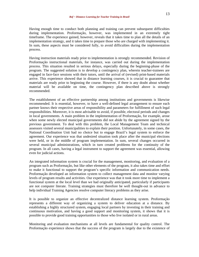Having enough time to conduct both planning and training can prevent subsequent difficulties during implementation. Proformação, however, was implemented in an extremely tight timeframe. The experience gained, however, reveals that it takes time to plan all the details of an implementation strategy, and it takes time to prepare those who are charged with implementing it. In sum, these aspects must be considered fully, to avoid difficulties during the implementation process.

Having instruction materials ready prior to implementation is strongly recommended. Revision of Proformação instructional materials, for instance, was carried out during the implementation process. This situation resulted in serious delays, especially during the beginning-phase of the program. The suggested solution is to develop a contingency plan, wherein teacher-trainees are engaged in face-face sessions with their tutors, until the arrival of (revised) print-based materials arrive. This experience showed that in distance learning courses, it is crucial to guarantee that materials are ready prior to beginning the course. However, if there is any doubt about whether material will be available on time, the contingency plan described above is strongly recommended.

The establishment of an effective partnership among institutions and governments is likewise recommended. It is essential, however, to have a well-defined legal arrangement to ensure each partner knows their respective areas of responsibility and parameters for fulfillment of such legal responsibilities. Moreover, it is most advisable to avoid, if possible, electoral periods and changes in local governments. A main problem in the implementation of Proformação, for example, arose when some newly elected municipal governments did not abide by the agreement signed by the previous government. To deal with this problem, the Local Management Team and technical assessors visited several municipalities to explain their position. Unfortunately, in some cases, the National Coordination Unit had no choice but to engage Brazil's legal system to enforce the agreement. Our experience was that undesired situation took place after the municipal elections were held, or in the middle of program implementation. In sum, several changes occurred in several municipal administrations, which in turn created problems for the continuity of the program. In all cases, having a legal instrument to support the agreement was essential, allowing even for judicial actions.

An integrated information system is crucial for the management, monitoring, and evaluation of a program such as Proformação, but like other elements of the program, it also takes time and effort to make it functional to support the program's specific information and communication needs. Proformação developed an information system to collect management data and monitor varying levels of program results and activities. Our experience was that it took more time to implement a functional system at the local level than we had originally anticipated, particularly if participants are not computer literate. Training strategies must therefore be well thought-out in advance to help individual Training Agencies resolve computer literacy problems as they arise.

It is possible to organize an effective decentralized distance learning system. Proformação represents a different way of organizing a system to deliver education at a distance. By establishing a highly structured system, engaging local partners by investing in their training and continuous motivation, and having a good support and monitoring system, it shows that it is possible to provide good training opportunities to those who live isolated or in rural areas.

Monitoring and evaluation mechanisms at all levels are fundamental for quality control. The Proformação experience shows that the success of the program is largely due to the existence of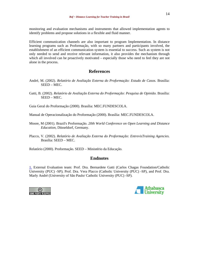monitoring and evaluation mechanisms and instruments that allowed implementation agents to identify problems and propose solutions in a flexible and fluid manner.

Efficient communication channels are also important to program Implementation. In distance learning programs such as Proformação, with so many partners and participants involved, the establishment of an efficient communication system is essential to success. Such as system is not only needed to send and receive relevant information, it also provides the mechanism through which all involved can be proactively motivated – especially those who need to feel they are not alone in the process.

## **References**

- André, M. (2002). *Relatório de Avaliação Externa do Proformação: Estudo de Casos.* Brasília: SEED – MEC.
- Gatti, B. (2002). *Relatório de Avaliação Externa do Proformação: Pesquisa de Opinião.* Brasília: SEED – MEC.

Guia Geral do Proformação (2000). Brasília: MEC.FUNDESCOLA.

Manual de Operacionalização do Proformação (2000). Brasília: MEC.FUNDESCOLA.

- Moore, M (2001). Brazil's Proformação. *20th World Conference on Open Learning and Distance Education*, Düsseldorf, Germany.
- Placco, V. (2002). *Relatório de Avaliação Externa do Proformação: EntrevisTraining Agencies.* Brasília: SEED – MEC.

Relatório (2000). Proformação. SEED – Ministério da Educação.

## **Endnotes**

[1.](http://www.irrodl.org/index.php/irrodl/article/viewArticle/172/387#1b) External Evaluation team: Prof. Dra. Bernardete Gatti (Carlos Chagas Foundation/Catholic University (PUC) -SP); Prof. Dra. Vera Placco (Catholic University (PUC) -SP), and Prof. Dra. Marly André (University of São Paulo/ Catholic University (PUC) -SP).



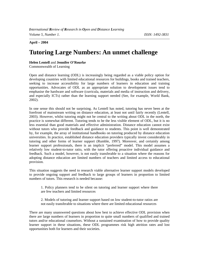#### **April – 2004**

# **Tutoring Large Numbers: An unmet challenge**

#### **Helen Lentell** and **Jennifer O'Rourke**

Commonwealth of Learning

Open and distance learning (ODL) is increasingly being regarded as a viable policy option for developing countries with limited educational resources for buildings, books and trained teachers, seeking to increase accessibility for large numbers of learners in education and training opportunities. Advocates of ODL as an appropriate solution to development issues tend to emphasise the hardware and software (curricula, materials and media of instruction and delivery, and especially ICTs) rather than the learning support needed (See, for example, World Bank, 2002).

In one sense this should not be surprising. As Lentell has noted, tutoring has never been at the forefront of mainstream writing on distance education, at least not until fairly recently (Lentell, 2003). However, whilst tutoring might not be central to the writing about ODL in the north, the practice is somewhat different. Tutoring tends to be the less visible element of ODL, but it is no less essential than good materials and effective administration. Distance education cannot exist without tutors who provide feedback and guidance to students. This point is well demonstrated by, for example, the array of institutional handbooks on tutoring produced by distance education universities. In practice, established distance education providers typically invest considerably in tutoring and other forms of learner support (Rumble, 1997). Moreover, and certainly among learner support professionals, there is an implicit "preferred" model. This model assumes a relatively low student-to-tutor ratio, with the tutor offering proactive individual guidance and feedback. Such a model, however, is not easily transferable to a situation where the reasons for adopting distance education are limited numbers of teachers and limited access to educational provision.

This situation suggests the need to research viable alternative learner support models developed to provide ongoing support and feedback to large groups of learners in proportion to limited numbers of tutors. This research is needed because:

1. Policy planners tend to be silent on tutoring and learner support where there are few teachers and limited resources

2. Models of tutoring and learner support based on low student-to-tutor ratios are not easily transferable to situations where there are limited educational resources

There are many unanswered questions about how best to achieve effective ODL provision when there are large numbers of learners in proportion to quite small numbers of qualified and trained tutors and/or educational counselors. Without a sustained examination of how to provide quality learner support in these situations, these ODL programmes risk high attrition rates and lost opportunities both for learners and their societies.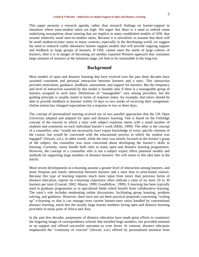This paper presents a research agenda, rather than research findings on learner-support in situations where tutor-student ratios are high. We argue that there is a need to rethink some underlying assumptions about tutoring that are implicit in many established models of ODL that assume relatively small tutor-to-student ratios. Because it is unrealistic to assume that there will be small student-to-tutor ratios in many contexts, especially in the developing world, we suggest the need to research viable alternative learner support models that will provide ongoing support and feedback to large groups of learners. If ODL cannot meet the needs of large cohorts of learners, then it is in danger of becoming yet another exported Western approach that consumes large amounts of resource at the initiation stage, yet fails to be sustainable in the long-run.

## **Background**

Most models of open and distance learning that have evolved over the past three decades have assumed consistent and personal interaction between learners and a tutor. This interaction provides motivation, guidance, feedback, assessment, and support for learners. But the frequency and level of interaction assumed by this model is feasible only if there is a manageable group of learners assigned to each tutor. Definitions of "manageable" vary among providers, but the guiding principle is usually stated in terms of response times: for example, that tutors should be able to provide feedback to learners within 10 days to two weeks of receiving their assignment. Online tuition has changed expectations for a response to two or three days.

The concept of personalised tutoring evolved out of two parallel approaches that the UK Open University adopted and adapted for open and distance learning. One is based on the Oxbridge concept of the tutorial in which a tutor with subject expertise meets with a small number of students and comments on each individual learner's work (Mills, 1999). The other is the concept of a counsellor, who "would not necessarily have expert knowledge of every specific element of the course, but would be concerned with the educational process in which the student was engaged" (Sewart, n.d.). In other words, while the tutor was mostly focused on the learner's grasp of the subject, the counsellor was most concerned about developing the learner's skills in learning. Currently, tutors handle both roles in many open and distance learning programmes. However, the concept of a counsellor who is not a subject expert offers potential models and methods for supporting large numbers of distance learners. We will return to this idea later in the article.

More recent developments in e-learning assume a greater level of interaction among learners, and more frequent and timely interaction between learners and a tutor than in print-based courses. Because this type of learning requires much more input from tutors than previous forms of distance education, reports on e-learning experience often indicate a ratio of no more 20 to 30 learners per tutor (Conrad, 2002; Mason, 1999; Goodfellow, 1999). E-learning has been typically used in graduate programmes or in specialised fields which benefit from collaborative learning. The tutor's role includes moderating online discussions, facilitating group learning, problem solving, and guidance. However, there have not yet been practical proposals concerning "scaling up" e-learning so that it can manage even current learner-tutor ratios handled by conventional distance learning, much less the usually large learner numbers facing open and distance learning providers in many parts of Africa and Asia.

In the past few decades, proponents of distance education have made great efforts to counteract the lingering image of correspondence schools that enrolled huge numbers, but provided minimal or no support and offered successful outcomes to even fewer. In contrast, distance educators emphasised the "continuity of concern" (Sewart, n.d.) offered by personalised attention from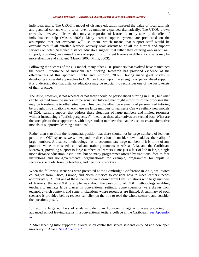individual tutors. The UKOU's model of distance education stressed the value of local tutorials and personal contact with a tutor, even as numbers expanded dramatically. The UKOU's own research, however, indicates that only a proportion of learners actually take up the offer of individualised help (Mason, 2003). Many learner support systems are predicated on the assumption that not everyone will use them, which means that support staff would be overwhelmed if all enrolled learners actually took advantage of all the tutorial and support services on offer. Seasoned distance educators suggest that rather than offering one-size-fits-all support, providing customised levels of support for different learners in different contexts may be more effective and efficient (Mason, 2003; Mills, 2003).

Following the success of the OU model, many other ODL providers that evolved have maintained the central importance of individualised tutoring. Research has provided evidence of the effectiveness of this approach (Gibbs and Simpson, 2002). Having made great strides in developing successful approaches to ODL predicated upon the strengths of personalised support, it is understandable that distance educators may be reluctant to reconsider one of the basic tenets of their practice.

The issue, however, is not whether or not there should be personalised tutoring in ODL, but what can be learned from the success of personalised tutoring that might inform us of the processes that may be transferable to other situations. How can the effective elements of personalised tutoring be brought into situations where there are large numbers of learners? Can we rethink new models of ODL learning support that address these situations of large numbers and limited resources without introducing a "deficit perspective" – i.e., that these alternatives are second best. What are the strengths of these approaches with large student numbers that can be used to create alternative models of supportive learning situations?

Rather than start from the judgmental position that there should not be large numbers of learners per tutor in ODL systems, we will expand the discussion to consider how to address the reality of large numbers. A distance methodology has to accommodate large numbers if it is to be of any practical value in most educational and training contexts in Africa, Asia, and the Caribbean. Moreover, providing support to large numbers of learners is not just a fact of life in large, single mode distance education institutions, but on many programmes offered by traditional face-to-face institutions and non-governmental organizations: for example, programmes for pupils in secondary schools, training teachers, and healthcare workers.

When the following scenarios were presented at the Cambridge Conference in 2003, we invited colleagues from Africa, Europe, and North America to consider how to meet learners' needs appropriately. All but one of these scenarios were drawn from ODL situations with large numbers of learners; the non-ODL example was about the possibility of ODL methodology enabling teachers to manage large classes in conventional settings. Some scenarios were drawn from technology-rich contexts and some in situations where resources are limited. A summary of each scenario is provided below; readers can click on the title to read the whole scenario and consider the questions posed.

1. Tutoring large numbers of students older than 16 years of age who were preparing for advanced school leaving exams in a conventional tertiary college in the Caribbean. [See Appendix](http://www.irrodl.org/index.php/irrodl/article/viewArticle/171/253#appendix_one)  [1](http://www.irrodl.org/index.php/irrodl/article/viewArticle/171/253#appendix_one).

2. Strengthening tutor support at a local study centre that serves students enrolled at a new open university in Africa. [See Appendix 2.](http://www.irrodl.org/index.php/irrodl/article/viewArticle/171/253#appendix_two)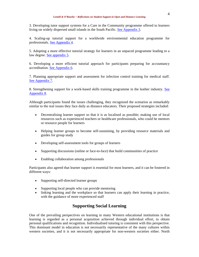3. Developing tutor support systems for a Care in the Community programme offered to learners living on widely dispersed small islands in the South Pacific. [See Appendix 3](http://www.irrodl.org/index.php/irrodl/article/viewArticle/171/253#appendix_three).

4. Scaling-up tutorial support for a worldwide environmental education programme for professionals. [See Appendix 4.](http://www.irrodl.org/index.php/irrodl/article/viewArticle/171/253#appendix_four)

5. Adopting a more effective tutorial strategy for learners in an unpaced programme leading to a law degree. [See appendix 5.](http://www.irrodl.org/index.php/irrodl/article/viewArticle/171/253#appendix_five)

6. Developing a more efficient tutorial approach for participants preparing for accountancy accreditation. [See Appendix 6.](http://www.irrodl.org/index.php/irrodl/article/viewArticle/171/253#appendix_six)

7. Planning appropriate support and assessment for infection control training for medical staff. [See Appendix 7](http://www.irrodl.org/index.php/irrodl/article/viewArticle/171/253#appendix_seven).

8. Strengthening support for a work-based skills training programme in the leather industry. See [Appendix 8.](http://www.irrodl.org/index.php/irrodl/article/viewArticle/171/253#appendix_eight)

Although participants found the issues challenging, they recognized the scenarios as remarkably similar to the real issues they face daily as distance educators. Their proposed strategies included:

- Decentralising learner support so that it is as localised as possible; making use of local resources such as experienced teachers or healthcare professionals, who could be mentors or resource people for learners
- Helping learner groups to become self-sustaining, by providing resource materials and guides for group study
- Developing self-assessment tools for groups of learners
- Supporting discussions (online or face-to-face) that build communities of practice
- Enabling collaboration among professionals

Participants also agreed that learner support is essential for most learners, and it can be fostered in different ways:

- Supporting self-directed learner groups
- Supporting local people who can provide mentoring
- linking learning and the workplace so that learners can apply their learning in practice, with the guidance of more experienced staff

# **Supporting Social Learning**

One of the prevailing perspectives on learning in many Western educational institutions is that learning is regarded as a personal acquisition achieved through individual effort, to obtain personal qualifications and recognition. Individualised tutoring is consistent with this perspective. This dominant model in education is not necessarily representative of the many cultures within western societies, and it is not necessarily appropriate for non-western societies either. North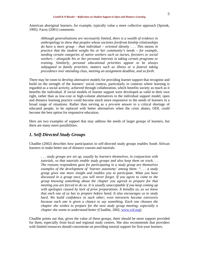American aboriginal learners, for example, typically value a more collective approach (Spronk, 1995). Facey (2001) comments:

*Although generalisations are necessarily limited, there is a wealth of evidence in anthropology to show that peoples whose societies forefront kinship relationships do have a more group – than individual – oriented identity . . . This means in practice that the student weighs his or her community's needs – for example, needing certain categories of native workers such as nurses, foresters or social workers – alongside his or her personal interests in taking certain programs or training. Similarly, personal educational priorities appear to be always subjugated to family priorities, matters such as illness or a funeral taking precedence over attending class, meeting an assignment deadline, and so forth.*

There may be room to develop alternative models for providing learner support that recognise and build on the strength of the learners' social context, particularly in contexts where learning is regarded as a social activity, achieved through collaboration, which benefits society as much as it benefits the individual. If social models of learner support were developed as valid in their own right, rather than as low-cost or high-volume alternatives to the individual support model, open and distance learning practice could become much more responsive to the needs of learners in a broad range of situations. Rather than serving as a *pro-tem* answer to a critical shortage of educated people, to be replaced with better alternatives when the crisis abates, ODL could become the best option for responsive education.

Here are two examples of support that may address the needs of larger groups of learners, but there are many more possibilities:

## *1. Self-Directed Study Groups*

Chadibe (2002) describes how participation in self-directed study groups enables South African learners to make better use of distance courses and tutorials:

*. . . study groups are set up, usually by learners themselves, in conjunction with tutorials, so that tutorials enable study groups and also keep them on track. . . The reasons respondents gave for participating in a study group are themselves examples of the development of 'learner autonomy' among them: ". . . a study group gives one more insight and enables you to participate. What you have discussed in a group once, you will never forget. If you agree to come to the group knowing something about the chapter you agreed to prepare for that meeting you are forced to do so. It is usually unacceptable if you keep coming up with apologies caused by lack of prior preparations. It benefits us, as we know that each one of us has to prepare before hand. It also encourages us to study hard. We build confidence in each other; even introverts become extroverts because each one is given a chance to say something. Each one chooses the chapter she wishes to prepare for the next study group meeting; especially a chapter she wants to understand better* (Chadibe, 2002, [www.col.org\)](http://www.col.org/).

Chadibe points out that, given the value of these groups, there should be more support provided for them, especially from local and regional study centres. She also recommends that providers with limited resources should concentrate on providing tutorial support for first-year learners.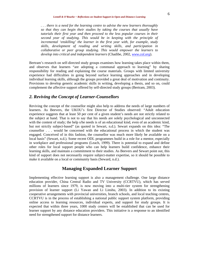*. . . there is a need for the learning centre to advise the new learners thoroughly so that they can begin their studies by taking the courses that usually have tutorials their first year and then proceed to the less popular courses in their second year of studying. This would be in keeping with the principle of incremental 'enskilling' the learner in the first year with, for example, study skills, development of reading and writing skills, and participation in collaborative or peer group studying. This would empower the learners to develop into critical and independent learners* (Chadibe, 2002, *[www.col.org](http://www.col.org/)*).

Bertram's research on self-directed study groups examines how learning takes place within them, and observes that learners "are adopting a communal approach to learning" by sharing responsibility for reading and explaining the course materials. Groups with limited university experience had difficulties in going beyond surface learning approaches and in developing individual learning skills, although the groups provided a great deal of motivation and continuity. Provisions to develop generic academic skills in writing, developing a thesis, and so on, could complement the affective support offered by self-directed study groups (Bertram, 2003).

## *2. Reviving the Concept of Learner-Counsellors*

Reviving the concept of the counsellor might also help to address the needs of large numbers of learners. As Beevers, the UKOU's first Director of Studies observed: "Adult education experience suggests that at least 50 per cent of a given student's needs are not strictly related to the subject at hand. That is not to say that his needs are solely psychological and unconnected with the content of study; the help s/he needs is of an educational kind, even of an academic kind, but not strictly subject-based" (as quoted in Sewart, n.d.). Sewart expands on this idea: "The counsellor . . . would be concerned with the educational process in which the student was engaged. Conceived of in this fashion, the counsellor was much more likely be available on a local basis" (Sewart, n.d.). Some recent ODL programmes build in a role for a mentor, especially in workplace and professional programs (Leach, 1999). There is potential to expand and define other roles for local support people who can help learners build confidence, enhance their learning skills, and maintain a commitment to their studies. As Beevers and Sewart point out, this kind of support does not necessarily require subject-matter expertise, so it should be possible to make it available on a local or community basis (Seward, n.d.).

#### **Managing Expanded Learner Support**

Implementing effective learning support is also a management challenge. One large distance education provider, China Central Radio and TV University (CCRTVU), which has served millions of learners since 1979, is now moving into a multi-tier system for strengthening provision of learner support (Li Yawan and Li Linshu, 2003). In addition to its existing cooperative arrangements with provincial universities, branch schools, and local teaching centres, CCRTVU is in the process of establishing a national public support system platform, providing online access to learning resources, individual experts, and support for study groups. It is expected that within three years, 1000 study centers will be established that can be used for learner support by any distance education providers. This initiative is a response to an identified need for strengthened support for distance learners.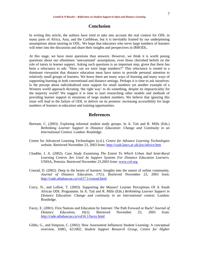#### **Conclusion**

In writing this article, the authors have tried to take into account the real context for ODL in many parts of Africa, Asia, and the Caribbean, but it is inevitably framed by our underpinning assumptions about tutoring in ODL. We hope that educators who serve large numbers of learners will enter into the discussion and share their insights and perspectives in IRRODL.

At this stage, we have more questions than answers. However, we think it is worth posing questions about our oftentimes 'unexamined' assumptions, even those cherished beliefs on the role of tutors in learner support. Asking such questions is an important step, given that there has been a reluctance to ask: "How can we tutor large numbers?" This reluctance is rooted in a dominant viewpoint that distance education must have tutors to provide personal attention to relatively small groups of learners. We know there are many ways of learning and many ways of supporting learning in both conventional and distance settings. Perhaps it is time to ask ourselves: Is the precept about individualized tutor support for small numbers yet another example of a Western world approach dictating 'the right way' to do something, despite its impracticality for the majority world? We suggest it is time to start researching other models and methods of providing learner support in situations of large student numbers. We believe that ignoring this issue will lead to the failure of ODL to deliver on its promise: increasing accessibility for large numbers of learners to education and training opportunities.

## **References**

- Bertram, C. (2003). Exploring informal student study groups. In A. Tait and R. Mills (Eds.) *Rethinking Learner Support in Distance Education: Change and Continuity in an International Context.* London: Routledge.
- Centre for Advanced Learning Technologies (n.d.). *Centre for Advance Learning Technologies website.* Retrieved November 23, 2003 from: <http://csalt.lancs.ac.uk/jisc/advice.htm>
- Chadibe, I. A. (2002). *Case Study Examining The Extent To Which Urban And Semi-Rural Learning Centres Are Used As Support Systems For Distance Education Learners.*  UNISA, Pretoria. Retrieved November 23,2003 from: [www.col.org](http://www.col.org/)
- Conrad, D. (2002). Deep in the hearts of learners: Insights into the nature of online community, *Journal of Distance Education, 17*(1). Retrieved November 23, 2003 from: <http://cade.athabascau.ca/vol17.1/conrad.html>
- Corry, N., and Lelliot, T. (2003). Supporting the Masses? Learner Perceptions Of A South African ODL Programme. In A. Tait and R. Mills (Eds.) *Rethinking Learner Support in Distance Education: Change and continuity in an international context*. London: Routledge.
- Facey, E. (2001). First Nations and Education by Internet: The Path Forward or Back? *Journal of Distance Education, 16*(1). Retrieved November 23, 2003 from: <http://cade.athabascau.ca/vol16.1/facey.html>
- Gibbs, G., and Simpson, C. (2002). How Assessment Influences Student Learning: A conceptual overview. *SSRG, 42/2002, Student Support Research Group, Centre for Higher*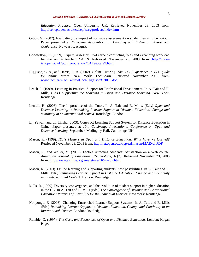*Education Practice*, Open University UK. Retrieved November 23, 2003 from: [http://cehep.open.ac.uk/cehep/ ssrg/projects/index.htm](http://cehep.open.ac.uk/cehep/ssrg/projects/index.htm) 

- Gibbs, G. (2002). Evaluating the impact of formative assessment on student learning behaviour. Paper presented at *European Association for Learning and Instruction Assessment Conference,* Newcastle, August.
- Goodfellow, R. (1999). Expert, Assessor, Co-Learner: conflicting roles and expanding workload for the online teacher. *CAL99*. Retrieved November 23, 2003 from: [http://www](http://www-iet.open.ac.uk/pp/r.goodfellow/CAL99/cal99.html)[iet.open.ac.uk/pp/ r.goodfellow/CAL99/cal99.html](http://www-iet.open.ac.uk/pp/r.goodfellow/CAL99/cal99.html)
- Higgison, C. A., and Harris, R. A. (2002). Online Tutoring. *The OTIS Experience: a JISC guide for online tutors.* New York: TechLearn. Retrieved November 2003 from: [www.techlearn.ac.uk/NewDocs/Higgison%20D3.doc](http://www.irrodl.org/index.php/irrodl/article/viewArticle/v5.1/www.techlearn.ac.uk/newdocs/higgison%20d3.doc)
- Leach, J. (1999). Learning in Practice: Support for Professional Development. In A. Tait and R. Mills, (Eds.) *Supporting the Learning in Open and Distance Learning.* New York: Routledge.
- Lentell, H. (2003). The Importance of the Tutor. In A. Tait and R. Mills, (Eds.) *Open and Distance Learning in Rethinking Learner Support in Distance Education: Change and continuity in an international context*. Routledge: London.
- Li, Yawan, and Li, Linshu (2003). Construct Learning Support System for Distance Education in China. Paper presented at *10th Cambridge International Conference on Open and Distance Learning.* September. Madingley Hall, Cambridge, UK.
- Mason, R. (1999). *IET's Masters in Open and Distance Education: What have we learned?* Retrieved November 23, 2003 from:<http://iet.open.ac.uk/pp/r.d.mason/MAEval.PDF>
- Mason, R., and Weller, M. (2000). Factors Affecting Students' Satisfaction on a Web course. *Australian Journal of Educational Technology, 16*(2). Retrieved November 23, 2003 from:<http://www.ascilite.org.au/ajet/ajet16/mason.html>
- Mason, R. (2003). Online learning and supporting students: new possibilities. In A. Tait and R. Mills (Eds.) *Rethinking Learner Support in Distance Education: Change and Continuity in an International Context.* London: Routledge.
- Mills, R. (1999). Diversity, convergence, and the evolution of student support in higher education in the UK. In A. Tait and R. Mills (Eds.) *The Convergence of Distance and Conventional Education: Patterns of Flexibility for the Individual Learner.* New York: Routledge.
- Nonyongo, E. (2003). Changing Entrenched Learner Support Systems. In A. Tait and R. Mills (Eds.) *Rethinking Learner Support in Distance Education, Change and Continuity in an International Context.* London: Routledge.
- Rumble, G. (1997). *The Costs and Economics of Open and Distance Education.* London: Kogan Page.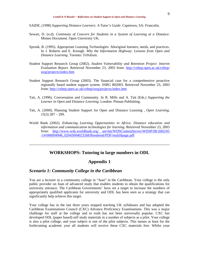- SAIDE, (1998) *Supporting Distance Learners: A Tutor's Guide*. Capetown, SA: Francolin.
- Sewart, D. (n.d). *Continuity of Concern for Students in a System of Learning at a Distance.* Mimeo Document. Open University UK.
- Spronk, B. (1995). Appropriate Learning Technologies: Aboriginal learners, needs, and practices. In J. Roberts and E. Keough. *Why the Information Highway: Lessons from Open and Distance Learning*. Toronto: Trifolium.
- Student Support Research Group (2002). *Student Vulnerability and Retention Project: Interim Evaluation Report.* Retrieved November 23, 2003 from: [http://cehep.open.ac.uk/cehep/](http://cehep.open.ac.uk/cehep/ssrg/projects/index.htm)  [ssrg/projects/index.htm](http://cehep.open.ac.uk/cehep/ssrg/projects/index.htm)
- Student Support Research Group (2003). The financial case for a comprehensive proactive regionally based student support system. SSRG 802003. Retrieved November 23, 2003 from:<http://cehep.open.ac.uk/cehep/ssrg/projects/index.htm>
- Tait, A. (1996). Conversation and Community. In R. Mills and A. Tait (Eds.) *Supporting the Learner in Open and Distance Learning.* London: Pitman Publishing.
- Tait, A. (2000). Planning Student Support for Open and Distance Learning , *Open Learning*, *15*(3) 287 – 299.
- World Bank (2002). *Enhancing Learning Opportunities in Africa: Distance education and information and communication technologies for learning.* Retrieved November 23, 2003 from: [http://www-wds.worldbank.org/ servlet/WDSContentServer/WDSP/IB/2002/05](http://www-wds.worldbank.org/servlet/WDSContentServer/WDSP/IB/2002/05/14/000094946_02043004023268/Rendered/PDF/multi0page.pdf)  [/14/000094946\\_02043004023268/Rendered/PDF/multi0page.pdf](http://www-wds.worldbank.org/servlet/WDSContentServer/WDSP/IB/2002/05/14/000094946_02043004023268/Rendered/PDF/multi0page.pdf)

#### **WORKSHOPS: Tutoring in large numbers in ODL**

#### **Appendix 1**

#### *Scenario 1: Community College in the Caribbean*

You are a lecturer in a community college in "Juan" in the Caribbean. Your college is the only public provider on Juan of advanced study that enables students to obtain the qualifications for university entrance. The Caribbean Governments' have set a target to increase the numbers of appropriately qualified applicants for university and ODL has been seen as a strategy that can significantly help achieve this target.

Your college has in the last three years stopped teaching UK syllabuses and has adopted the Caribbean Examinations Council (CXC) Advance Proficiency Examinations. This was a major challenge for staff at the college and in truth has not been universally popular. CXC has developed ODL (paper based) self study materials in a number of subjects as a pilot. Your college is also a pilot college, and your subject is one of the pilot subjects. This means at least for the forthcoming academic year all students will receive these CXC materials free. Whilst your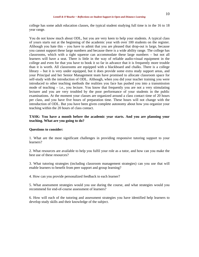college has some adult education classes, the typical student studying full time is in the 16 to 18 year range.

You do not know much about ODL, but you are very keen to help your students. A typical class of yours starts out at the beginning of the academic year with over 100 students on the register. Although you hate this – you have to admit that you are pleased that drop-out is large, because you cannot support these large numbers and because there is a wide ability range. The college has classrooms, which with a tight squeeze can accommodate these large numbers – but not all learners will have a seat. There is little in the way of reliable audio-visual equipment in the college and even for that you have to book it so far in advance that it is frequently more trouble than it is worth. All classrooms are equipped with a blackboard and chalks. There is a college library – but it is very under equipped, but it does provide some extra study support areas, and your Principal and her Senior Management team have promised to allocate classroom space for self-study with the introduction of ODL. Although, when you did your teacher training you were introduced to other teaching methods the realities you face has pushed you into a transmission mode of teaching – i.e., you lecture. You know that frequently you are not a very stimulating lecturer and you are very troubled by the poor performance of your students in the public examinations. At the moment your classes are organized around a class contact time of 20 hours per class, and you have five hours of preparation time. These hours will not change with the introduction of ODL. But you have been given complete autonomy about how you organize your teaching within the 20 hours of class contact.

#### **TASK: You have a month before the academic year starts. And you are planning your teaching. What are you going to do?**

#### **Questions to consider:**

1. What are the most significant challenges in providing responsive tutoring support to your learners?

2. What resources are available to help you fulfil your role as a tutor, and how can you make the best use of these resources?

3. What tutoring strategies (including classroom management strategies) can you use that will enable learners to benefit from peer support and group learning?

4. How can you provide personalized feedback to each learner?

5. What assessment strategies would you use during the course, and what strategies would you recommend for end-of-course assessment of learners?

6. How will each of the tutoring and assessment strategies you have identified help learners to develop study skills and their knowledge of the subject.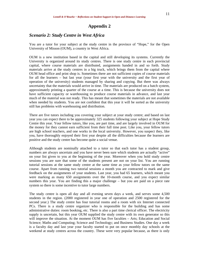## **Appendix 2**

## *Scenario 2: Study Centre in West Africa*

You are a tutor for your subject at the study centre in the province of "Hope," for the Open University of Misson (OUM), a country in West Africa.

OUM is a new institution based in the capital and still developing its systems. Currently the University is organized around its study centres. There is one study centre in each provincial capital, where course materials are distributed, assignments handed in and so forth. Study materials arrive at the study centres in a big truck, which brings them from the capital where OUM head office and print shop is. Sometimes there are not sufficient copies of course materials for all the learners – but last year (your first year with the university and the first year of operation of the university) students managed by sharing and copying. But there was always uncertainty that the materials would arrive in time. The materials are produced on a batch system, approximately printing a quarter of the course at a time. This is because the university does not have sufficient capacity or warehousing to produce course materials in advance, and last year much of the material was not ready. This has meant that sometimes the materials are not available when needed by students. You are not confident that this year it will be sorted as the university still has problems with warehousing and distribution.

There are five tutors including you covering your subject at your study centre; and based on last year you can expect there to be approximately 325 students following your subject at Hope Study Centre this year. Your fellow tutors, like you, are part time, and are largely involved in OUM for the money for they cannot earn sufficient from their full time post. Like you, your fellow tutors are high school teachers, and one works in the local university. However, you suspect they, like you, have thoroughly enjoyed their first year despite all the difficulties because the learners are positive and the study centre has become quite a social venue.

Although students are nominally attached to a tutor so that each tutor has a student group, numbers are always uncertain and you have never been sure which students are actually "active" on your list given to you at the beginning of the year. Moreover when you hold study centre sessions you are sure that some of the students present are not on your list. You are running tutorial sessions at the same study centre at the same time as your fellow tutors on the same course. Apart from running two tutorial sessions a month you are contracted to mark and give feedback on the assignments of your students. Last year, you had 65 learners, which meant you were marking as many 650 assignments over the 10-month course, and you expect similar numbers this year. You are finding this a major challenge – but you are paid on a piece rate system so there is some incentive to tutor large numbers.

The study centre is open all day and all evening seven days a week, and serves some 4,500 students in the region. (2000 registered in year one of operation and 2500 registered for the second year.) The study centre has four tutorial rooms and a room with six Internet connected PCs. There is a study centre organizer who is responsible for the building and has some administrative duties: room booking, etc. There is also a part time clerical officer. The electricity supply is uncertain, but this year OUM supplied the study centre with its own generator so this will improve the situation. At the moment OUM has five faculties – Arts; Education and Social Science; Maths and Computing; Science and Technology; and Business Studies. One day a week is a faculty day and last year your faculty started to put on once monthly day schools at the weekend at study centres across the country. These were very popular because, as there is only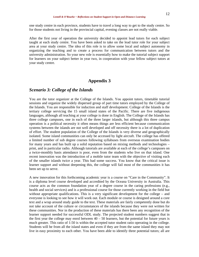one study centre in each province, students have to travel a long way to get to the study centre. So for those students not living in the provincial capital, evening classes are not really viable.

After the first year of operation the university decided to appoint lead tutors for each subject taught at each study centre. You have been asked to take on the lead tutor role for your subject area at your study centre. The idea of this role is to allow some local and subject autonomy in organizing the teaching and to create a process for communication between tutors and the university administration. So your new role is essentially how to make the tutorial subject support for learners on your subject better in year two, in cooperation with your fellow subject tutors at your study centre.

#### **Appendix 3**

#### *Scenario 3: College of the Islands*

You are the tutor organizer at the College of the Islands. You appoint tutors, timetable tutorial sessions and organize the widely dispersed group of part time tutors employed by the College of the Islands. You are responsible for induction and staff development. College of the Islands is the tertiary college servicing the 15 small island states of the Pacific. There are five indigenous languages, although all teaching at your college is done in English. The College of the Islands has three college campuses, one in each of the three larger islands, but although this three campus operation is a political necessity it often means things are less efficient because communication systems between the islands are not well developed and off necessity there is a lot of duplication of effort. The student population of the College of the Islands is very diverse and geographically isolated. Some island communities can only be accessed by light aircraft. The college has offered a limited number of sub degree courses following syllabuses from overseas examination bodies for many years and has built up a solid reputation based on mixing methods and technologies – print, and in particular radio. Although tutorials are available at each of the college's campuses on a twice-monthly basis attendance is poor, even from the students who live on that island. One recent innovation was the introduction of a mobile tutor team with the objective of visiting each of the smaller islands twice a year. This had some success. You know that the critical issue is learner support and without deepening this, the college will fail most of the communities it has been set up to serve.

A new innovation for this forthcoming academic year is a course on "Care in the Community". It is a diploma level course developed and accredited by the Oceana University in Australia. This course acts as the common foundation year of a degree course in the caring professions (e.g., health and social services) and is a professional course for those currently working in the field but without appropriate qualifications. This is a very significant development for the college – and everyone is looking to see how it will work out. Each module or course is designed around a core text and a wrap around study guide to the text. These materials are fairly competently done but do not take account of the culture or circumstances of the islands because they were not written for these communities. Nor in the production of these materials has there been any recognition of the learner support needed for successful ODL study. The projected student numbers suggest that in the first year the college may enrol between  $40 - 50$  learners, but the potential for future years is much greater. This ratio of 1:50 is within the accepted tutor student ratio operating in the college. Students will be from all the island states and even if they are from the same island they may not live in easy proximity to each other. You have been able to identify three potential tutors; all are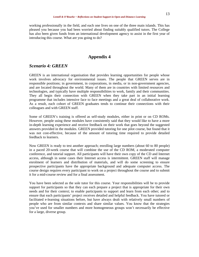working professionally in the field, and each one lives on one of the three main islands. This has pleased you because you had been worried about finding suitably qualified tutors. The College has also been given funds from an international development agency to assist in the first year of introducing this course. What are you going to do?

#### **Appendix 4**

#### *Scenario 4: GREEN*

GREEN is an international organisation that provides learning opportunities for people whose work involves advocacy for environmental issues. The people that GREEN serves are in responsible positions; in government, in corporations, in media, or in non-government agencies, and are located throughout the world. Many of them are in countries with limited resources and technologies, and typically have multiple responsibilities to work, family and their communities. They all begin their connection with GREEN when they take part in an initial learning programme that includes intensive face to face meetings and a great deal of collaborative work. As a result, each cohort of GREEN graduates tends to continue their connections with their colleagues and with GREEN staff.

Some of GREEN's training is offered as self-study modules, either in print or on CD ROMs. However, people using these modules have consistently said that they would like to have a more in-depth learning experience and receive feedback on their work that goes beyond the suggested answers provided in the modules. GREEN provided tutoring for one pilot course, but found that it was not cost-effective, because of the amount of tutoring time required to provide detailed feedback to learners.

Now GREEN is ready to test another approach; enrolling large numbers (about 60 to 80 people) in a paced 20-week course that will combine the use of the CD ROM, a moderated computer conference, and tutorial support. All participants will have their own copy of the CD and Internet access, although in some cases their Internet access is intermittent. GREEN staff will manage enrolment of learners and distribution of materials, and will do some screening to ensure prospective participants have the appropriate background and adequate computer access. The course design requires every participant to work on a project throughout the course and to submit it for a mid-course review and for a final assessment.

You have been selected as the sole tutor for this course. Your responsibilities will be to provide support for participants so that they can each prepare a project that is appropriate for their own needs and for their context; to enable participants to support and learn from each other; and to ensure that each participants' project receives detailed and helpful feedback. You have tutored or facilitated e-learning situations before, but have always dealt with relatively small numbers of people who are from similar contexts and share similar values. You know that the strategies you've used for smaller numbers and more homogeneous groups won't necessarily be effective for a large, diverse group.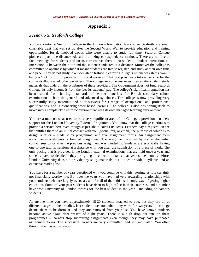## **Appendix 5**

#### *Scenario 5: Seaforth College*

You are a tutor at Seaforth College in the UK on a foundation law course. Seaforth is a small charitable trust that was set up after the Second World War to provide education and training opportunities for de mobbed troops who were unable to study full time. Seaforth College pioneered part-time distance education utilizing correspondence methods. There are no-face-to face meetings for students, and on its core courses there is no student – student interaction, all interaction is between the tutor and the student conducted at a distance. Moreover the college is committed to openness by which it means students are free to register, and study at their own time and pace. They do not study in a "lock-step" fashion. Seaforth College's uniqueness stems from it being a "not for profit" provider of tutorial services. That is it provides a tutorial service for the courses/syllabuses of other providers. The college in some instances creates the student study materials that underpin the syllabuses of these providers. The Government does not fund Seaforth College; its only income is from the fees its students' pay. The college's significant reputation has been earned from its high standards of learner materials for British secondary school examinations – both the general and advanced syllabuses. The college is now providing very successfully study materials and tutor services for a range of occupational and professional qualifications, and is pioneering work based learning. The college is also positioning itself to move into a completely electronic environment with its own managed learning environment.

You are a tutor on what used to be a very significant area of the College's provision – namely support for the London University External Programme. You know that the college continues to provide a service here even though it just about covers its costs. Learners pay a registration fee that entitles them to an initial contact with you (phone, fax, or email) the purpose of which is to design a tailor – made study programme, and five assignment forms. An assignment form accompanies a students' submitted assignment. The assignment was set by you at the initial contact session or after the previous assignment was handed in. Students are essentially having one-to-one tutorial sessions at a distance with you after the submission of a piece of work. The only pacing that is provided is the London external examinations that are held once a year and students have to decide if they are going to enter the exams that year some months before. London University does not provide any study materials, but it does provide a syllabus and an extensive reading list.

You have for a number of years questioned why you continue with this tutoring, as it is certainly not financially worthwhile. But over the years you have had very rewarding relationships with your students, who are largely overseas, and for all of them this is the only way of getting higher education. Some of your past students have risen to high office in their countries, and a number have won University of London awards for the best student in the year – including on campus students.

At anyone time you have approximately 18-20 students attached to you, but they are all at different stages in their studies. If a student does not submit any work for two years, the college deems them to be dormant and they are removed from your list. You have known students become active again after "rests" of eight years. There is a high drop our rate on these programmes – learners stop submitting assignments even though they may have purchased assignment forms. The successful learners are very committed, and self motivated. You often think of them as auto-didacts.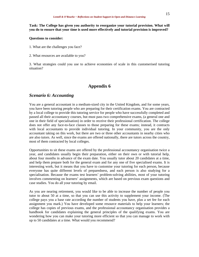**Task: The College has given you authority to reorganize your tutorial provision. What will you do to ensure that your time is used more effectively and tutorial provision is improved?**

#### **Questions to consider:**

1. What are the challenges you face?

2. What resources are available to you?

3. What strategies could you use to achieve economies of scale in this customerised tutoring situation?

## **Appendix 6**

#### *Scenario 6: Accounting*

You are a general accountant in a medium-sized city in the United Kingdom, and for some years, you have been tutoring people who are preparing for their certification exams. You are contracted by a local college to provide this tutoring service for people who have successfully completed and passed all their accountancy courses, but must pass two comprehensive exams, (a general one and one in their field of specialisation) in order to receive their professional certification. The college does not offer any face-to-face classes to those preparing for these exams; instead, it contracts with local accountants to provide individual tutoring. In your community, you are the only accountant taking on this work, but there are two or three other accountants in nearby cities who are also tutors. As well, since the exams are offered nationally, there are tutors across the country, most of them contracted by local colleges.

Opportunities to sit these exams are offered by the professional accountancy organisation twice a year, and candidates usually begin their preparation, either on their own or with tutorial help, about four months in advance of the exam date. You usually tutor about 20 candidates at a time, and help them prepare both for the general exam and for any one of five specialised exams. It is interesting work, but it means that you have to customise your tutoring for each person, because everyone has quite different levels of preparedness, and each person is also studying for a specialisation. Because the exams test learners' problem-solving abilities, most of your tutoring involves commenting on learners' assignments, which are based on previous exam questions and case studies. You do all your tutoring by email.

As you are nearing retirement, you would like to be able to increase the number of people you tutor to about 50 at a time, so that you can use this activity to supplement your income. (The college pays you a base rate according the number of students you have, plus a set fee for each assignment you mark.) You have developed some resource materials to help your learners; the college has copies of previous exams, and the professional accountancy organisation provides a handbook for candidates explaining the general principles of the qualifying exams. You are wondering how you can make your tutoring more efficient so that you can manage to work with up to 50 candidates at a time. What would you recommend?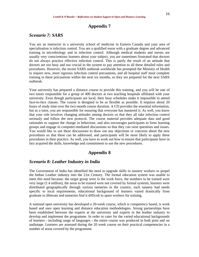## **Appendix 7**

#### *Scenario 7: SARS*

You are an instructor in a university school of medicine in Eastern Canada and your area of specialisation is infection control. You are a qualified nurse with a graduate degree and advanced training in microbiology and in infection control. Although medical students and nurses are usually very conscientious learners about your subject, you are sometimes frustrated that doctors do not always practice effective infection control. This is partly the result of an attitude that doctors are too busy and too crucial to the system to pay attention to all these detailed rules and procedures. However, the recent SARS outbreak worldwide has prompted the Ministry of Health to require new, more rigorous infection control precautions, and all hospital staff must complete training in these precautions within the next six months, so they are prepared for the next SARS outbreak.

Your university has prepared a distance course to provide this training, and you will be one of two tutors responsible for a group of 400 doctors at two teaching hospitals affiliated with your university. Even though participants are local, their busy schedules make it impossible to attend face-to-face classes. The course is designed to be as flexible as possible. It requires about 20 hours of study time over the two-month course duration. A CD provides the essential information, but as a tutor, you are responsible for ensuring that everyone has mastered it. As well, you know that your role involves changing attitudes among doctors so that they all take infection control seriously and follow the new protocol. The course material provides adequate data and good rationales to support the change in behaviour, and also encourages participants to form learning groups and engage in computer-mediated discussions so that they can raise questions and issues. You would like to use these discussions to draw out any objections or concerns about the new procedures so that these can be addressed, and participants will be more likely to apply these procedures in their practice. As well, you have to work out how to ensure that participants have in fact acquired the skills, knowledge and commitment to use the new procedures.

### **Appendix 8**

#### *Scenario 8: Leather Industry in India*

The Government of India has identified the need to upgrade skills in tannery workers to propel the Indian Leather industry into the 21st Century. The formal education system was unable to meet this need because: the target group were in the work force, the numbers to be trained were very large (1.4 million), the areas to be trained were not covered by formal systems, learners were distributed geographically through various tanneries in the country, each tannery had needs specific to local requirements, educational background of learners varied drastically from graduate to illiterate and tanneries find it difficult to spare workers for training.

A national open university has developed a 20-week course, which is competency based, is work based and uses open learning and distance education methodologies. Strong partnerships have been established between the experts at the university and experts in the leather industry to develop and implement the programme. In order to cater for the varied educational backgrounds of learners - including range of languages - the entire course was produced in both print and on audiotape. Learners are assessed during the 20 week course on their practical competencies in a number of areas covered by the programme.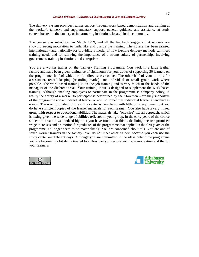The delivery system provides learner support through work based demonstration and training at the worker's tannery; and supplementary support, general guidance and assistance at study centers located in the tannery or in partnering institutions located in the community.

The course was introduced in March 1999, and all the feedback suggests that workers are showing strong motivation to undertake and pursue the training. The course has been praised internationally and nationally for providing a model of how flexible delivery methods can meet training needs and for showing the importance of a strong culture of partnerships involving government, training institutions and enterprises.

You are a worker trainer on the Tannery Training Programme. You work in a large leather factory and have been given remittance of eight hours for your duties of supporting 30 learners on the programme, half of which are for direct class contact. The other half of your time is for assessment, record keeping (recording marks), and individual or small group work where possible. The work-based training is on the job training and is very much in the hands of the managers of the different areas. Your training input is designed to supplement the work-based training. Although enabling employees to participate in the programme is company policy, in reality the ability of a worker to participate is determined by their foremen – are they supportive of the programme and an individual learner or not. So sometimes individual learner attendance is erratic. The room provided for the study center is very basic with little or no equipment but you do have sufficient copies of the learner materials for each learner. You also have a very mixed group with respect to educational abilities. The materials take "one-size" fits all approach, which is taxing given the wide range of abilities reflected in your group. In the early years of the course student motivation was indeed high but you have found that this is declining because promised wage increases and promotion for graduates of the programme that applied in the first years of the programme, no longer seem to be materializing. You are concerned about this. You are one of seven worker trainers in the factory. You do not meet other trainers because you each use the study center on different days. Although you are committed to the ideas behind the programme you are becoming a bit de motivated too. How can you restore your own motivation and that of your learners?



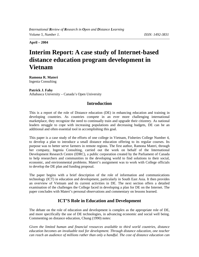**April – 2004** 

# **Interim Report: A case study of Internet-based distance education program development in Vietnam**

**Ramona R. Materi** Ingenia Consulting

**Patrick J. Fahy** Athabasca University – Canada's Open University

# **Introduction**

This is a report of the role of Distance education (DE) in enhancing education and training in developing countries. As countries compete in an ever more challenging international marketplace, they recognize the need to continually train and upgrade their citizenry. As national leaders struggle to cope with increasing populations and decreasing budgets, DE can be an additional and often essential tool in accomplishing this goal.

This paper is a case study of the efforts of one college in Vietnam, Fisheries College Number 4, to develop a plan to introduce a small distance education offering to its regular courses. Its purpose was to better serve farmers in remote regions. The first author, Ramona Materi, through her company, Ingenia Consulting, carried out the work on behalf of the International Development Research Centre (IDRC), a public corporation created by the Parliament of Canada to help researchers and communities in the developing world to find solutions to their social, economic, and environmental problems. Materi's assignment was to work with College officials to develop the DE plan and funding proposal.

The paper begins with a brief description of the role of information and communications technology (ICT) in education and development, particularly in South East Asia. It then provides an overview of Vietnam and its current activities in DE. The next section offers a detailed examination of the challenges the College faced in developing a plan for DE on the Internet. The paper concludes with Materi's personal observations and commentary on lessons learned.

# **ICT'S Role in Education and Development**

The debate on the role of education and development is complex as the appropriate role of DE, and more specifically the use of DE technologies, in advancing economic and social well being. Commenting on distance education, Chung (1990) notes:

*Given the limited human and financial resources available to third world countries, distance education becomes an invaluable tool for development. Through distance education, one teacher can reach an audience of millions rather than only a handful. The cost of distance education can*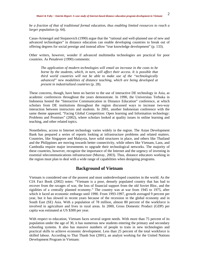*be a fraction of that of traditional formal education, thus enabling limited resources to reach a larger population* (p. 64).

Casas-Armengol and Stojanovich (1990) argue that the "rational and well-planned use of new and advanced technologies" in distance education can enable developing countries to break out of offering degrees for social prestige and instead allow "true knowledge development" (p. 133).

Other writers, however, wonder if advanced multimedia technologies are practical for poor countries. As Penalever (1990) comments:

*The application of modern technologies will entail an increase in the costs to be*  borne by the students, which, in turn, will affect their access. It is possible that *third world countries will not be able to make use of the "technologically advanced" new modalities of distance teaching, which are being developed at present in industrialized countries* (p. 28).

These concerns, though, have been no barrier to the use of interactive DE technology in Asia, as academic conferences throughout the years demonstrate. In 1990, the Universitas Terbuka in Indonesia hosted the "Interactive Communication in Distance Education" conference, at which scholars from DE institutions throughout the region discussed ways to increase two-way interaction between instructors and students. In 2001, another Indonesian conference with the same theme appeared, "Facing Global Competition: Open learning and Information technology: Problems and Promises" (2002), where scholars looked at quality issues in online learning and teaching, and other related topics.

Nonetheless, access to Internet technology varies widely in the region. The Asian Development Bank has prepared a series of reports looking at infrastructure problems and related matters. Countries, like Singapore and Malaysia, have solid structures in place, and others like Thailand and the Philippines are moving towards better connectivity, while others like Vietnam, Laos, and Cambodia require major investments to upgrade their technological networks. The majority of these countries, however, recognize the importance of the Internet and the urgency of investing in essential telecommunications infrastructure (Murray, 2003). Thus, distance educators working in the region must plan to deal with a wide range of capabilities when designing programs.

### **Background of Vietnam**

Vietnam is considered one of the poorest and most underdeveloped countries in the world. As the CIA Fact Book (2002) notes: "Vietnam is a poor, densely populated country that has had to recover from the ravages of war, the loss of financial support from the old Soviet Bloc, and the rigidities of a centrally planned economy." The country was at war from 1945 to 1975, after which it faced an economic embargo until 1990. From 1993-1997, growth averaged 9 percent per year, but it has slowed in recent years because of the recession in the global economy and in South East (SE) Asia. With a population of 78 million, almost 80 percent of the workforce is involved in agriculture and lives in rural areas. In 2000, Gross Domestic Product (GDP) per capita was estimated at US \$300 per year.

With respect to education, Vietnam faces several urgent needs. With more than 75 percent of its population under the age of 30, it has numerous new students entering the primary and secondary schooling systems. It also has massive numbers of people to train in new technologies and practical skills to achieve economic development. Less than 25 percent of the total workforce is skilled labour. According to Thai Thanh Son (2001), an analyst working for the United Nations Development Program in Vietnam: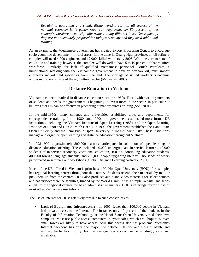*Retraining, upgrading and standardizing working staff in all sectors of the national economy is [urgently required]. Approximately 80 percent of the country's workforce was originally trained along different lines. Consequently, they are not adequately prepared for today's economy and they need additional training.*

As an example, the Vietnamese government has created Export Processing Zones, to encourage socio-economic development in rural areas. In one zone in Quang Ngai province, an oil refinery complex will need 4,000 engineers and 12,000 skilled workers by 2005. With the current state of education and training, however, the complex will do well to have 5 to 10 percent of that required workforce. Similarly, for lack of qualified Vietnamese personnel, British Petroleum, a multinational working with the Vietnamese government to develop offshore oil, must import engineers and oil field specialists from Thailand. The shortage of skilled workers is endemic across industries outside of the agricultural sector (McTavish, 2003).

#### **Distance Education in Vietnam**

Vietnam has been involved in distance education since the 1950s. Faced with swelling numbers of students and needs, the government is beginning to invest more in the sector. In particular, it believes that DE can be effective in promoting human resources training (Son, 2001).

In the mid-1950s, many colleges and universities established units and departments for correspondence training. In the 1980s and 1990s, the government established more formal DE institutions, including the Vietnam Institute of Open Learning (1988), and the Open Learning Institutes of Hanoi and Ho Chi Minh (1990). In 1993, the government established the Hanoi State Open University and the Semi-Public Open University in Ho Chi Minh City. These institutions manage and organize open learning and distance education throughout Vietnam.

In 1998-1999, approximately 800,000 learners participated in some sort of open learning or distance education offering. These included 40,000 undergraduate in-service learners, 10,000 students of in-service secondary vocational education, 100,000 continuing education students, 400,000 foreign language students, and 250,000 people upgrading literacy. Thousands of others participated in seminars and workshops (Global Distance Learning Network, 2001).

Much of the DE offered in Vietnam is print-based. Ha Noi Open University (HOU), for example, has regional learning centres throughout the country. Students receive their materials by mail or pick them up from the centres. HOU also produces audio and video materials for select courses and has videoconference facilities, funded by the World Bank. It has a simple website, and sends emails to the regional centres for basic administrative matters. HOU's offerings mirror those of most other Vietnamese institutions.

The use of Internet for DE is relatively rare due to such constraints as:

• Lack of Equipment/ Infrastructure: In 2001, fewer than 100,000 people in Vietnam had private access to the Internet. For instance, only 10 percent of the students in the Faculty of Information Technology at the Hanoi State Open University had their own computer. Most use public-access computers in cyber cafes, which are ubiquitous; even small towns are likely to have access. Still, this access also has problems. Vietnam's Internet backbone has only one major line between Ha Noi and Ho Chi Minh, and military traffic has priority. For the average user access can be grindingly slow and unreliable.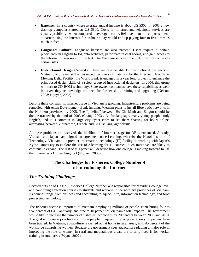- **Expense:** In a country where average annual income is about US \$300, in 2003 a new desktop computer started at US \$800. Costs for Internet and telephone services are equally prohibitive when compared to average income. Relative to an on-campus student, a learner using the Internet for an hour a day would end up paying four to five times as much in fees.
- **Language/ Culture:** Language barriers are also present. Users require a certain proficiency in English to log onto websites, participate in chat rooms, and gain access to the information resources of the Net. The Vietnamese government also restricts access to certain sites.
- **Instructional Design Capacity:** There are few capable DE instructional designers in Vietnam, and fewer still experienced designers of materials for the Internet. Through its Mekong Delta Facility, the World Bank is engaged in a year long project to enhance the print-based design skills of a select group of instructional designers. In 2004, this group will turn to CD-ROM technology. State-owned companies have these capabilities as well, but even they acknowledge the need for further skills training and upgrading (Nelson, 2003; Nguyen, 2003).

Despite these constraints, Internet usage in Vietnam is growing. Infrastructure problems are being remedied with Asian Development Bank funding, Vietnam plans to install fibre optic networks in the Northern provinces by 2005. The "pipeline" between Ho Chi Minh and Saigon should be double-tracked by the end of 2003 (Chang, 2003). As for language, many young people study English, and it is common in large city cyber cafes to see them chatting for hours online, alternating between Vietnamese, French, and English language forums.

As these problems are resolved, the likelihood of Internet usage for DE is enhanced. Already, Vietnam and Japan have signed an agreement on e-Learning, whereby the Hanoi Institute of Technology, Vietnam's 's premier information technology (IT) facility, is working with Japan's Kyoto University to explore the use of e-learning for IT courses. Such initiatives are likely to continue to expand. The rest of this paper will describe how one college is moving forward to use the Internet as a DE teaching tool (Nguyen, 2003).

## **The Challenges for Fisheries College Number 4 of Introducing the Internet**

#### *The Training Challenge*

Located outside of Ha Noi, Fisheries College Number 4 is responsible for providing college level and continuing education courses to students and workers in the northern provinces of Vietnam. Its courses range from business and accounting to aquaculture, information technology, and food processing technology.

The fisheries sector is important to Vietnam, employing millions of people, contributing four to five percent of GDP annually, and nine to 10 percent of Vietnam's total exports. The government would like to increase the number of fisheries technicians by 20 percent between 2000 and 2010. The goal is to create jobs for two million people in aquaculture; at present, only 30 percent have been trained. In Vietnam, aquaculture is carried out at home in rural areas, with 45 percent of the workforce comprising women. Because the government sees aquaculture playing a major role in improving the role of women in rural and mountainous areas, the priority need is for worker training in rural areas (Wyne, 2002).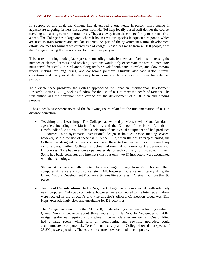In support of this goal, the College has developed a one-week, in-person short course in aquaculture targeting farmers. Instructors from Ha Noi help locally based staff deliver the course, traveling to learning centres in rural areas. They are away from the college for up to one month at a time. The College has a large area where it houses various species in aquaculture ponds, which are used to train farmers and regular students. As part of the government's rural development efforts, courses for farmers are offered free of charge. Class sizes range from 45-100 people, with the College offering the sessions two to three times per year.

This current training model places pressure on college staff, learners, and facilities; increasing the number of classes, learners, and teaching locations would only exacerbate the strain. Instructors must travel frequently in rural areas along roads crowded with carts, bicycles, and slow moving trucks, making for long, tiring, and dangerous journeys. Students also face difficult travel conditions and many must also be away from home and family responsibilities for extended periods.

To alleviate these problems, the College approached the Canadian International Development Research Centre (IDRC), seeking funding for the use of ICT to meet the needs of farmers. The first author was the consultant who carried out the development of a DE plan and funding proposal.

A basic needs assessment revealed the following issues related to the implementation of ICT in distance education:

• **Teaching and Learning:** The College had worked previously with Canadian donor agencies, including the Marine Institute, and the College of the North Atlantic in Newfoundland. As a result, it had a selection of audiovisual equipment and had produced 12 courses using systematic instructional design techniques. Once funding ceased, however, so did the use of these skills. Since 1997, when the design project ended, the College has designed no new courses using these techniques, nor has it revised any existing ones. Further, College instructors had minimal to non-existent experience with DE courses. None had ever developed materials for such courses, nor instructed in them. Some had basic computer and Internet skills, but only two IT instructors were acquainted with the technology.

Student skills were equally limited. Farmers ranged in age from 25 to 65, and their computer skills were almost non-existent. All, however, had excellent literacy skills; the United Nations Development Program estimates literacy rates in Vietnam at more than 90 percent.

• **Technical Considerations:** In Ha Noi, the College has a computer lab with relatively new computers. Only two computers, however, were connected to the Internet, and these were located in the director's and vice-director's offices. Connection speed was 11.5 Kbps, excruciatingly slow and unsuitable for DE activities.

The College has spent more than \$US 750,000 developing an extension training centre in Quang Ninh, a province about three hours from Ha Noi. In September of 2002, navigating the road required a four wheel drive vehicle after any rainfall. One building had a large room, which with air conditioning and rewiring upgrades, could accommodate a computer lab. Tests for connectivity at the College showed that speeds of 28.8Kbps were possible. The extension centre, however, had no computers.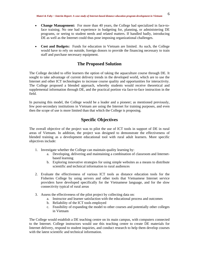- 
- **Change Management:** For more than 40 years, the College had specialized in face-toface training. No one had experience in budgeting for, planning, or administering DE programs, or seeing to student needs and related matters. If handled badly, introducing DE as well as the Internet could thus pose imposing organizational challenges.
- **Cost and Budgets:** Funds for education in Vietnam are limited. As such, the College would have to rely on outside, foreign donors to provide the financing necessary to train staff and purchase necessary equipment.

# **The Proposed Solution**

The College decided to offer learners the option of taking the aquaculture course through DE. It sought to take advantage of current delivery trends in the developed world, which are to use the Internet and other ICT technologies to increase course quality and opportunities for interactivity. The College proposed a blended approach, whereby students would receive theoretical and supplemental information through DE, and the practical portion via face-to-face instruction in the field.

In pursuing this model, the College would be a leader and a pioneer; as mentioned previously, few post-secondary institutions in Vietnam are using the Internet for training purposes, and even then the scope of use is more limited than that which the College is proposing.

# **Specific Objectives**

The overall objective of the project was to pilot the use of ICT tools in support of DE in rural areas of Vietnam. In addition, the project was designed to demonstrate the effectiveness of blended training as a development educational tool with rural adult learners. More specific objectives include:

- 1. Investigate whether the College can maintain quality learning by:
	- a. Developing, delivering and maintaining a combination of classroom and Internetbased learning
	- b. Exploring innovative strategies for using simple websites as a means to distribute scientific and technical information to rural audiences
- 2. Evaluate the effectiveness of various ICT tools as distance education tools for the Fisheries College by using servers and other tools that Vietnamese Internet service providers have developed specifically for the Vietnamese language, and for the slow connectivity typical of rural areas
- 3. Assess the effectiveness of the pilot project by collecting data on:
	- a. Instructor and learner satisfaction with the educational process and outcomes
	- b. Reliability of the ICT tools employed
	- c. Feasibility of expanding the model to other courses and potentially other colleges in Vietnam

The College would establish a DE teaching centre on its main campus, with computers connected to the Internet. College instructors would use this teaching centre to create DE materials for Internet delivery, respond to student inquiries, and conduct research to help them develop courses with the latest scientific and technical information.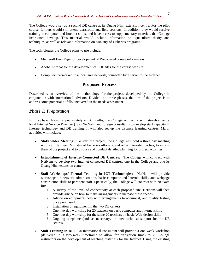The College would set up a second DE centre at its Quang Ninh extension centre. For the pilot course, farmers would still attend classroom and field sessions. In addition, they would receive training in computer and Internet skills, and have access to supplementary materials that College instructors develop. This material would include information on aquaculture theory and techniques, as well as relevant information on Ministry of Fisheries programs.

The technologies the College plans to use include:

- Microsoft FrontPage for development of Web-based course information
- Adobe Acrobat for the development of PDF files for the course website
- Computers networked in a local area network, connected by a server to the Internet

# **Proposed Process**

Described is an overview of the methodology for the project, developed by the College in conjunction with international advisors. Divided into three phases, the aim of the project is to address some potential pitfalls uncovered in the needs assessment.

## *Phase 1: Preparation*

In this phase, lasting approximately eight months, the College will work with stakeholders, a local Internet Service Provider (ISP) NetNam, and foreign consultants to develop staff capacity in Internet technology and DE training. It will also set up the distance learning centres. Major activities will include:

- **Stakeholder Meeting:** To start the project, the College will hold a three day meeting with staff, farmers, Ministry of Fisheries officials, and other interested parties, to inform them of the project and to discuss and conduct detailed planning for project activities.
- **Establishment of Internet-Connected DE Centres:** The College will contract with NetNam to develop two Internet-connected DE centres, one in the College and one its Quang Ninh extension center.
- **Staff Workshops/ Formal Training in ICT Technologies:** NetNam will provide workshops on network administration, basic computer and Internet skills, and webpage construction skills to pertinent staff. Specifically, the College will contract with NetNam for:
	- 1. A survey of the level of connectivity at each proposed site. NetNam will then provide advice on how to make arrangements to increase these speeds
	- 2. Advice on equipment, help with arrangements to acquire it, and quality testing once purchased
	- 3. Installation of equipment in the two DE centers
	- 4. One two-day workshop for 20 teachers on basic computer and Internet skills
	- 5. One two-day workshop for the same 20 teachers on basic Web-design skills
	- 6. Ongoing telephone (and, as necessary, on site) technical support for the DE centres
- **Staff Training in DE:** An international consultant will provide a one-week workshop (delivered in a two-week timeframe to allow for translation time) to 20 College instructors on the development of teaching materials for the Internet. Using the existing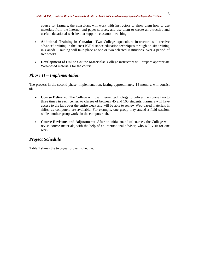course for farmers, the consultant will work with instructors to show them how to use materials from the Internet and paper sources, and use them to create an attractive and useful educational website that supports classroom teaching.

- **Additional Training in Canada:** Two College aquaculture instructors will receive advanced training in the latest ICT distance education techniques through on-site training in Canada. Training will take place at one or two selected institutions, over a period of two weeks.
- **Development of Online Course Materials:** College instructors will prepare appropriate Web-based materials for the course.

## *Phase II – Implementation*

The process in the second phase, implementation, lasting approximately 14 months, will consist of:

- **Course Delivery:** The College will use Internet technology to deliver the course two to three times in each center, to classes of between 45 and 100 students. Farmers will have access to the labs over the entire week and will be able to review Web-based materials in shifts, as computers are available. For example, one group may attend a field session, while another group works in the computer lab.
- **Course Revisions and Adjustment:** After an initial round of courses, the College will revise course materials, with the help of an international advisor, who will visit for one week.

## *Project Schedule*

Table 1 shows the two-year project schedule: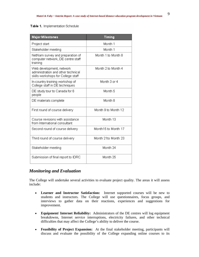#### Table 1. Implementation Schedule

| <b>Major Milestones</b>                                                                              | <b>Timing</b>       |
|------------------------------------------------------------------------------------------------------|---------------------|
| Project start                                                                                        | Month 1             |
| Stakeholder meeting                                                                                  | Month 1             |
| NetNam survey and preparation of<br>computer network, DE centre staff<br>training                    | Month 1 to Month 8  |
| Web development, network<br>administration and other technical<br>skills workshops for College staff | Month 2 to Month 4  |
| In-country training workshop of<br>College staff in DE techniques                                    | Month 3 or 4        |
| DE study tour to Canada for 6<br>people                                                              | Month 5             |
| DE materials complete                                                                                | Month 8             |
| First round of course delivery                                                                       | Month 9 to Month 12 |
| Course revisions with assistance<br>from International consultant                                    | Month 13            |
| Second round of course delivery                                                                      | Month15 to Month 17 |
| Third round of course delivery                                                                       | Month 21to Month 23 |
| Stakeholder meeting                                                                                  | Month 24            |
| Submission of final report to IDRC                                                                   | Month 25            |

### *Monitoring and Evaluation*

The College will undertake several activities to evaluate project quality. The areas it will assess include:

- **Learner and Instructor Satisfaction:** Internet supported courses will be new to students and instructors. The College will use questionnaires, focus groups, and interviews to gather data on their reactions, experiences and suggestions for improvement.
- **Equipment/ Internet Reliability:** Administrators of the DE centres will log equipment breakdowns, Internet service interruptions, electricity failures, and other technical difficulties that may affect the College's ability to deliver the course.
- **Feasibility of Project Expansion:** At the final stakeholder meeting, participants will discuss and evaluate the possibility of the College expanding online courses to its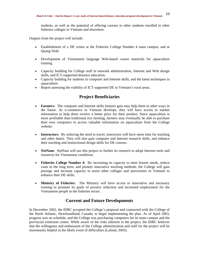students, as well as the potential of offering courses to other students enrolled in other fisheries colleges in Vietnam and elsewhere.

Outputs from the project will include:

- Establishment of a DE centre at the Fisheries College Number 4 main campus, and at Quang Ninh.
- Development of Vietnamese language Web-based course materials for aquaculture training.
- Capacity building for College staff in network administration, Internet and Web design skills, and ICT-supported distance education.
- Capacity building for students in computer and Internet skills, and the latest techniques in aquaculture.
- Report assessing the viability of ICT supported DE in Vietnam's rural areas.

# **Project Beneficiaries**

- **Farmers:** The computer and Internet skills farmers gain may help them in other ways in the future. As e-commerce in Vietnam develops, they will have access to market information to help them receive a better price for their product. Since aquaculture is more profitable than traditional rice farming, farmers may eventually be able to purchase their own computers to access valuable information on aquaculture from the College website.
- **Instructors:** By reducing the need to travel, instructors will have more time for teaching and other duties. They will also gain computer and Internet research skills, and enhance their teaching and instructional design skills for DE courses.
- **NetNam:** NetNam will use this project to further its research to adopt Internet tools and resources for Vietnamese conditions.
- **Fisheries College Number 4:** By increasing its capacity to meet learner needs, reduce costs in the long term, and pioneer innovative teaching methods, the College will gain prestige and increase capacity to assist other colleges and universities in Vietnam to enhance their DE skills.
- **Ministry of Fisheries:** The Ministry will have access to innovative and necessary training to promote its goals of poverty reduction and increased employment for the Vietnamese people in the fisheries sector.

## **Current and Future Developments**

In December 2002, the IDRC accepted the College's proposal and contracted with the College of the North Atlantic, Newfoundland, Canada, to begin implementing the plan. As of April 2003, progress was on schedule, and the College was purchasing computers for its main campus and the provincial extension centre. While aware of the risks inherent in the project, the IDRC believes that the willingness and enthusiasm of the College administration and staff for the project will be enormously helpful in the likely event of difficulties (Lafond, 2003).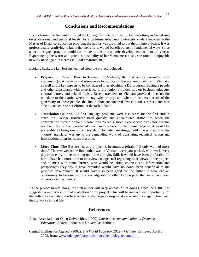### **Conclusions and Recommendations**

In conclusion, the first author found the College Number 4 project to be interesting and satisfying on professional and personal levels. As a part-time Athabasca University student enrolled in the Master of Distance Education program, the author was gratified to put theory into practice. It was professionally gratifying to know that her efforts would benefit others in fundamental ways, since a well-designed program could contribute to basic economic development in poor provinces. Experiencing the warm and gracious hospitality of her Vietnamese hosts, she found it enjoyable to work once again in a cross-cultural environment.

Looking back, the key lessons learned from the project included:

- **Preparation Pays:** Prior to leaving for Vietnam, the first author consulted with academics (at Athabasca and elsewhere) for advice on the academic culture in Vietnam, as well as the key aspects to be considered in establishing a DE program. Business people and other consultants with experience in the region provided tips on business etiquette, cultural mores, and related topics. Recent travelers to Vietnam provided hints on the mundane to the exotic: where to stay, what to pay, and where to eat. As a result of the generosity of these people, the first author encountered few cultural surprises and was able to concentrate her efforts on the task at hand.
- **Translation Counts:** At first language problems were a concern for the first author, since the College translator tired quickly and encountered difficulties when the conversation moved beyond pleasantries. When a more experienced translator became involved, the project proceeded much more smoothly. In future projects, it would be preferable to bring one's own translator to initial meetings, until it was clear that the "house" translator was up to the demanding work of translating technical jargon and information, often for hours at a time.
- **More Time, The Better:** In any project, it becomes a refrain: "If only we had more time." The two weeks the first author was in Vietnam were jam-packed, with work every day from early in the morning until late at night. Still, it would have been preferable for her to have had more time to interview college staff regarding their views on the project, and to meet with some farmers who would be taking courses. The information and perspectives they would have provided would have no doubt been beneficial to the proposal development. It would have also been good for the author to have had an opportunity to become more knowledgeable of other DE projects that may have been underway in the country.

As the project moves along, the first author will keep abreast of its doings, since the IDRC has suggested a midterm and final evaluation of the project. This will be an excellent opportunity for the author to evaluate the effectiveness of the project design and ascertain, once again, how well theory works in real life.

#### **References**

- Asian Association of Open Universities. (1990). *Interactive communication in Distance Education*. Jakarta, Indonesia: Universitas Terbuka.
- Central Intelligence Agency. (2002). *The World Factbook 2002 Vietnam.* Retrieved April 8, 2003, from: [www.odci.gov/cia/publications/factbook/geos/vm.html](http://www.odci.gov/cia/publications/factbook/geos/vm.html)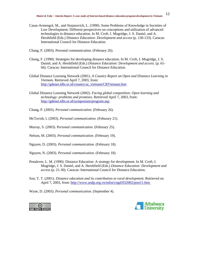- Casas-Armengol, M., and Stojanovich, L. (1990). Some Problems of Knowledge in Societies of Low Development: Different perspectives on conceptions and utilization of advanced technologies in distance education. In M. Croft, I. Mugridge, J. S. Daniel, and A. Hershfield (Eds.) *Distance Education: Development and access* (p. 130-133). Caracas: International Council for Distance Education.
- Chang, P. (2003). Personal communication. (February 26).
- Chung, F. (1990). Strategies for developing distance education. In M. Croft, I. Mugridge, J. S. Daniel, and A. Hershfield (Eds.) *Distance Education: Development and access*. (p. 61- 66). Caracas: International Council for Distance Education.
- Global Distance Learning Network (2001). *A Country Report on Open and Distance Learning in Vietnam*. Retrieved April 7, 2003, from: [http://gdenet.idln.or.id/country/ar\\_vietnam/CRVietnam.htm](http://gdenet.idln.or.id/country/ar_vietnam/CRVietnam.htm)
- Global Distance Learning Network (2002). *Facing global competition: Open learning and technology: problems and promises*. Retrieved April 7, 2003, from: <http://gdenet.idln.or.id/symposium/program.asp>
- Chang, P. (2003). *Personal communication.* (February 26).
- McTavish, I. (2003). *Personal communication*. (Feburary 21).
- Murray, S. (2003). P*ersonal communication.* (February 25).
- Nelson, M. (2003). *Personal communication.* (February 19).
- Nguyen, D. (2003). *Personal communication.* (February 18).
- Nguyen, N. (2003). *Personal communication.* (February 18).
- Penalever, L. M. (1990). Distance Education: A strategy for development. In M. Croft, I. Mugridge, J. S. Daniel, and A. Hershfield (Eds.) *Distance Education: Development and access* (p. 21-30). Caracas: International Council for Distance Education.
- Son, T. T. (2001). *Distance education and its contribution to rural development.* Retrieved on April 7, 2003, from: <http://www.undp.org.vn/mlist/cngd/032002/post11.htm>

Wyne, D. (2003). *Personal communication.* (September 4).



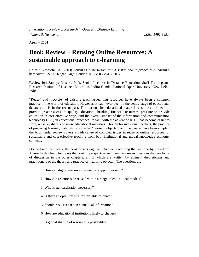#### **April – 2004**

# **Book Review – Reusing Online Resources: A sustainable approach to e-learning**

**Editor:** Littlejohn, A. (2003) *Reusing Online Resources: A sustainable approach to e-learning*. hardcover. £22.50. Kogan Page: London. ISBN: 0 7494 3950 5

**Review by:** Sanjaya Mishra, PhD, Senior Lecturer in Distance Education, Staff Training and Research Institute of Distance Education, Indira Gandhi National Open University, New Delhi, India.

"Reuse" and "recycle" of existing teaching-learning resources have always been a common practice in the world of education. However, it had never been in the centre-stage of educational debate as it is in the recent past. The reasons for educational material reuse are: the need to provide greater access to quality education, shrinking financial resources, pressure to provide education in cost-effective ways, and the overall impact of the information and communication technology (ICT) in educational practices. In fact, with the advent of ICT it has become easier to store, retrieve, share, and reuse educational materials. Though for individual teachers, the practice of preparing learning materials (also called "learning objects") and their reuse have been simpler, the book under review covers a wide-range of complex issues in reuse of online resources for sustainable and cost-effective teaching from both institutional and global knowledge economy contexts.

Divided into four parts, the book covers eighteen chapters excluding the first one by the editor, Alison Littlejohn, which puts the book in perspective and identifies seven questions that are focus of discussion in the other chapters, all of which are written by eminent theoreticians and practitioners of the theory and practice of 'learning objects'. The questions are:

- 1. How can digital resources be used to support learning?
- 2. How can resources be reused within a range of educational models?
- 3. Why is standardization necessary?
- 4. Is there an optimum size for reusable resource?
- 5. Should resources retain contextual information?
- 6. How are educational institutions likely to change?
- 7. Is global sharing of resources a possibility?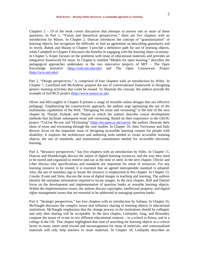Chapters  $2 - 19$  of the book covers discussion that attempts to answer one or more of these questions. In Part 1, "Vision and theoretical perspectives," there are five chapters with an introduction by Mayes. In Chapter 2, Duncan introduces the concept of "granularization" of learning objects, but recognizes the difficulty to find an agreement on describing granularity and its levels. Rahek and Mason in Chapter 3 provide a definitive path for use of learning objects, while Campbell in Chapter 4 discusses the benefits in engaging with the learning object economy. In Chapter 5, Koper focuses on the problems with reuse of educational materials and provides an integrative framework for reuse. In Chapter 6, entitled "Models for open learning," describes the pedagogical approaches undertaken in the two innovative projects of MIT – The Open Knowledge Initiative (<http://web.mit.edu/oki>) and The Open Courseware Project ([http://ocw.mit.edu](http://ocw.mit.edu/)).

Part 2, "Design perspectives," is comprised of four chapters with an introduction by Wiley. In Chapter 7, Laurillard and McAndrew propose the use of conversational framework in designing generic learning activities that could be reused. To illustrate the concept, the authors provide the example of SoURCE project ([http://www.source.ac.uk](http://www.source.ac.uk/)).

Oliver and McLoughin in Chapter 8 present a range of reusable online designs that use effective pedagogy. Emphasizing the constructivist approach, the authors urge optimizing the use of the multimedia capabilities of the Web. "Designing for reuse and versioning" is the title of the next chapter by Thorpe, Kubiak, and Thorpe in which the authors describe course development methods that facilitate subsequent reuse and versioning. Based on their experience in the UKOU project "CoUrse Re-use and VErsioning" [\(http://iet.open.ac.uk/curve](http://iet.open.ac.uk/curve)), the authors illustrate their ideas of reuse and versioning through the case studies. In Chapter 10, Jutta Treviranus and Judy Brewer focus on the important issue of designing accessible learning content for people with disability. It explores the architecture and authoring tools needed to create accessible learning objects, the use of standards, and institutional commitment needed for accessible electronic learning.

Part 3, "Resource perspectives," has five chapters with an introduction by Stiles. In Chapter 11, Duncan and Ekmekcioglu discuss the nature of digital learning resources, and the way they need to be stored and organized to retrieve and use at the time of need. In the next chapter, Olivier and Liber discuss why specifications and standards are important for reuse of resources. For any learning resource to be reused, it is essential that an agreed interoperable standard is adopted. Also, the use of metadata tags to locate the resource is emphasized in this chapter. In Chapter 13, Conole, Evans and Sims, discuss the reuse of digital images in teaching and learning. The authors identify the metadata information required to locate images. In the next chapter, Bull and Dalziel focus on the development and implementation of question banks as reusable learning objects. Within the implementation issues, the authors discuss copyrights, intellectual property, and digital rights management issues that are essential to be addressed in managing question banks.

Part 4, "Strategic perspectives," has four chapters with an introduction by Salmon. In Chapter 16, McNaught discusses the complex issues that influence sharing of learning objects in educational institutions. McNaught emphasizes that the change process in the institutions should be collegial, and only then sharing will be acceptable. In the next chapter, Littlejohn, Jung, and Broumley compare the issues of re-use in two different educational contexts – in a school in Korea, and in a college in the UK. This chapter highlighted that time of searching for learning objects as a critical factor in reuse; tutors need reward and encouragement for reuse of materials; and contextualized materials will only help teachers to reuse materials. In Chapter 18, Littlejohn describes an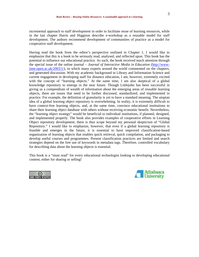incremental approach to staff development in order to facilitate reuse of learning resources, while in the last chapter Harris and Higgison describe e-workshop as a reusable model for staff development. The authors recommend development of communities of practice as a model for cooperative staff development.

Having read the book from the editor's perspective outlined in Chapter 1, I would like to emphasize that this is a book to be seriously read, analysed, and reflected upon. This book has the potential to influence our educational practice. As such, the book received much attention through the special issue of the online journal – *Journal of Interactive Media in Education* [\(http://www-](http://www-jime.open.ac.uk/2003/1/) $\lim_{h \to 0}$  ime.open.ac.uk/2003/1/), in which many experts around the world commented on the chapters, and generated discussion. With my academic background in Library and Information Science and current engagement in developing staff for distance education, I am, however, extremely excited with the concept of "learning objects." At the same time, I am also skeptical of a global knowledge repository to emerge in the near future. Though Littlejohn has been successful in giving us a compendium of wealth of information about the emerging areas of reusable learning objects, there are issues that need to be further discussed, standardized, and implemented in practice. For example, the definition of granularity is yet to have a standard meaning. The utopian idea of a global learning object repository is overwhelming. In reality, it is extremely difficult to have context-free learning objects, and, at the same time, convince educational institutions to share their learning object database with others without receiving economic benefit. Nevertheless, the "learning object strategy" would be beneficial to individual institutions, if planned, designed, and implemented properly. The book also provides examples of cooperative efforts in Learning Object repository development; there is thus scope beyond my personal skepticism of "Global Repository." I would like to emphasize, however, that even if a global learning repository is feasible and emerges in the future, it is essential to have improved classification-based organization of learning objects that enables quick retrieval, quick compilation, and packaging to develop useful courses and programmes. Present classification practices are limited and search strategies depend on the free use of keywords in metadata tags. Therefore, controlled vocabulary for describing data about the learning objects is essential.

This book is a "must read" for every educational technologist looking to developing educational content, either for sharing or selling!



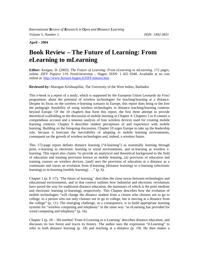**April – 2004** 

# **Book Review – The Future of Learning: From eLearning to mLearning**

**Editor:** Keegan, D. (2002). *The Future of Learning: From eLearning to mLearning.* 172 pages, online. *ZIFF Papiere 119*, FernUniversitat – Hagen. ISSN: 1 435 9340. Available at no cost online at:<http://www.fernuni-hagen.d/ZIFF/mlearn.htm>

**Reviewed by:** Murugan Krishnapillai, The University of the West Indies, Barbados

This e-book is a report of a study, which is supported by the European Union Leonardo da Vinci programme, about the potential of wireless technologies for teaching/learning at a distance. Despite its focus on the wireless e-learning scenario in Europe, this report does bring to the fore the pedagogic feasibility of using wireless technologies in distance teaching/learning contexts beyond Europe. Of the 10 chapters that form this report, the first three attempt to provide theoretical scaffolding to the discussion of mobile learning in Chapter 4. Chapters 5 to 8 contain a compendious account and a tenuous analysis of four wireless devices used for creating mobile learning contexts. Chapter 9 describes student perceptions of and experience with mobile learning. Building on the foregoing discussion, Chapter 10 urges Europe to take up the leadership role, because it forecasts the inevitability of adapting to mobile learning environments, consequent on the growth of wireless technologies and, indeed, a wireless future.

This 172-page report defines distance learning ("d-learning") as essentially learning through print, e-learning as electronic learning in wired environments, and m-learning as wireless elearning. This report also claims "to provide an analytical and theoretical background to the field of education and training provision known as mobile learning...[a] provision of education and training courses on wireless devices...[and] sees the provision of education at a distance as a continuum and traces an evolution from d-learning (distance learning) to e-learning (electronic learning) to m-learning (mobile learning) . . ." (p. 6).

Chapter 1 (p. 8 -17), 'The future of learning,' describes the close nexus between technologies and educational environments, and in that context outlines how industrial and electronic revolutions have paved the way for traditional distance education, the mainstays of which is the print medium and electronic learning (e-learning), respectively. This Chapter describes how the evolution of mobile technologies "will change the distance student from a citizen who chooses not to go to college, to a person who not only chooses not to go to college, but is moving at a distance from the college" (p. 11). The emerging challenge, as a consequence, is to build appropriate learning systems for "wireless computing and telephony" in the same way "as eLearning has provided for wired computing and telephony" (p. 16).

Chapter 2 (p.  $18 - 30$ ) entitled 'From d-Learning to e-Learning' describes distance education, and discusses its two forms and traces its history. The author uses the expression "d-Learning" to refer to both distance learning (p. 18) and teaching at a distance (p. 19). He then makes a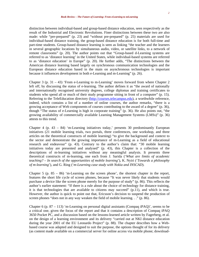distinction between individual-based and group-based distance education, seen respectively as the result of the Industrial and Electronic Revolutions. Finer distinctions between these two are also made: while "pre-prepared" (p. 23) and "without pre-prepared" (p. 25) materials are used for individual-based distance training, the group-based distance education is for both full-time and part-time students. Group-based distance learning is seen as linking "the teacher and the learners in several geographic locations by simultaneous audio, video, or satellite links, to a network of remote classrooms" (p. 20). The author points out that "Group-based d-Learning systems are referred to as 'distance learning' in the United States, while individual-based systems are referred to as 'distance education' in Europe" (p. 20). He further adds, "The distinctions between the American distance learning based largely on synchronous communication technologies and the European distance education based in the main on asynchronous technologies is important because it influences development in both e-Learning and m-Learning" (p. 26).

Chapter 3 (p.  $31 - 43$ ) 'From e-Learning to m-Learning' moves forward from where Chapter 2 left off, by discussing the status of e-learning. The author defines it as "the award of nationally and internationally recognised university degrees, college diplomas and training certificates to students who spend all or much of their study programme sitting in front of a computer" (p. 15). Referring to the TeleEducation directory [\(http://courses.telecampus.edu\)](http://courses.telecampus.edu/), a worthwhile reference, indeed, which contains a list of a number of online courses, the author remarks, "there is a growing acceptance of Web components of courses contributing to the award of a degree" (p. 36), though "The status of e-Learning is high in corporate training" (p. 36). He also points out, "the growing availability of commercially available Learning Management Systems (LMSs)" (p. 36) attests to this trend.

Chapter 4 (p. 43 – 84) 'm-Learning initiatives today,' presents 30 predominantly European initiatives (21 mobile learning trials, two portals, three conferences, one workshop, and three articles on the theoretical constructs of mobile learning) "to give the background and context to the sector and demonstrate the growing importance of m-Learning as a field of educational research and endeavour" (p. 43). Contrary to the author's claim that: "30 mobile learning initiatives today are presented and analysed" (p. 43), this Chapter is a collection of the descriptions of m-learning initiatives without any meaningful analysis. It presents three theoretical constructs of m-learning, one each from J. Sarida ('*What are limits of academic teaching? – In search of the opportunities of mobile learning*'), K. Nyiri ('*Towards a philosophy of m-learning*'), and G. Ring ('*m-Learning case study with Nokia and INSCAD*).

Chapter 5 (p.  $85 - 86$ ) 'm-Learning on the screen phone', the shortest chapter in the report, features the short life cycle of screen phones, because "It was never likely that students would purchase a device like the screen phone merely for the purpose of study" (p. 86). This reflects the author's earlier statement: "If there is a rule about the choice of technology for distance training, it is that technologies that are available to citizens may succeed" (p.11), and which is true. However, the author is quick to point out that, Ericsson's decision to suspend the production of screen phones "does not in any way weaken the field of mobile learning. . ." (p. 86).

Chapter 6 (p. 87 – 113) 'm-Learning on personal digital assistants (Compaq iPAQ)', seems to be a critical one, given the focus of the report and that it contains a description of Compaq iPAQ 3650 Pocket PC, and a discussion based on the lessons-learned article written by Fagerberg, et al. on the design of a learning environment and its delivery "carried out at NKI distance education during the year 2001 of the EU Leonardo Project" (p. 88). The chapter describes how a Webbased course was adapted and designed to suit the purpose, the options thought of for its delivery (as content made available on a commercial server for online access via mobile phone; download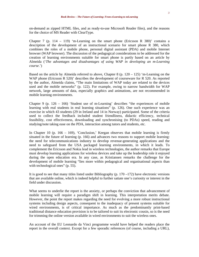on-demand as zipped HTML files, and as ready-to-use Microsoft Reader files), and the reasons for the choice of MS Reader with ClearType.

Chapter 7 (p. 114 – 119) 'm-Learning on the smart phone (Ericsson R 380)' contains a description of the development of an instructional scenario for smart phone R 380, which combines the roles of a mobile phone, personal digital assistant (PDA) and mobile Internet browser (WAP browser). The discussion of the pedagogical considerations to be addressed for the creation of learning environments suitable for smart phone is partly based on an article by Almeida ('*The advantages and disadvantages of using WAP in developing an m-Learning course*.')

Based on the article by Almeida referred to above, Chapter 8 (p.  $120 - 125$ ) 'm-Learning on the WAP phone (Ericsson R 520)' describes the development of courseware for R 520. As reported by the author, Almeida claims, "The main limitations of WAP today are related to the devices used and the mobile networks" (p. 122). For example, owing to narrow bandwidth for WAP network, large amounts of data, especially graphics and animations, are not recommended in mobile learning environments.

Chapter 9 (p.  $126 - 166$ ) 'Student use of m-Learning' describes "the experiences of mobile learning with real students in real learning situations" (p. 126). One such experience was an exercise in which 43 students (29 in Ireland and 14 in Norway) participated. Some of the criteria used to collect the feedback included student friendliness, didactic efficiency, technical feasibility, cost effectiveness, downloading and synchronising (to PDAs) speed, reading and studying/note taking ease on the PDA, interaction among tutors and students, etc.

In Chapter 10 (p. 166 – 169), 'Conclusion,' Keegan observes that mobile learning is firmly situated in the future of learning (p. 166) and advances two reasons to support mobile learning: the need for telecommunications industry to develop revenue-generating applications and the need to safeguard from the USA packaged learning environments, in which it leads. To complement the Ericsson and Nokia lead in wireless technologies, the author remarks that Europe must develop learning applications for wireless devices and take up the leadership role it enjoyed during the open education era. In any case, as Kristiansen remarks the challenge for the development of mobile learning "lies more within pedagogical and organisational aspects than with technological ones" (p. 55).

It is good to see that many titles listed under Bibliography (p. 170 –172) have electronic versions that are available online, which is indeed helpful to further satiate one's curiosity or interest in the field under discussion.

What seems to underlie the report is the anxiety, or perhaps the conviction that advancement of mobile learning will require a paradigm shift in learning. This interpretation merits debate. However, the point the report makes regarding the need for evolving a more robust instructional systems including design aspects, consequent to the inadequacy of present systems suitable for wired environments, is of critical importance. As much as the predominantly print-based traditional distance education provision is to be tailored to suit its electronic cousin, so is the need for trimming the online version available in wired environments to suit the wireless ones.

An account of the EU Leonardo da Vinci programme would have helped the readers place the report in the overall context. Except for a few sporadic references (of course, including a URL),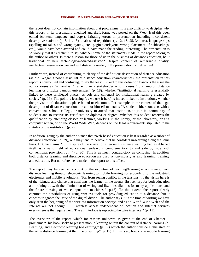the report does not contain information about that programme. It is also difficult to decipher why this report, in its presumably unedited and draft form, was posted on the Web. Had this been edited (content, language and copy), irritating errors in presentation including inconsistent descriptive statistics (p. 8, 11, 13), unabashed repetitions (p. 12, 15, 25, 34, etc.), language slips (spelling mistakes and wrong syntax, etc., pagination/layout, wrong placement of subheadings, etc.), would have been averted and could have made the reading interesting. The presentation is so woolly that it is difficult to say whether some of the statements made in the report belong to the author or others. Is there a lesson for those of us in the business of distance education, be it traditional or new technology-mediated/assisted? Despite content of remarkable quality, ineffective presentation can and will distract a reader, if the presentation is ineffective!

Furthermore, instead of contributing to clarity of the definition/ description of distance education (as did Keegan's now classic list of distance education characteristics), the presentation in this report is convoluted and confusing, to say the least. Linked to this definition fiasco is the issue the author raises as "an analyst," rather than a stakeholder who chooses "to champion distance learning or criticize campus universities" (p. 18): whether "institutional learning is essentially linked to these privileged places [schools and colleges] for institutional learning created by society" (p. 19). The point is learning (as we use it here) is indeed linked to institutions, whether the provision of education is place-bound or electronic. For example, in the context of the legal description of distance education, the author himself maintains "A student either contracts with a conventional school, college, or university to attend that institution, to join its community of students and to receive its certificate or diploma or degree. Whether this student receives the qualification by attending classes or lectures, working in the library, or the laboratory, or at a computer screen, or on the World Wide Web, depends on the legal requirements stipulated in the statutes of the institution" (p. 29).

In addition, going by the author's stance that "web-based education is best regarded as a subset of distance education" (p. 29), one may tend to believe that he considers m-learning along the same lines. But, he claims ". . . in spite of the arrival of eLearning, distance learning had established itself as a valid field of educational endeavour complementary to and side by side with conventional provision . . . ." (p. 30). This is as much contradictory as confusing. In addition, both distance learning and distance education are used synonymously as also learning, training, and education. But no reference is made in the report to this effect.

The report may be seen an account of the evolution of teaching/learning at a distance, from distance learning through electronic learning to mobile learning corresponding to the industrial, electronics and mobile revolutions. "Far from seeing conflict in the tensions . . . the vision here is of the richness and choice that confronts the learner in the twenty-first century for both education and training . . .with the elimination of wiring and fixed installations for many applications, and the future blessing of voice input into machines." (p.15). To this extent, the report clearly captures the possibilities of using wireless tools for providing education at a distance, but it chooses to ignore the issue of the digital divide. The author says, "At the time of writing we have only seen the beginning of the wireless information society" and "The World Wide Web and the Internet are not enough . . . wireless access independent of location and Internet services everywhere is the requirement. The air interface is replacing the wire interface." (p. 11).

The overview of the report, which for reasons unknown, is given at the end of Chapter 1, proclaims "This book seeks to present mobile learning within the context of distance learning (d-Learning) and electronic learning (e-Learning)" (p. 17) which the author considers "the state of the art in distance learning at the time of writing" (p. 15). If this is so, how come mobile learning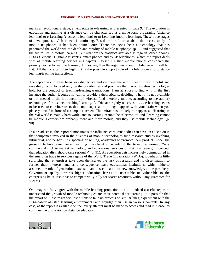marks an evolutionary stage, a next stage in e-learning as presented in page 9: "The evolution in education and training at a distance can be characterised as a move form d-Learning (distance learning) to e-Learning (electronic learning) to m-Learning (mobile learning). These three stages of development. . ." It indeed is confusing. Based on the forecast about the access solely of mobile telephones, it has been pointed out: "There has never been a technology that has penetrated the world with the depth and rapidity of mobile telephony" (p.12) and suggested that the future lies in mobile learning. But what are the statistics available as regards screen phones, PDAs (Personal Digital Assistants), smart phones and WAP telephones, which the report deals with as mobile learning devices in Chapters 5 to 8? Are then mobile phones considered the primary device for mobile learning? If they are, then the argument about mobile learning will fall flat. All that one can then highlight is the possible support role of mobile phones for distance learning/teaching transactions.

The report would have been less distractive and cumbersome and, indeed, more forceful and revealing, had it focused only on the possibilities and promises the myriad wireless technologies hold for the conduct of teaching/learning transactions. I am at a loss to find why in the first instance the author laboured in vain to provide a theoretical scaffolding, when it is not available or not needed to the introduction of wireless (and therefore mobile, according to the author) technologies for distance teaching/learning. As Dichanz rightly observes, " . . . e-learning seems to be used to convince users that some supernatural things happens with your brain when you place yourself in front of a computer screen. This miracle is unlikely to happen, as "learning in the real world is mainly hard work" and so learning "cannot be 'electronic'" and "learning cannot be mobile. Learners are probably more and more mobile, and they use mobile technology" (p. 90).

In a broad sense, this report demonstrates the influence corporate bodies can have on education in that companies involved in the business of mobile technologies fund research studies involving influential, and perhaps unsuspecting or willing, academics to promote their products under the guise of technology-enhanced learning. Sariola et al. wonder if the term 'm-Learning' "is a commercial trick to market technology and educational services or if it is an emerging concept that educationalists should take seriously" (p. 91). As education gets increasingly commodified in the emerging trade in services regime of the World Trade Organization (WTO), it perhaps is little surprising that enterprises take upon themselves the task of research and its dissemination to further their interests, and as a consequence leave educational institutions, which hitherto assumed the role of generation, extension and dissemination of new knowledge, at the periphery. Government apathy towards higher education leaves it susceptible or vulnerable to the enterprising baits, lest it has to compete willy-nilly for scarce resources without any guarantee for success.

One may not fully agree with the mobile learning projection, but it is indeed a useful report to understand the growth of mobile technologies and their potential for learning. It is possible that the report will inspire readers/institutions to take up projects on similar lines, experiment with the PDA-based/ assisted learning environments and adjudge their use in various contexts. In any case, as the report is available online, every attempt must be made to access and read it in order to continue the discussion on distance education.



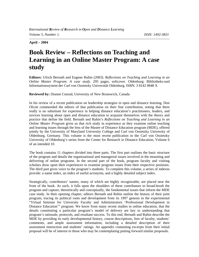**April – 2004** 

# **Book Review – Reflections on Teaching and Learning in an Online Master Program: A case study**

**Editors:** Ulrich Bernath and Eugene Rubin (2003). *Reflections on Teaching and Learning in an Online Master Program: A case study.* 295 pages, softcover. Oldenburg: Bibliotheks-und Informationssystem der Carl von Ossietzky Universität Oldenburg. ISBN: 3 8142 0848 X

#### **Reviewed by:** Dianne Conrad, University of New Brunswick, Canada

In his review of a recent publication on leadership strategies in open and distance learning, Don Olcott commended the editors of that publication on their fine contribution, noting that there really is no substitute for experience in helping distance education's practitioners, leaders, and novices learning about open and distance education to acquaint themselves with the theory and practice that define the field. Bernath and Rubin's *Reflections on Teaching and Learning in an Online Master Program* gives us that rich study in experience as they examine online teaching and learning issues through the lens of the Master of Distance Education program (MDE), offered jointly by the University of Maryland University College and Carl von Ossietzky University of Oldenburg, Germany. This volume is the most recent publication in the Carl von Ossietzky University of Oldenburg's series from the Center for Research in Distance Education, Volume 6 of an intended 10.

The book contains 11 chapters divided into three parts. The first part outlines the basic structure of the program and details the organizational and managerial issues involved in the mounting and delivering of online programs. In the second part of the book, program faculty and visiting scholars draw upon their experiences to examine program issues from their respective positions. The third part gives voice to the program's students. To complete this volume, a series of indexes provide: a name index, an index of useful acronyms, and a highly detailed subject index.

Strategically, contributors' names, many of which are highly recognizable, are placed near the front of the book. As such, it falls upon the shoulders of these contributors to broad-brush the program and capture, theoretically and conceptually, the fundamental issues that inform the MDE case study. In their opening chapter, editors Bernath and Rubin outline the history of their joint program, tracing its political roots and development from its 1997 genesis in the experimental "Virtual Seminar for University Faculty and Administrators 'Professional Development in Distance Education'" program. We know from many recent studies in online education, that the details constituting a particular program's model of delivery are key to understanding that program's rationale, protocols, and resultant success. To this end, Bernath and Rubin describe the MDE by providing its early developmental history, course descriptions, lists of faculty, students' comments, and ample assessment information, including a detailed description of their assessment instruction and students' ratings. An appendix containing excerpts from their initial proposal will be of interest to those who may be contemplating putting forward similar proposals.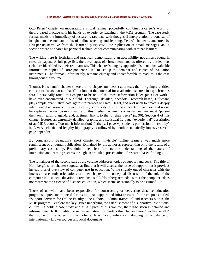Otto Peters' chapter on moderating a virtual seminar powerfully combines a career's worth of theory-based practice with his hands-on experience teaching in the MDE program. The case study format melds the immediacy of research's raw data with thoughtful interpretation: a bonanza of insight into the nuts-and-bolts of online teaching and learning. Peters' chapter is anchored by first-person narrative from the learners' perspective, the replication of email messages, and a section where he shares his personal techniques for communicating with seminar learners.

The writing here is forthright and practical, demonstrating an accessibility not always found in research papers. A full page lists the advantages of virtual seminars, as offered by the learners (who are identified by their real names!). This chapter's lengthy appendix also contains valuable information: copies of correspondence used to set up the seminar and copies of evaluation instruments. The format, unfortunately, remains clumsy and uncomfortable to read, as is the case throughout the volume.

Thomas Hülsmann's chapter (there are no chapter numbers!) addresses the intriguingly entitled concept of "texts that talk back" – a look at the potential for academic discourse in asynchronous fora. I personally found this chapter to be one of the most information-laden pieces of work I have ever encountered in our field. Thorough, detailed, anecdotal, research-based, Hülsmann plays ample quantitative data against references to Plato, Hegel, and McLuhan to create a deeply intelligent discussion on the nature of asynchronicity. Using the concepts of richness and noise, he captures the dichotomous nature of this medium wherein successful learners must "pursue their own learning agenda and, at times, link it to that of their peers" (p. 90). Section 4 of this chapter features an extremely detailed, graphic, and statistical 12-page "experiential" description of an MDE course. Too much information? Perhaps. I gave *my* students permission to "read by" it. A very eclectic and lengthy bibliography is followed by another statistically-intensive sevenpage appendix.

By comparison, Beaudoin's short chapter on "invisible" online learners was much more reminiscent of a journal publication. Explained by the author as representing only the results of a preliminary case study, Beaudoin nonetheless furthers our understanding of the nature of interaction and learning success through an articulate presentation of research-based findings.

The remainder of the second part of the volume addresses topics of support and costs. The title of Holmberg's short chapter suggests at first that it will discuss the issue of support, but it provides instead a brief overview of computer use in education. While slightly out of character with the intensive case-study orientations of other chapters, its conceptual discussion of the role of the computer in distance education is remains useful. Holmberg reminds us that the computer "does not represent the essence of distance education, which seems occasionally to be assumed. . ."

Those of us who have been responsible for constructing or delivering distance education programs appreciate the need for institutional support and infrastructure. In the chapter entitled, "Support Services for Online Faculty," the authors – administrators of, and teachers within, the MDE program – explore the key issues underlying the establishment of a supportive institutional culture. As befits a case study and as is typical of this volume, their discussion is detailed and information-rich. Its qualitative nature and structure renders this chapter more "reader-friendly" than some of the others in this volume. It is nicely referenced, drawing on a balance of internationally known sources and local documents.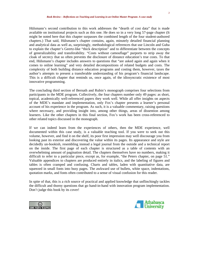Hülsmann's second contribution to this work addresses the "dearth of cost data" that is made available on institutional projects such as this one. He does so in a very long 57-page chapter (It might be noted here that this chapter surpasses the combined length of the four student-authored chapters.) That said, Hülsmann's chapter contains, again, minutely detailed financial planning and analytical data as well as, surprisingly, methodological references that use Lincoln and Guba to explain the chapter's Geertz-like "thick description" and to differentiate between the concepts of generalizability and transferability. "Costs without camouflage" purports to strip away the cloak of secrecy that so often prevents the disclosure of distance education's true costs. To that end, Hülsmann's chapter includes answers to questions that "are asked again and again when it comes to online learning" and very detailed decompositions of related budgets and costs. The complexity of both building distance education programs and costing them, however, taxes the author's attempts to present a transferable understanding of his program's financial landscape. This is a difficult chapter that reminds us, once again, of the idiosyncratic existence of most innovative programming.

The concluding third section of Bernath and Rubin's monograph comprises four selections from participants in the MDE program. Collectively, the four chapters number only 49 pages: as short, topical, academically well-referenced papers they work well. While all offer insights on aspects of the MDE's mandate and implementation, only Fox's chapter presents a learner's personal account of his experience in the program. As such, it is a valuable commentary, raising questions where necessary, and providing insight into, among other things, areas of dissention among learners. Like the other chapters in this final section, Fox's work has been cross-referenced to other related topics discussed in the monograph.

If we can indeed learn from the experiences of others, then the MDE experience, well documented within this case study, is a valuable teaching tool. If you were to seek out this volume, however, and find it on the shelf, its poor first impression may well discourage you from looking past its exterior and discovering the value within its pages. Its appearance and style are decidedly un-bookish, resembling instead a legal journal from the outside and a technical report on the inside. The first page of each chapter is structured as a table of contents with an overwhelming amount of pagination detail. The chapters themselves have no numbers, making it difficult to refer to a particular piece, except as, for example, "the Peters chapter, on page 51." Valuable appendices to chapters are produced entirely in italics, and the labeling of figures and tables is often cramped and confusing. Charts and tables, laden with quantitative data, are squeezed in small fonts into busy pages. The awkward use of bullets, white space, indentations, quotation marks, and fonts often contributed to a sense of visual confusion for this reader.

In spite of that, this is a rich source of practical and applied knowledge that unflinchingly tackles the difficult and thorny questions that go hand-in-hand with innovation program implementation. Don't judge this book by its cover!



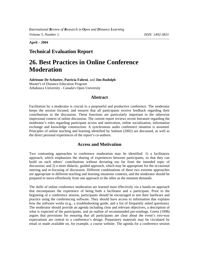**April – 2004** 

# **Technical Evaluation Report**

# **26. Best Practices in Online Conference Moderation**

# **Adrienne De Schutter, Patricia Fahrni**, and **Jim Rudolph**

Master's of Distance Education Program Athabasca University - Canada's Open University

### **Abstract**

Facilitation by a moderator is crucial to a purposeful and productive conference. The moderator keeps the session focused, and ensures that all participants receive feedback regarding their contributions to the discussion. These functions are particularly important in the otherwise impersonal context of online discussion. The current report reviews recent literature regarding the moderator's roles regarding participant access and motivation, online socialization, information exchange and knowledge construction. A synchronous audio conference situation is assumed. Principles of online teaching and learning identified by Salmon (2002) are discussed, as well as the direct personal experiences of the report's co-authors.

## **Access and Motivation**

Two contrasting approaches to conference moderation may be identified: 1) a facilitatory approach, which emphasizes the sharing of experiences between participants, so that they can build on each others' contributions without deviating too far from the intended topic of discussion; and 2) a more didactic, guided approach, which may be appropriate for the occasional steering and re-focusing of discussion. Different combinations of these two extreme approaches are appropriate in different teaching and learning situations contexts, and the moderator should be prepared to move effortlessly from one approach to the other as the moment demands.

The skills of online conference moderation are learned most effectively via a hands-on approach that encompasses the experience of being both a facilitator and a participant. Prior to the beginning of a conference session, participants should be encouraged to test their hardware and practice using the conferencing software. They should have access to information that explains how the software works (e.g., a troubleshooting guide, and a list of frequently asked questions). The moderator should provide an agenda including clear and relevant objectives, a description of what is expected of the participants, and an outline of recommended pre-readings. Green (1998) argues that provisions for ensuring that all participants are clear about the event's two-way expectations are central to a conference's design. Preparatory materials may be circulated by email or made available on, for example, a course website. The agenda for a conference session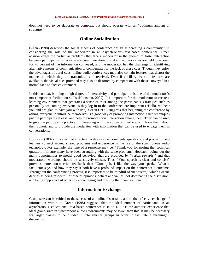does not need to be elaborate or complex, but should operate with an "optimum amount of structure."

#### **Online Socialization**

Green (1998) describes the social aspects of conference design as "creating a community." In considering the role of the moderator in an asynchronous text-based conference, Green acknowledges the particular problems that face a moderator in the attempt to foster interaction between participants. In face-to-face communication, visual and auditory cues are held to account for 70 percent of the information conveyed; and the moderator has the challenge of identifying alternative means of communication to compensate for the lack of these cues. Though they enjoy the advantages of aural cues, online audio conferences may also contain features that distort the manner in which they are transmitted and received. Even if ancillary webcam features are available, the visual cues provided may also be distorted by comparison with those conveyed in a normal face-to-face environment.

In this context, building a high degree of interactivity and participation is one of the moderator's most important facilitation skills (Hootstein, 2002). It is important for the moderator to create a learning environment that generates a sense of trust among the participants. Strategies such as personally welcoming everyone as they log in to the conference are important ("Hello, we hear you and are glad to have you with us"). Green (1998) suggests that beginning the conference by asking everyone to introduce themselves is a good way of promoting interaction. Such techniques put the participants at ease, and help to promote social interaction among them. They can be used to give the participants practice in interacting with the software interface; to inform them about their cohort; and to provide the moderator with information that can be used to engage them in conversations.

Hootstein (2002) indicates that effective facilitators use comments, questions, and probes to help learners connect around shared problems and experience in the use of the synchronous audio technology. For example, the tone of a response may be: "Thank you for posing that technical question. I'm sure many have been struggling with the same problem." Hootstein points out the many opportunities to model good behaviour that are provided by "verbal rewards;" and that moderators' wordings should be sensitively chosen. Thus, "Your speech is clear and concise" provides more constructive feedback than "Good job, I like the way you speak." What a facilitator says and how they say it both have a profound impact on the conference's outcome. Throughout the conferencing process, it is important to be mindful of 'netiquette,' which Greene defines as being respectful of other's opinions, beliefs and values; not dominating the discussion; and being supportive of others by encouraging and praising their contributions.

#### **Information Exchange**

Group size can be critical to the success of an online discussion, and to the effective exchange of information within it. Green (1998) suggests that the ideal number of participants in an asynchronous, educational, text-based conference is 10 to 15. It is the authors' experience that ideal group sizes in synchronous audio environments may be lower than this. It may be necessary for larger classes to be divided it into smaller groups in order to facilitate a meaningful discussion.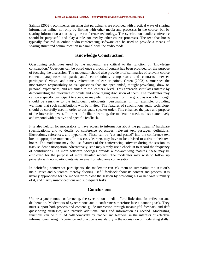Salmon (2002) recommends ensuring that participants are provided with practical ways of sharing information online, not only by linking with other media and processes in the course, but by sharing information about using the conference technology. The synchronous audio conference should be purposeful and play a role not met by other course processes. The text-chat boxes typically featured in online audio-conferencing software can be used to provide a means of sharing structured communication in parallel with the audio mode.

#### **Knowledge Construction**

Questioning techniques used by the moderator are critical to the function of 'knowledge construction.' Questions can be posed once a block of content has been provided for the purpose of focusing the discussion. The moderator should also provide brief summaries of relevant course content, paraphrases of participants' contributions, comparisons and contrasts between participants' views, and timely reiterations of earlier points. Green (2002) summarizes the moderator's responsibility to ask questions that are open-ended, thought-provoking, draw on personal experiences, and are suited to the learners' level. This approach stimulates interest by demonstrating the relevance of points and encouraging discussion of them. The moderator may call on a specific participant to speak, or may elicit responses from the group as a whole, though should be sensitive to the individual participants' personalities in, for example, providing warnings that such contributions will be invited. The features of synchronous audio technology should be carefully used in order to designate speaker order. This enhances the pace and purpose of the interactive event. In order to facilitate learning, the moderator needs to listen attentively and respond with positive and specific feedback.

It is also helpful for moderators to have access to information about the participants' hardware specifications, and to details of conference objectives, relevant text passages, definitions, illustrations, references, and hyperlinks. These can be "cut and pasted" into the conference text box at appropriate moments. In this case, learners may have to be advised to activate their text boxes. The moderator may also use features of the conferencing software during the session, to track student participation. Alternatively, s/he may simply use a checklist to record the frequency of contributions. As more software packages provide audio-archiving features, these may be employed for the purpose of more detailed records. The moderator may wish to follow up privately with non-participants via an email or telephone conversation.

In debriefing conference participants, the moderator can ask them to summarize the session's main issues and outcomes, thereby eliciting useful feedback about its content and process. It is usually appropriate for the moderator to close the session by providing his or her own summary of it, and clarify misconceptions and subsequent tasks.

#### **Conclusions**

Unlike asynchronous conferencing, the synchronous media afford little time for reflection and deliberation. Moderators of synchronous audio-conferences therefore face a daunting task. They must support both process and content, guide interaction through meaningful feedback and deft questioning strategies, and provide additional cues and information as needed. Moderating functions can be fulfilled collaboratively by teacher and learners, in the interests of effective information-sharing. Experience and practice is mandatory in the acquisition of moderating skills.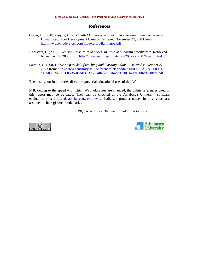#### **References**

- Green, L. (1998). *Playing Croquet with Flamingos: a guide to moderating online conferences.* Human Resources Development Canada. Retrieved November 27, 2003 from: <http://www.emoderators.com/moderators/flamingoe.pdf>
- Hootstein, E. (2002). *Wearing Four Pairs of Shoes: the role of e-learning facilitators*. Retrieved November 27, 2003 from: <http://www.learningcircuits.org/2002/oct2002/elearn.html>
- Salmon, G. (2002). *Five-step model of teaching and learning online*. Retrieved November 27, 2003 from: [http://www.centrinity.se/Conferences/Nerladdning/000231AE-80000001](http://www.centrinity.se/Conferences/Nerladdning/000231AE-80000001/00A03C2A-001E85B5-00A03C32.7/Gilli%20Salmon%20Using%20the%20five.pdf) [/00A03C2A-001E85B5-00A03C32.7/Gilli%20Salmon%20Using%20the%20five.pdf](http://www.centrinity.se/Conferences/Nerladdning/000231AE-80000001/00A03C2A-001E85B5-00A03C32.7/Gilli%20Salmon%20Using%20the%20five.pdf)

The next report in the series discusses potential educational uses of the 'Wiki'.

**N.B.** Owing to the speed with which Web addresses are changed, the online references cited in this report may be outdated. They can be checked at the Athabasca University software evaluation site: [http://cde.athabascau.ca/softeval/.](http://cde.athabascau.ca/softeval/) Italicised product names in this report are assumed to be registered trademarks.

*JPB, Series Editor, Technical Evaluation Reports*



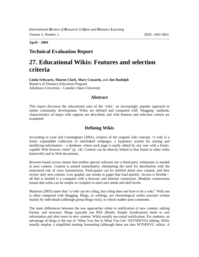**April – 2004** 

# **Technical Evaluation Report**

# **27. Educational Wikis: Features and selection criteria**

**Linda Schwartz, Sharon Clark**, **Mary Cossarin,** and **Jim Rudolph** Master's of Distance Education Program Athabasca University - Canada's Open University

### **Abstract**

This report discusses the educational uses of the 'wiki,' an increasingly popular approach to online community development. Wikis are defined and compared with 'blogging' methods; characteristics of major wiki engines are described; and wiki features and selection criteria are examined.

# **Defining Wikis**

According to Leuf and Cunningham (2001), creators of the original wiki concept, "a wiki is a freely expandable collection of interlinked webpages, a hypertext system for storing and modifying information – a database, where each page is easily edited by any user with a formscapable Web browser client" (p. 14). Content can be directly linked to that found in other wikis (interwiki) and in Web documents.

Browser-based access means that neither special software nor a third-party webmaster is needed to post content. Content is posted immediately, eliminating the need for distribution with the associated risk of virus transmission. Participants can be notified about new content, and they review only new content. Low graphic use results in pages that load quickly. Access is flexible – all that is needed is a computer with a browser and Internet connection. Modular construction means that wikis can be simple or complex to meet user needs and skill levels.

Mattison (2003) states that "a wiki can be a blog, but a blog does not have to be a wiki." Wiki use is often compared with blogging. Blogs, or weblogs, are chronological online journals written mainly by individuals (although group blogs exist), to which readers post comments.

The main differences between the two approaches relate to notification of new content, editing format, and structure. Blogs typically use RSS (Really Simple Syndication) feeds to sort information and alert users to new content. Wikis usually use email notification. For students, an advantage of blogs is the use of 'What You See Is What You Get' (WYSIWYG) editing. Wikis usually employ a simplified markup formatting (although there are also WYSIWYG wikis). A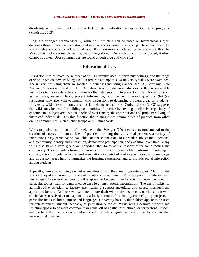disadvantage of using markup is the lack of standardization across various wiki programs (Mattison, 2003).

Blogs are arranged chronologically, while wiki structure can be based on hierarchical subject divisions through new page creation and internal and external hyperlinking. These features make wikis highly suitable for educational use. Blogs are more structured; wikis are more flexible. Most wikis include a search feature; many blogs do not. Once a blog addition is posted, it often cannot be edited. User communities are found at both blog and wiki sites.

#### **Educational Uses**

It is difficult to estimate the number of wikis currently used in university settings, and the range of ways in which they are being used. In order to attempt this, 24 university wikis were examined. The universities using them are located in countries including Canada, the US, Germany, New Zealand, Switzerland, and the UK. A natural tool for distance education (DE), wikis enable instructors to create interactive activities for their students, and to present course information such as resources, external links, project information, and frequently asked questions (FAQs). Instructors may also wish to monitor wiki discussions to determine problem areas for students. University wikis are commonly used as knowledge repositories. Godwin-Jones (2003) suggests that wikis may be ideal for building communities of practice by creating a collective repository of expertise in a subject area, which is refined over time by the contributions and problem-solving of interested individuals. It is this function that distinguishes communities of practice from other online communities, such as chat groups or bulletin boards.

Wikis may also exhibit some of the elements that Wenger (2001) considers fundamental to the creation of successful communities of practice – among them, a virtual presence, a variety of interactions, easy participation, valuable content, connections to a broader subject field, personal and community identity and interaction, democratic participation, and evolution over time. Many wikis also have a core group or individual that takes active responsibility for directing the community. They provide a forum for learners to discuss topics and obtain information relating to courses, extra curricular activities and associations in their fields of interest. Personal home pages and discussion areas help to humanize the learning experience, and to provide social interaction among students.

Typically, universities integrate wikis seamlessly into their main website pages. Many of the wikis surveyed are currently in the early stages of development. Most are purely text-based with few images. In general, university wikis appear to be used more by specific departments or for particular topics, than for campus-wide uses (e.g., institutional information). The use of wikis for administrative scheduling, faculty use, learning support materials, and course management, appears to be rare. Of those we examined, more dealt with activities, events or clubs, than with curricular issues. Project management is a fairly common function, by course/ group projects in particular fields including music and languages. University-based wikis seldom appear to be used for entertainment, student feedback, or journaling purposes. Wikis with a definite purpose and structure appear to be more common than wikis left basically unstructured, or for personal student use. Perhaps the open access to wikis for editing deters regular university use for content that must not risk change.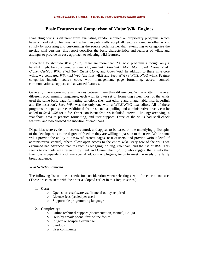#### **Basic Features and Comparison of Major Wiki Engines**

Evaluating wikis is different from evaluating vendor supplied or proprietary programs, which have a fixed set of features. All wikis can potentially adopt all features found in other wikis, simply by accessing and customizing the source code. Rather than attempting to categorize the myriad wiki versions, this report describes the basic characteristics and features of wikis, and attempts to provide an easy approach to selecting wiki features.

According to *Meatball Wiki* (2003), there are more than 200 wiki programs although only a handful might be considered unique: *Dolphin Wiki, Php Wiki, Moin Moin, Swiki Clone, Twiki Clone, UseMod Wiki, Tikki Tavi, Zwiki Clone*, and *Open Wiki*. In addition to these nine core wikis, we compared *WikiWiki Web* (the first wiki) and *Seed Wiki* (a WYSIWYG wiki). Feature categories include: source code, wiki management, page formatting, access control, communications, support, and advanced features.

Generally, there were more similarities between them than differences. While written in several different programming languages, each with its own set of formatting rules, most of the wikis used the same basic page formatting functions (i.e., text editing and image, table, list, hyperlink and file insertion). *Seed Wiki* was the only one with a WYSIWYG text editor. All of these programs are open source. Additional features, such as polling and administrative levels, can be added to *Seed Wiki* for a fee. Other consistent features included interwiki linking; archiving; a "sandbox" area to practice formatting, and user support. Three of the wikis had spell-check features, and two allowed the insertion of emoticons.

Disparities were evident in access control, and appear to be based on the underlying philosophy of the developers as to the degree of freedom they are willing to pass on to the users. While some wikis provide the ability to password-protect pages, restrict users, and provide various level of administrative control, others allow open access to the entire wiki. Very few of the wikis we examined had advanced features such as blogging, polling, calendars, and the use of RSS. This seems to coincide with research by Leuf and Cunningham (2001) who suggest that a wiki that functions independently of any special add-ons or plug-ins, tends to meet the needs of a fairly broad audience.

#### *Wiki Selection Criteria*

The following list outlines criteria for consideration when selecting a wiki for educational use. (These are consistent with the criteria adopted earlier in this Report series.)

- 1. **Cost:**
	- o Open source software vs. financial outlay required
	- o Licence fees (scaled per user)
	- o Supportable programming language

#### 2. **Complexity:**

- o Online technical support (documentation, manual, FAQs)
- o Help by email/ phone/ fax/ online forum
- o Plug-in or scripting exchange
- o Sandbox
- o User community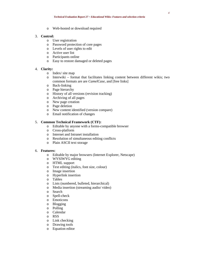o Web-hosted or download required

#### 3. **Control:**

- o User registration
- o Password protection of core pages
- o Levels of user rights to edit
- o Active user list
- o Participants online
- o Easy to restore damaged or deleted pages

#### 4. **Clarity:**

- o Index/ site map
- o Interwiki format that facilitates linking content between different wikis; two common formats are are *CamelCase*, and [free links]
- o Back-linking
- o Page hierarchy
- o History of all versions (revision tracking)
- o Archiving of all pages
- o New page creation
- o Page deletion
- o New content identified (version compare)
- o Email notification of changes

#### 5. **Common Technical Framework (CTF):**

- o Editable by anyone with a forms-compatible browser
- o Cross-platform
- o Internet and Intranet installation
- o Resolution of simultaneous editing conflicts
- o Plain ASCII text storage

### 6. **Features:**

- o Editable by major browsers (Internet Explorer, Netscape)
- o WYSIWYG editing
- o HTML support
- o Text editing (italics, font size, colour)
- o Image insertion
- o Hyperlink insertion
- o Tables
- o Lists (numbered, bulleted, hierarchical)
- o Media insertion (streaming audio/ video)
- o Search
- o Spell-check
- o Emoticons
- o Blogging
- o Polling
- o Calendar
- o RSS
- o Link checking
- o Drawing tools
- o Equation editor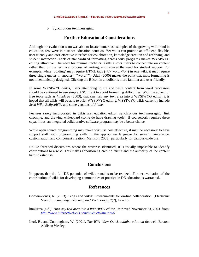o Synchronous text messaging

## **Further Educational Considerations**

Although the evaluation team was able to locate numerous examples of the growing wiki trend in education, few were in distance education contexts. Yet wikis can provide an efficient, flexible, user friendly and cost-effective interface for collaboration, knowledge creation and archiving, and student interaction. Lack of standardized formatting across wiki programs makes WYSIWYG editing attractive. The need for minimal technical skills allows users to concentrate on content rather than on the technical process of writing, and reduces the need for student support. For example, while 'bolding' may require HTML tags  $(\langle b \rangle \text{ word } \langle b \rangle)$  in one wiki, it may require three single quotes in another ('''word'''). Udell (2000) makes the point that most formatting is not mnemonically designed. Clicking the B icon in a toolbar is more familiar and user-friendly.

In some WYSIWYG wikis, users attempting to cut and paste content from word processors should be cautioned to use simple ASCII text to avoid formatting difficulties. With the advent of free tools such as *htmlArea* (2003), that can turn any text area into a WYSIWYG editor, it is hoped that all wikis will be able to offer WYSIWYG editing. WSYIWYG wikis currently include *Seed Wiki*, *EclipseWiki* and some versions of *Plone*.

Features rarely incorporated in wikis are: equation editor, synchronous text messaging, link checking, and drawing whiteboard (some do have drawing tools). If coursework requires these capabilities, an integrated collaborative software program may be a better choice.

While open source programming may make wiki use cost effective, it may be necessary to have support staff with programming skills in the appropriate language for server maintenance, customization and component creation (Mattison, 2003), particularly for campus-wide use.

Unlike threaded discussions where the writer is identified, it is usually impossible to identify contributions to a wiki. This makes apportioning credit difficult and the authority of the content hard to establish.

### **Conclusions**

It appears that the full DE potential of wikis remains to be realized. Further evaluation of the contribution of wikis for developing communities of practice in DE education is warranted.

### **References**

Godwin-Jones, R. (2003). Blogs and wikis: Environments for on-line collaboration. [Electronic Version]. *Language, Learning and Technology, 7*(2), 12 – 16.

- htmlArea (n.d.). *Turn any text area into a WYSIWYG editor*. Retrieved November 23, 2003, from: *<http://www.interactivetools.com/products/htmlarea/>*
- Leuf, B., and Cunningham, W. (2001). *The Wiki Way: Quick collaboration on the web*. Boston: Addison Wesley.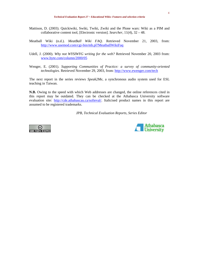- Mattison, D. (2003). Quickiwiki, Swiki, Twiki, Zwiki and the Plone wars: Wiki as a PIM and collaborative content tool, [Electronic version]. *Searcher*, 11(4), 32 – 48.
- Meatball Wiki (n.d.). *MeatBall Wiki FAQ*. Retrieved November 21, 2003, from: <http://www.usemod.com/cgi-bin/mb.pl?MeatballWikiFaq>
- Udell, J. (2000). *Why not WYSIWYG writing for the web?* Retrieved November 20, 2003 from: [www.byte.com/column/2000/05](http://www.irrodl.org/index.php/irrodl/article/v5.1/%20www.byte.com/column/2000/05)
- Wenger, E. (2001). *Supporting Communities of Practice: a survey of community-oriented technologies*. Retrieved November 29, 2003, from: <http://www.ewenger.com/tech>

The next report in the series reviews *Speak2Me*, a synchronous audio system used for ESL teaching in Taiwan.

**N.B.** Owing to the speed with which Web addresses are changed, the online references cited in this report may be outdated. They can be checked at the Athabasca University software evaluation site: [http://cde.athabascau.ca/softeval/.](http://cde.athabascau.ca/softeval/) Italicised product names in this report are assumed to be registered trademarks.

*JPB, Technical Evaluation Reports, Series Editor*



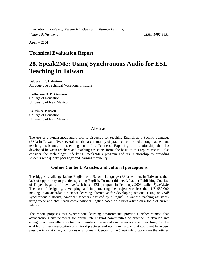**April – 2004** 

## **Technical Evaluation Report**

# **28. Speak2Me: Using Synchronous Audio for ESL Teaching in Taiwan**

**Deborah K. LaPointe** Albuquerque Technical Vocational Institute

**Katherine R. B. Greysen** College of Education University of New Mexico

**Kerrin A. Barrett** College of Education University of New Mexico

### **Abstract**

The use of a synchronous audio tool is discussed for teaching English as a Second Language (ESL) in Taiwan. Over several months, a community of practice has formed among teachers and teaching assistants, transcending cultural differences. Exploring the relationship that has developed between teachers and teaching assistants forms the basis of this report. We will also consider the technology underlying Speak2Me's program and its relationship to providing students with quality pedagogy and learning flexibility.

## **Online Content: Articles and cultural perceptions**

The biggest challenge facing English as a Second Language (ESL) learners in Taiwan is their lack of opportunity to practice speaking English. To meet this need, Ladder Publishing Co., Ltd. of Taipei, began an innovative Web-based ESL program in February, 2003, called *Speak2Me*. The cost of designing, developing, and implementing the project was less than US \$50,000, making it an affordable distance learning alternative for developing nations. Using an *iTalk* synchronous platform, American teachers, assisted by bilingual Taiwanese teaching assistants, using voice and chat, teach conversational English based on a brief article on a topic of current interest.

The report proposes that synchronous learning environments provide a richer context than asynchronous environments for online intercultural communities of practice, to develop into engaging and empathetic virtual communities. The use of synchronous voice in teaching ESL has enabled further investigation of cultural practices and norms in Taiwan that could not have been possible in a static, asynchronous environment. Central to the *Speak2Me* program are the articles,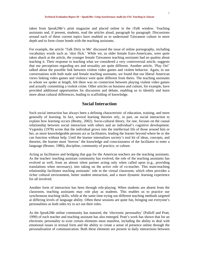taken from *Speak2Me*'s print magazine and placed online in the *iTalk* window. Teaching assistants and, if present, students, read the articles aloud, paragraph by paragraph. Discussions around each of these current topics have enabled us to understand Taiwanese culture in more depth and to form closer bonds with the teaching assistants.

For example, the article 'Talk Dirty to Me' discussed the issue of online pornography, including vocabulary words such as 'skin flick.' While we, as older female Euro-Americans, were quite taken aback at the article, the younger female Taiwanese teaching assistants had no qualms about teaching it. Their response to teaching what we considered a very controversial article, suggests that our perceptions regarding sex and sexuality are quite different. Another article, 'Play On!' talked about the possible link between violent video games and violent behavior. Again, in our conversations with both male and female teaching assistants, we found that our liberal American views linking video games and violence were quite different from theirs. The teaching assistants to whom we spoke at length, felt there was no connection between playing violent video games and actually committing a violent crime. Other articles on business and culture, for example, have provided additional opportunities for discussion and debate, enabling us to identify and learn more about cultural differences, leading to scaffolding of knowledge.

### **Social Interaction**

Such social interaction has always been a defining characteristic of education, training, and more generally of learning. In fact, several learning theories rely, in part, on social interaction to explain how learning occurs (Beatty, 2002). Socio-cultural theory, for one, focuses on the causal relationship between social interaction with others and an individual's cognitive development. Vygotsky (1978) wrote that the individual grows into the intellectual life of those around him or her, as more knowledgeable persons act as facilitators, leading the learner beyond where he or she can function without help. Until the learner internalizes society's tool kit of ideas, concepts, and theories, the learner must 'borrow' the knowledge and consciousness of the facilitator to enter a language (Bruner, 1986), discipline, community of practice, or culture.

Acting as facilitators and bridging that gap for the American teachers are the teaching assistants. As the teacher/ teaching assistant community has evolved, the role of the teaching assistants has evolved as well, from an almost silent partner acting only when called upon (e.g., providing translations when necessary), into taking on the active role of co-teacher. This team-teaching relationship facilitates teaching assistants' role in the virtual classroom, which often provides a richer cultural environment, better student interaction, and a more dynamic learning experience for all involved.

Another form of interaction has been through role-playing. When students are absent from the classroom, teaching assistants may role play as students. This enables us to practice our synchronous teaching skills, while at the same time trying out different teaching methods targeted at differing levels of language ability. Often these sessions are quite fun, bringing out everyone's personalities as both sides try to act out their roles.

As the *Speak2Me* online community has matured, the 'electronic personality' (Palloff and Pratt, 1999) of each teacher and teaching assistant has also emerged. Pratt's work has shown that for an electronic personality to exist certain elements must manifest, including the ability to deal with emotional issues in textual form and the ability to create a sense of presence online through the personalization of communication. Both these elements are present in daily interactions between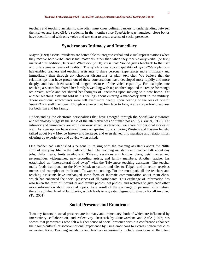teachers and teaching assistants, who often must cross cultural barriers to understanding between themselves and *Speak2Me*'s students. In the months since *Speak2Me* was launched, close bonds have been formed with only voice and text chat to create a sense of social presence.

### **Synchronous Intimacy and Immediacy**

Mayer (1999) asserts: "students are better able to integrate verbal and visual representations when they receive both verbal and visual materials rather than when they receive only verbal [or text] material." In addition, Jelfs and Whitelock (2000) stress that: "sound gives feedback to the user and offers greater levels of reality." The synchronous voice capability of *Speak2Me*'s platform has enabled teachers and teaching assistants to share personal experiences more intimately and immediately than through asynchronous discussions or plain text chat. We believe that the relationships that have grown out of these conversations have developed more rapidly and more deeply, and have been sustained longer, because of the voice capability. For example, one teaching assistant has shared her family's wedding with us; another supplied the recipe for mango ice cream, while another shared her thoughts of loneliness upon moving to a new home. Yet another teaching assistant told us his feelings about entering a mandatory stint in the military. These emotional attachments were felt even more deeply upon hearing of the loss of one of *Speak2Me*'s staff members. Though we never met him face to face, we felt a profound sadness for both him and his family.

Understanding the electronic personalities that have emerged through the *Speak2Me* classroom and technology suggests the sense of the alternativeness of human possibility (Bruner, 1986). Yet intimacy and immediacy are not a one-way street. As teachers, we share our personal stories as well. As a group, we have shared views on spirituality, comparing Western and Eastern beliefs; talked about New Mexico history and heritage; and even delved into marriage and relationships, offering up experiences and advice when asked.

One teacher had established a personality talking with the teaching assistants about the "little stuff of everyday life" – the daily chitchat. The teaching assistants and teacher talk about day jobs, daily meals, fruits available in Taiwan, vacations and holiday plans, pets' names and personalities, videogames, new recording artists, and family members. Another teacher has established an "intercultural food swap" with the Taiwanese teaching assistants. The teacher mails foods traditional to the New Mexican culture and diet to Taipei, and in return receives menus and examples of traditional Taiwanese cooking. For the most part, all the teachers and teaching assistants have exchanged some form of intimate communication about themselves, which has enhanced the social presences of all participants. This exchange of information has also taken the form of individual and family photos, pet photos, and websites to give each other more information about personal topics. As a result of the exchange of personal information, there is a higher level of familiarity, which leads to a greater degree of intimacy for all involved (Tu, 2001).

### **Social Presence and Emoticons**

Two key factors in social presence are intimacy and immediacy, both of which are influenced by interactivity, collaboration, and reflectivity. Research by Gunawardena and Zittle (1997) has shown that participants who felt a higher sense of social presence within a conference enhanced their socio-cultural or socio-emotional experience by using emoticons to express non-verbal cues in written form. Teaching assistants and teachers occasionally include emoticons in their text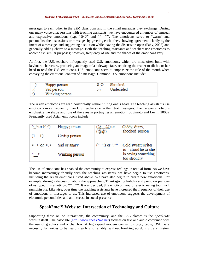messages to each other in the S2M classroom and in the email messages they exchange. During our many voice-chat sessions with teaching assistants, we have encountered a number of unusual and expressive emoticons (e.g. " $@@"$  and " $\wedge$ "). The emoticons serve to "warm" and personalize the discussions or messages by greeting each other, showing agreement, clarifying the intent of a message, and suggesting a solution while leaving the discussion open (Fahy, 2003) and generally adding charm to a message. Both the teaching assistants and teachers use emoticons to accomplish similar purposes; however, frequency of use and the shapes of the emoticons vary.

At first, the U.S. teachers infrequently used U.S. emoticons, which are most often built with keyboard characters, producing an image of a sideways face, requiring the reader to tilt his or her head to read the U.S. emoticons. U.S. emoticons seem to emphasize the role of the mouth when conveying the emotional context of a message. Common U.S. emoticons include:

| -0-) | Happy person   | 8-O | Shocked   |
|------|----------------|-----|-----------|
|      | Sad person     |     | Undecided |
|      | Winking person |     |           |

The Asian emoticons are read horizontally without tilting one's head. The teaching assistants use emoticons more frequently than U.S. teachers do in their text messages. The Taiwan emoticons emphasize the shape and role of the eyes in portraying an emotion (Sugimoto and Levin, 2000). Frequently used Asian emoticons include:

| $\wedge \wedge$ or $(\wedge \wedge)$ | Happy person   | $\omega$ ) or<br>(@<br>(Q@) | Giddy, dizzy,<br>shocked person            |
|--------------------------------------|----------------|-----------------------------|--------------------------------------------|
| $(T-T)$                              | Crying person  |                             |                                            |
| $>$ < or >. $<$                      | Sad or angry   | $(^\wedge$ ^ ) or ^ ^.^"    | Cold sweat; writer<br>is afraid he cor she |
| ハーキ                                  | Winking person |                             | is saying something<br>too strongly        |

The use of emoticons has enabled the community to express feelings in textual form. As we have become increasingly friendly with the teaching assistants, we have begun to use emoticons, including the Asian emoticons listed above. We have also begun to create new emoticons. For example, during a discussion about the approaching Thanksgiving holiday and pumpkin pie, one of us typed this emoticon: \*\*\_\_\*\*. It was decided, this emoticon would refer to eating too much pumpkin pie. Likewise, over time the teaching assistants have increased the frequency of their use of emoticons in messages to us. This increased use of emoticons suggests the development of electronic personalities and an increase in social presence.

### **Speak2me'S Website: Intersection of Technology and Culture**

Supporting these online interactions, the community, and the ESL classes is the *Speak2Me* website itself. The basic site [\(http://www.speak2me.net](http://www.speak2me.net/)) focuses on text and audio combined with the use of graphics and a chat box. A high-speed modem connection (e.g., cable, DSL) is a necessity for voices to be heard clearly and reliably, without breaking up during transmission.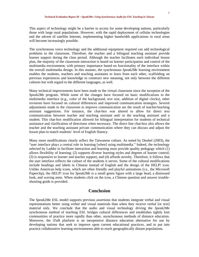This aspect of technology might be a barrier to access for some developing nations, particularly those with large rural populations. However, with the rapid deployment of cellular technologies and the advent of satellite Internet, implementing higher bandwidth applications in rural areas will become increasingly possible.

The synchronous voice technology and the additional equipment required can add technological problems to the classroom. Therefore, the teacher and a bilingual teaching assistant provide learner support during the class period. Although the teacher facilitates each individual lesson plan, the majority of the classroom interaction is based on learner participation and control of the multimedia environment, with primary importance based on functionality of the interface within the overall multimedia design. In this manner, the synchronous *Speak2Me* learning environment enables the students, teachers and teaching assistants to learn from each other, scaffolding on previous experiences and knowledge to construct new meaning, not only between the different cultures but with regard to the different languages, as well.

Many technical improvements have been made to the virtual classroom since the inception of the *Speak2Me* program. While some of the changes have focused on basic modifications to the multimedia interface (e.g., color of the background, text size, addition of digital clocks), other revisions have focused on cultural differences and improved communication strategies. Several adjustments made to the classroom to improve communication are the result of teacher/teaching assistant suggestions. For instance, the chat-box was altered to allow for direct text communication between teacher and teaching assistant and/ or the teaching assistant and a student. This chat-box modification allowed for bilingual interpretation for students of technical assistance and clarification of directions when necessary. The direct line chat-box also allows the teacher and the teaching assistant private communication where they can discuss and adjust the lesson plan to match students' level of English fluency.

Many more modifications clearly reflect the Taiwanese culture. As noted by Deubel (2003), the "user interface plays a central role in learning [when] using multimedia." Indeed, the technology selected by Ladder to facilitate interaction and learning must provide quality pedagogy which (1) allows flexibility of learning; (2) supports diverse learning styles and degrees of learner control; (3) is responsive to learner and teacher support; and (4) affords novelty. Therefore, it follows that the user interface reflects the culture of the students it serves. Some of the cultural modifications include headings and labels in Chinese instead of English and the design of the HELP! icon. Unlike American help icons, which are often friendly and playful animations (i.e., the Microsoft Paperclip), the HELP! icon for *Speak2Me* is a small green figure with a large head, a distressed look, and waving arms. When students click on the icon, a Chinese question and answer troubleshooting guide is provided.

### **Conclusion**

The *Speak2Me* ESL model supports previous assertions that students integrate verbal and visual representations better using verbal and visual materials than when they receive verbal [or text] material only. We conclude that the audio and visual technology driving the *Speak2Me* synchronous method of teaching ESL bridges cultural differences and establishes tightly knit communities of practice more rapidly than other, asynchronous methods of distance education. Moreover, the *iTalk* platform is an inexpensive distance education alternative for use by developing nations that seek to improve upon current educational practices, and to put into practice collaborative learning environments able to reach geographically distant populations.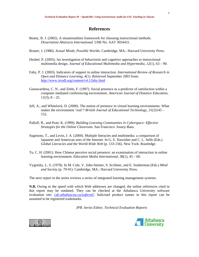### **References**

- Beatty, B. J. (2002). A situationalities framework for choosing instructional methods. *Dissertation Abstracts International.* UMI No. AAT 3054431.
- Bruner, J. (1986). *Actual Minds, Possible Worlds*. Cambridge, MA.: Harvard University Press.
- Deubel, P. (2003). An investigation of behaviorist and cognitive approaches to instructional multimedia design. *Journal of Educational Multimedia and Hypermedia, 12*(1), 63 – 90.
- Fahy, P. J. (2003). Indicators of support in online interaction. *International Review of Research in Open and Distance Learning, 4*(1). Retrieved September 2003 from: <http://www.irrodl.org/content/v4.1/fahy.html>
- Gunawardena, C. N., and Zittle, F. (1997). Social presence as a predictor of satisfaction within a computer mediated conferencing environment. *American Journal of Distance Education,*   $11(3)$ ,  $8 - 25$ .
- Jelf, A., and Whitelock, D. (2000). The notion of presence in virtual learning environments: What makes the environment 'real'? *British Journal of Educational Technology, 31*(2)145 – 152.
- Palloff, R., and Pratt, K. (1999). *Building Learning Communities in Cyberspace: Effective Strategies for the Online Classroom*. San Francisco: Jossey-Bass.
- Sugimoto, T., and Levin, J. A. (2000). Multiple literacies and multimedia: a comparison of Japanese and American uses of the Internet. In G. E. Hawisher and C. L. Selfe (Eds.) *Global Literacies and the World-Wide Web* (p. 133-156). New York: Routledge.
- Tu, C. H. (2001). How Chinese perceive social presence: an examination of interaction in online learning environment. *Education Media International*, 38(1), 45 – 60.
- Vygotsky, L. S. (1978). In M. Cole, V. John-Steiner, S. Scribner, and E. Souberman (Eds.) *Mind and Society* (p. 79-91). Cambridge, MA.: Harvard University Press.

The next report in the series reviews a series of integrated learning management systems.

**N.B.** Owing to the speed with which Web addresses are changed, the online references cited in this report may be outdated. They can be checked at the Athabasca University software evaluation site: *[cde.athabascau.ca/softeval/](http://cde.athabascau.ca/softeval/)*. Italicised product names in this report can be assumed to be registered trademarks.

*JPB. Series Editor, Technical Evaluation Reports*



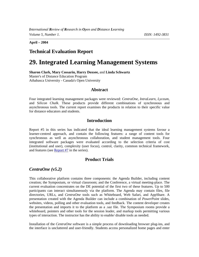#### **April – 2004**

## **Technical Evaluation Report**

## **29. Integrated Learning Management Systems**

**Sharon Clark, Mary Cossarin, Harry Doxsee,** and **Linda Schwartz** Master's of Distance Education Program Athabasca University - Canada's Open University

### **Abstract**

Four integrated learning management packages were reviewed: *CentraOne*, *IntraLearn*, *Lyceum*, and S*ilicon Chalk*. These products provide different combinations of synchronous and asynchronous tools. The current report examines the products in relation to their specific value for distance educators and students.

### **Introduction**

Report #5 in this series has indicated that the ideal learning management systems favour a learner-centred approach, and contain the following features: a range of content tools for synchronous as well as asynchronous collaboration, and student management tools. Four integrated software packages were evaluated according to the selection criteria of cost (institutional and user), complexity (user focus), control, clarity, common technical framework, and features (see [Report #7](http://www.irrodl.org/content/v3.1/technical_vii.html) in the series).

## **Product Trials**

### *CentraOne (v5.2)*

This collaborative platform contains three components: the Agenda Builder, including content creation; the Symposium, or virtual classroom; and the Conference, a virtual meeting-place. The current evaluation concentrates on the DE potential of the first two of these features. Up to 500 participants can interact simultaneously via the platform. The Agenda may contain files, file directories, URLs, and *CentraOne* tools such as Whiteboard, Web Safari, and AppShare. A presentation created with the Agenda Builder can include a combination of *PowerPoint* slides, websites, videos, polling and other evaluation tools, and feedback. The content developer creates the presentation and imports it to the platform as a .saz file. The Symposium rooms provide a whiteboard, pointers and other tools for the session leader, and markup tools permitting various types of interaction. The instructor has the ability to enable/ disable tools as needed.

Installation of the *CentraOne* software is a simple process of downloading browser plug-ins, and the interface is uncluttered and user-friendly. Students access personalized home pages and enter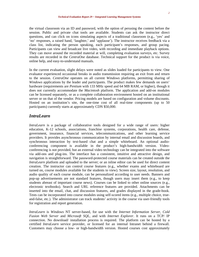the virtual classroom via an ID and password, with the option of perusing the content before the session. Public and private chat tools are available. Students can ask the instructor direct questions, and can click on icons simulating aspects of a traditional classroom (e.g., 'yes' and 'no' responses, a raised hand, 'laughter,' and 'applause'). The instructor receives feedback via a class list, indicating the person speaking, each participant's responses, and group pacing. Participants can view and broadcast live video, with recording and immediate playback options. They can move around the recorded material at will, completing evaluation surveys, etc. Survey results are recorded in the *CentraOne* database. Technical support for the product is via voice, online help, and easy-to-understand manuals.

In the current evaluation, slight delays were noted as slides loaded for participants to view. One evaluator experienced occasional breaks in audio transmission requiring an exit from and return to the session. *CentraOne* operates on all current *Windows* platforms, permitting sharing of *Windows* applications by the leader and participants. The product makes few demands on users' hardware (requirements are *Pentium* with 133 MHz speed and 64 MB RAM, or higher), though it does not currently accommodate the *Macintosh* platform. The application and add-on modules can be licensed separately, or as a complete collaboration environment hosted on an institutional server or on that of the vendor. Pricing models are based on configuration and volume discounts. Hosted on an institution's site, the one-time cost of all real-time components (up to 50 participants) currently starts at approximately CDN \$50,000.

### *IntraLearn*

*IntraLearn* is a package of collaborative tools designed for a wide range of users: higher education, K-12 schools, associations, franchise systems, corporations, health care, defense, government, insurance, financial services, telecommunications, and other learning service providers. It provides asynchronous communication by internal email and discussion boards, and synchronous interaction by text-based chat and a simple whiteboard. An optional audioconferencing component is available in the product's high-bandwidth version. Videoconferencing is not provided, but an external video technology can be integrated into the software via add-ons and plug-ins. The interface has a consistent, intuitive and attractive design, and navigation is straightforward. The password-protected course materials can be created outside the *IntraLearn* platform and uploaded to the server; or an inline editor can be used for direct content creation. The instructor can control course features (e.g., whether exams and whiteboard are turned on, course modules available for the students to view). Screen size, layout, resolution, and audio quality of each course module, can be personalized according to user needs. Banners and pop-up advertisements are not standard features, though users may insert them (e.g., to keep students abreast of important course news). Courses can be linked to other online sources (e.g., electronic textbooks). Search and URL reference features are provided. Attachments can be inserted into the email, chat, and discussion features, and grades displayed in the grade-book. Tests can be incorporated into course modules using self-scored items (e.g., multiple choice, trueand-false, etc.). The administrator can track students' activity in the course via user-friendly tools for registration and report generation.

*IntraLearn* is *Windows* NT server-based, for use with the *Internet Information Server*, *Cold Fusion Web Server* and *Microsoft SQL*, and with *Internet Explorer*. It runs on a TCP/ IP connection. No download/ installation process is required. The platform can be hosted by a certified *IntraLearn* service provider, or licensed for an internal Intranet behind a firewall. Customers may choose a low- or high-bandwidth version. Hosted courses cost approximately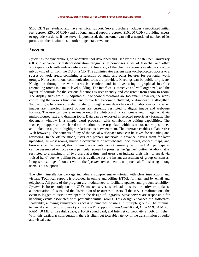\$100 CDN per student, and have technical support. Server purchase includes a negotiated initial fee (approx. \$20,000 CDN) and optional annual support (approx. \$10,000 CDN) providing access to upgrade versions. If the server is purchased, the customer can sell a negotiated number of its portals to other institutions in order to generate revenue.

### *Lyceum*

*Lyceum* is the synchronous, collaborative tool developed and used by the British Open University (OU) to enhance its distance-education programs. It comprises a set of text-chat and other workspace tools with audio-conferencing. A free copy of the client software is available via a 30 mb download, or from the OU on a CD. The administrator assigns password-protected access to a subset of work areas, containing a selection of audio and other features for particular work groups. No asynchronous communication tools are provided. Meetings can be public or private. Navigation through the work areas is seamless and intuitive, using a graphical interface resembling rooms in a multi-level building. The interface is attractive and well organized, and the layout of controls for the various functions is user-friendly and consistent from room to room. The display sizes are fully adjustable. If window dimensions are too small, however, the icons controlling the various functions tend to overlap, becoming cluttered, or disappearing altogether. Text and graphics are consistently sharp, though some degradation of quality can occur when images are imported. Import options are currently restricted to digital image and webpage formats. The user can paste an image onto the whiteboard, or can create new images on it via multi-coloured text and drawing tools. Data can be exported in selected proprietary formats. The document window is a simple word processor with collaborative editing capabilities. The 'concept mapper' allows shared contributions to be organized within text-box nodes positioned and linked on a grid to highlight relationships between them. The interface enables collaborative Web browsing. The contents of any of the visual workspace tools can be saved for reloading and reviewing. In the offline mode, users can prepare materials in advance, saving them for later uploading. In most rooms, multiple occurrences of whiteboards, documents, concept maps, and browsers can be created, though window contents cannot currently be printed. All participants can be assembled to focus on a particular screen by pressing the 'gather' button. Audio chat is restricted to a maximum of two users at a time, and users can indicate their wish to speak via 'raised hand' cue. A polling feature is available for the instant assessment of group consensus. Long-term storage of content within the *Lyceum* environment is not practical. File-sharing among users is not supported.

The client installation package includes a comprehensive tutorial with clear instructions and visuals. Technical support is provided in online and offline HTML formats, and by email and telephone. All parts of the program are modularized to facilitate updates and product reliability. *Lyceum* is hosted only on the OU's master server, which administers the software updates, authentication of users, and the distribution of resources to users. If the service malfunctions, the event is logged to assist developers in the design of upgrades. Slave servers are responsible for handling events associated with particular virtual rooms. This design enhances the software's scalability, allowing simultaneous access to hundreds of users in multiple groups. The minimal technical specifications to use *Lyceum* are a PC supporting *Windows/98* and, *DirectX 8*; 64 MB of RAM; 50 MB of free disk space; a 16-bit sound card; and Internet connectivity at 56K or higher. With this particular configuration, there is slight but tolerable latency in the transmission of audio and visual data.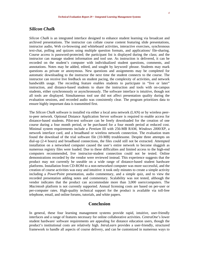### *Silicon Chalk*

*Silicon Chalk* is an integrated interface designed to enhance student learning via broadcast and archived presentations. The instructor can collate course content featuring slide presentations, instructor audio, Web co-browsing and whiteboard activities, interactive exercises, synchronous text-chat, polling and quizzes using multiple question formats, and applications/ file-sharing. Course access is password-protected; the participant list is displayed during the class; and the instructor can manage student information and tool use. As instruction is delivered, it can be recorded on the student's computer with individualized student questions, comments, and annotations. Notes may be added, edited, and sought by keyword/ phrase. Students may mark questions as private or anonymous. New questions and assignments may be completed for automatic downloading to the instructor the next time the student connects to the course. The instructor can receive live feedback on student pacing, the complexity of activities, and network bandwidth usage. The recording feature enables students to participate in "live or later" instruction, and distance-based students to share the instruction and tools with on-campus students, either synchronously or asynchronously. The software interface is intuitive, though not all tools are displayed. Simultaneous tool use did not affect presentation quality during the evaluation sessions, and recorded audio was consistently clear. The program prioritizes data to ensure highly important data is transmitted first.

The *Silicon Chalk* software is installed via either a local area network (LAN) or by wireless peerto-peer network. Optional Distance Application Server software is required to enable access for distance-based students. Pilot-test software can be freely downloaded for the creation of one course during a four month period, or be purchased for a four month period at reduced cost. Minimal system requirements include a *Pentium* III with 256-MB RAM, *Windows 2000/XP*, a network interface card, and a broadband or wireless network connection. The evaluation team found the download of the trial software file (10-MB) troublesome. Despite three attempts on dial-up (2-4 hours) and broadband connections, the files could still not be extracted. Attempted installation on a networked computer caused the user's entire network to become sluggish as numerous registry files were loaded. Due to these difficulties and limited access to the high-end computers recommended, live instructor-student connection could not be tested. Online demonstrations recorded by the vendor were reviewed instead. This experience suggests that the product may not currently be useable on a wide range of distance-based student hardware platforms. Installation from CD-ROM to a non-networked computer was more successful, and the creation of course activities was easy and intuitive: it took only minutes to create a simple activity including a *PowerPoint* presentation, audio commentary, and a simple quiz, and to view the recorded presentation adding notes and commentary. Scalability was not tested, although the vendor indicates that the product can accommodate more than 3,000 users/computers. The *Macintosh* platform is not currently supported. Annual licensing costs are based on per-user or per-computer rates. High-quality technical support for the product is available via toll-free telephone, email, and online forums, tutorials, and white papers.

### **Conclusion**

In general, these four learning management systems provide rapid, intuitive, user-friendly interfaces and a range of features necessary for online collaborative activities. *CentraOne*'s lower student hardware/ software requirements are appealing for distance education users, though the product's institutional costs are relatively high. *IntraLearn* provides a user-friendly, structured framework to handle all aspects of course delivery, and can be customized in numerous ways to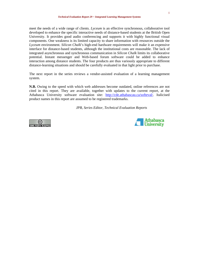meet the needs of a wide range of clients. *Lyceum* is an effective synchronous, collaborative tool developed to enhance the specific interactive needs of distance-based students at the British Open University. It provides good audio conferencing and supports it with highly functional visual components. One weakness is its limited capacity to share information with resources outside the *Lyceum* environment. *Silicon Chalk*'s high-end hardware requirements will make it an expensive interface for distance-based students, although the institutional costs are reasonable. The lack of integrated asynchronous and synchronous communication in *Silicon Chalk* limits its collaborative potential. Instant messenger and Web-based forum software could be added to enhance interaction among distance students. The four products are thus variously appropriate to different distance-learning situations and should be carefully evaluated in that light prior to purchase.

The next report in the series reviews a vendor-assisted evaluation of a learning management system.

**N.B.** Owing to the speed with which web addresses become outdated, online references are not cited in this report. They are available, together with updates to the current report, at the Athabasca University software evaluation site: [http://cde.athabascau.ca/softeval/.](http://cde.athabascau.ca/softeval/) Italicised product names in this report are assumed to be registered trademarks.

*JPB, Series Editor, Technical Evaluation Reports*



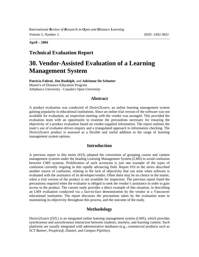**April – 2004** 

## **Technical Evaluation Report**

# **30. Vendor-Assisted Evaluation of a Learning Management System**

**Patricia Fahrni**, **Jim Rudolph**, and **Adrienne De Schutter** Master's of Distance Education Program

Athabasca University - Canada's Open University

### **Abstract**

A product evaluation was conducted of *Desire2Learn*, an online learning management system gaining popularity in educational institutions. Since an online trial version of the software was not available for evaluation, an inspection meeting with the vendor was arranged. This provided the evaluation team with an opportunity to examine the precautions necessary for ensuring the objectivity of a product evaluation based on vendor-supplied information. The report outlines the team's use of evaluator-driven enquiry and a triangulated approach to information checking. The *Desire2Learn* product is assessed as a flexible and useful addition to the range of learning management system options.

### **Introduction**

A previous report in this series (#25) adopted the convention of grouping course and content management systems under the heading Learning Management System (LMS) to avoid confusion between CMS systems. Proliferation of such acronyms is just one example of the types of confusion currently reigning in this rapidly advancing field. Report #10 in the series described another source of confusion, relating to the lack of objectivity that can arise when software is evaluated with the assistance of its developer/vendor. Often there may be no choice in the matter, when a trial version of the product is not available for inspection. The previous report listed the precautions required when the evaluator is obliged to seek the vendor's assistance in order to gain access to the product. The current study provides a direct example of this situation, in describing an LMS evaluation conducted via a face-to-face demonstration by the vendor in a Vancouver educational institution. The report discusses the precautions taken by the evaluation team in maintaining its objectivity throughout this process, and the outcome of the study.

## **Methodology**

*Desire2Learn* (D2L) is an integrated online learning management system (LMS), which provides synchronous and asynchronous interaction between students, teachers, and learning content. Such platforms are usually integrated with administrative databases (e.g., commercial products such as *SCT Banner, Peoplesoft, Datatel*, and *Campus Pipeline*).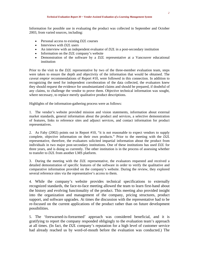Information for possible use in evaluating the product was collected in September and October 2003, from varied sources, including:

- Personal access to existing *D2L* courses
- Interviews with *D2L* users
- An interview with an independent evaluator of *D2L* in a post-secondary institution
- Information on the *D2L* company's website
- Demonstration of the software by a *D2L* representative at a Vancouver educational institution

Prior to the visit to the *D2L* representative by two of the three-member evaluation team, steps were taken to ensure the depth and objectivity of the information that would be obtained. The *caveat emptor* recommendations of Report #10, were followed in this connection. In addition to recognizing the need for independent corroboration of the data collected, the evaluators knew they should request the evidence for unsubstantiated claims and should be prepared, if doubtful of any claims, to challenge the vendor to prove them. Objective technical information was sought, where necessary, to replace merely qualitative product descriptions.

Highlights of the information-gathering process were as follows:

1. The vendor's website provided mission and vision statements, information about external market standards, general information about the product and services, a selective demonstration of features, links to reference sites and adjunct services, and contact information for product representatives.

2. As Fahy (2002) points out in Report #10, "it is not reasonable to expect vendors to supply complete, objective information on their own products." Prior to the meeting with the *D2L* representative, therefore, the evaluators solicited impartial information about the product from individuals in two major post-secondary institutions. One of these institutions has used *D2L* for three years, and is doing so currently. The other institution is in the process of assessing whether to transfer to *D2L* from another LMS platform.

3. During the meeting with the *D2L* representative, the evaluators requested and received a detailed demonstration of specific features of the software in order to verify the qualitative and comparative information provided on the company's website. During the review, they explored several reference sites via the representative's access to them.

4. While the company's website provides technical specifications to externally recognized standards, the face-to-face meeting allowed the team to learn first-hand about the history and evolving functionality of the product. This meeting also provided insight into the organization and management of the company, pricing structures, product support, and software upgrades. At times the discussion with the representative had to be re-focused on the current applications of the product rather than on future development possibilities.

5. The 'forewarned-is-forearmed' approach was considered beneficial, and it is gratifying to report the company responded obligingly to the evaluation team's approach at all times. (In fact, the *D2L* company's reputation for a high level of customer service had already reached us by word-of-mouth before the evaluation was conducted.) The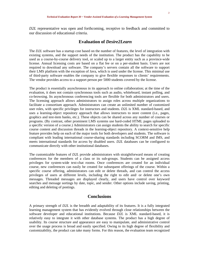*D2L* representative was open and forthcoming, receptive to feedback and committed to our discussion of educational criteria.

### **Evaluation of** *Desire2Learn*

The *D2L* software has a startup cost based on the number of features, the level of integration with existing systems, and the support needs of the institution. The product has the capability to be used as a course-by-course delivery tool, or scaled up to a larger entity such as a province-wide license. Annual licensing costs are based on a flat fee or on a per-student basis. Users are not required to download any software. The company's servers contain all the software to support their LMS platform with the exception of Java, which is used under the license. This minimal use of third-party software enables the company to give flexible responses to clients' requirements. The vendor provides access to a support person per 5000 students covered by the license.

The product is essentially asynchronous in its approach to online collaboration; at the time of the evaluation, it does not contain synchronous tools such as audio, whiteboard, instant polling, and co-browsing. Its asynchronous conferencing tools are flexible for both administrators and users. The licensing approach allows administrators to assign roles across multiple organizations to facilitate a consortium approach. Administrators can create an unlimited number of customized user roles, with specific privileges for instructors and students. *D2L* is XML standard-based, and uses a learning-object repository approach that allows instructors to store content (i.e., pages, graphics and test-item banks, etc.). These objects can be shared across any number of courses or programs. (By contrast, other prominent LMS systems use hard-coded HTML pages uploaded to a specific version of a course.) Administrators can assign students the ability to search for specific course content and discussion threads in the learning-object repository. A context-sensitive help feature provides help on each of the major tools for both developers and students. The software is compliant with leading international course-sharing standards including SCORM and IMS, and meets international standards for access by disabled users. *D2L* databases can be configured to communicate directly with other institutional databases.

The customizable features of *D2L* provide administrators with straightforward means of creating conferences for the members of a class or its sub-groups. Students can be assigned access privileges for system-wide text-chat rooms. Once conferences are created for an individual course, new conferences can easily be created for subsequent offerings of the course. Within a specific course offering, administrators can edit or delete threads, and can control the access privileges of users at different levels, including the right to edit and/ or delete one's own messages. Threaded messages are displayed clearly, and users have control over keyword searches and message sortings by date, topic, and sender. Other options include saving, printing, editing and deleting of postings.

### **Conclusions**

A primary strength of *D2L* is the breadth and adaptability of its features. It is a fully integrated learning management system that has evidently evolved through close relationships between the software developer and educational institutions. Because *D2L* is XML standard-based, it is relatively easy to integrate it with other database systems. The product has a high degree of usability. Its course structure and appearance are easy to manipulate, and administrative control over the usage process is broad and easily specified. Owing to its high degree of flexibility and customizability, the product can take many forms. For this reason, the evaluation team recognized